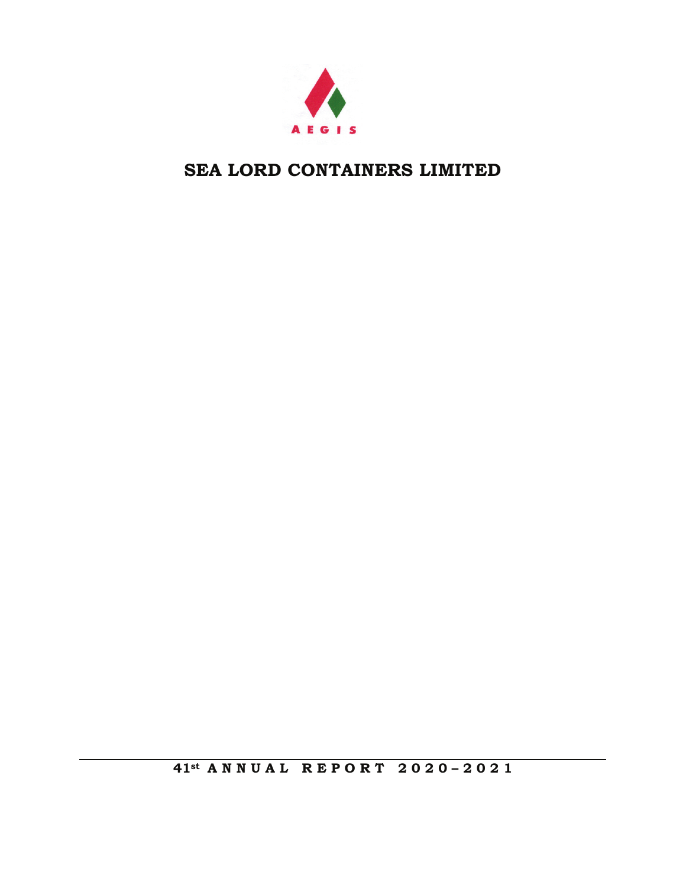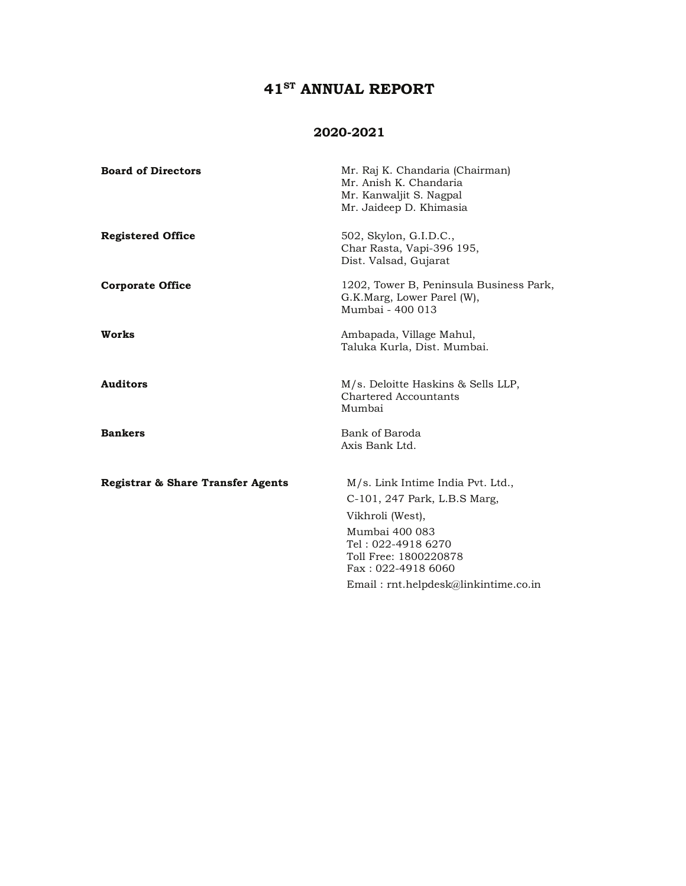### 41<sup>ST</sup> ANNUAL REPORT

#### 2020-2021

| <b>Board of Directors</b>         | Mr. Raj K. Chandaria (Chairman)<br>Mr. Anish K. Chandaria<br>Mr. Kanwaljit S. Nagpal<br>Mr. Jaideep D. Khimasia                                                              |
|-----------------------------------|------------------------------------------------------------------------------------------------------------------------------------------------------------------------------|
| <b>Registered Office</b>          | 502, Skylon, G.I.D.C.,<br>Char Rasta, Vapi-396 195,<br>Dist. Valsad, Gujarat                                                                                                 |
| <b>Corporate Office</b>           | 1202, Tower B, Peninsula Business Park,<br>G.K.Marg, Lower Parel (W),<br>Mumbai - 400 013                                                                                    |
| Works                             | Ambapada, Village Mahul,<br>Taluka Kurla, Dist. Mumbai.                                                                                                                      |
| <b>Auditors</b>                   | M/s. Deloitte Haskins & Sells LLP,<br>Chartered Accountants<br>Mumbai                                                                                                        |
| <b>Bankers</b>                    | Bank of Baroda<br>Axis Bank Ltd.                                                                                                                                             |
| Registrar & Share Transfer Agents | M/s. Link Intime India Pvt. Ltd.,<br>C-101, 247 Park, L.B.S Marg,<br>Vikhroli (West),<br>Mumbai 400 083<br>Tel: 022-4918 6270<br>Toll Free: 1800220878<br>Fax: 022-4918 6060 |
|                                   | Email: $rnt.helpdesk@linkintime.co.in$                                                                                                                                       |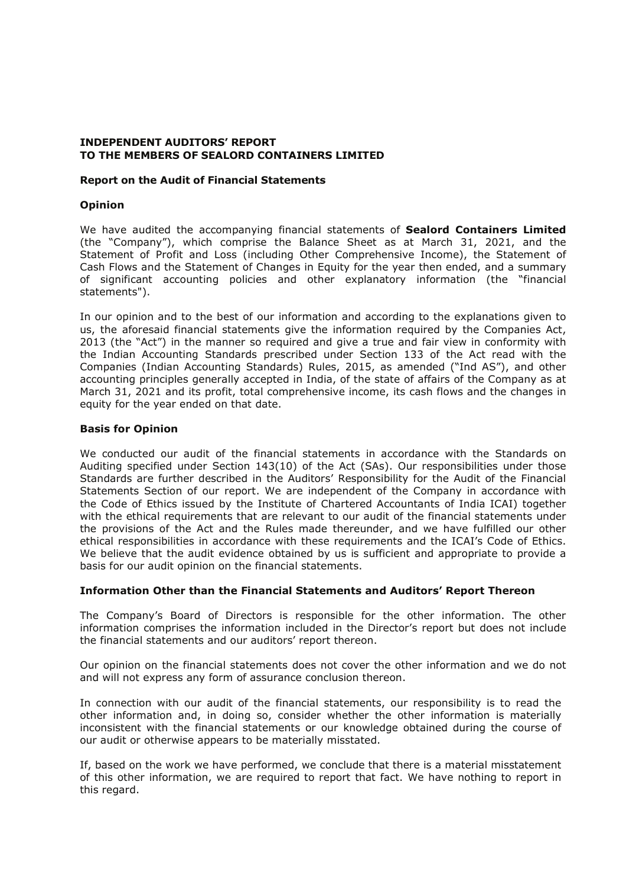#### **INDEPENDENT AUDITORS' REPORT** TO THE MEMBERS OF SEALORD CONTAINERS LIMITED

#### **Report on the Audit of Financial Statements**

#### **Opinion**

We have audited the accompanying financial statements of Sealord Containers Limited (the "Company"), which comprise the Balance Sheet as at March 31, 2021, and the Statement of Profit and Loss (including Other Comprehensive Income), the Statement of Cash Flows and the Statement of Changes in Equity for the year then ended, and a summary of significant accounting policies and other explanatory information (the "financial statements").

In our opinion and to the best of our information and according to the explanations given to us, the aforesaid financial statements give the information required by the Companies Act, 2013 (the "Act") in the manner so required and give a true and fair view in conformity with the Indian Accounting Standards prescribed under Section 133 of the Act read with the Companies (Indian Accounting Standards) Rules, 2015, as amended ("Ind AS"), and other accounting principles generally accepted in India, of the state of affairs of the Company as at March 31, 2021 and its profit, total comprehensive income, its cash flows and the changes in equity for the year ended on that date.

#### **Basis for Opinion**

We conducted our audit of the financial statements in accordance with the Standards on Auditing specified under Section 143(10) of the Act (SAs). Our responsibilities under those Standards are further described in the Auditors' Responsibility for the Audit of the Financial Statements Section of our report. We are independent of the Company in accordance with the Code of Ethics issued by the Institute of Chartered Accountants of India ICAI) together with the ethical requirements that are relevant to our audit of the financial statements under the provisions of the Act and the Rules made thereunder, and we have fulfilled our other ethical responsibilities in accordance with these requirements and the ICAI's Code of Ethics. We believe that the audit evidence obtained by us is sufficient and appropriate to provide a basis for our audit opinion on the financial statements.

#### Information Other than the Financial Statements and Auditors' Report Thereon

The Company's Board of Directors is responsible for the other information. The other information comprises the information included in the Director's report but does not include the financial statements and our auditors' report thereon.

Our opinion on the financial statements does not cover the other information and we do not and will not express any form of assurance conclusion thereon.

In connection with our audit of the financial statements, our responsibility is to read the other information and, in doing so, consider whether the other information is materially inconsistent with the financial statements or our knowledge obtained during the course of our audit or otherwise appears to be materially misstated.

If, based on the work we have performed, we conclude that there is a material misstatement of this other information, we are required to report that fact. We have nothing to report in this regard.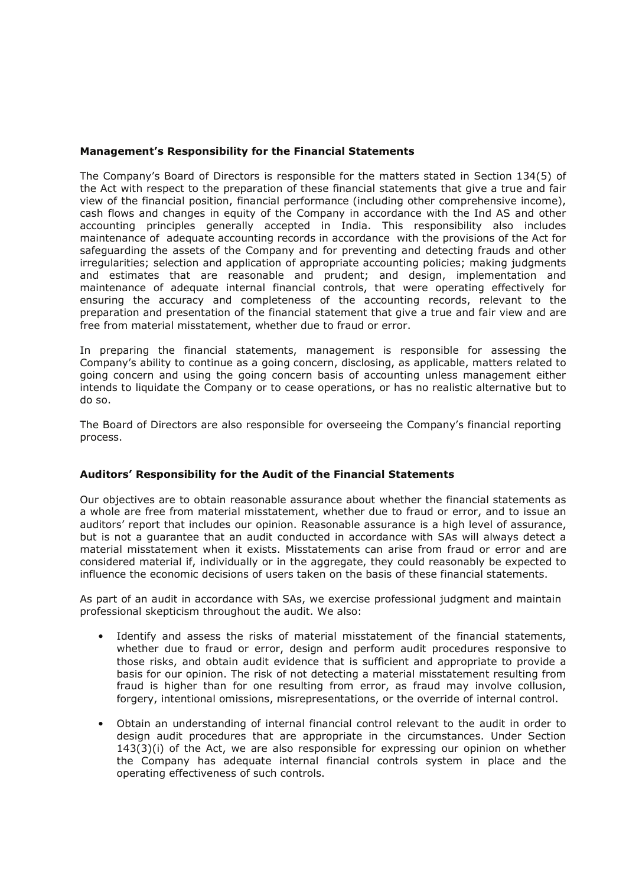#### Management's Responsibility for the Financial Statements

The Company's Board of Directors is responsible for the matters stated in Section 134(5) of the Act with respect to the preparation of these financial statements that give a true and fair view of the financial position, financial performance (including other comprehensive income), cash flows and changes in equity of the Company in accordance with the Ind AS and other accounting principles generally accepted in India. This responsibility also includes maintenance of adequate accounting records in accordance with the provisions of the Act for safeguarding the assets of the Company and for preventing and detecting frauds and other irregularities; selection and application of appropriate accounting policies; making judgments and estimates that are reasonable and prudent; and design, implementation and maintenance of adequate internal financial controls, that were operating effectively for ensuring the accuracy and completeness of the accounting records, relevant to the preparation and presentation of the financial statement that give a true and fair view and are free from material misstatement, whether due to fraud or error.

In preparing the financial statements, management is responsible for assessing the Company's ability to continue as a going concern, disclosing, as applicable, matters related to going concern and using the going concern basis of accounting unless management either intends to liquidate the Company or to cease operations, or has no realistic alternative but to do so.

The Board of Directors are also responsible for overseeing the Company's financial reporting process.

#### Auditors' Responsibility for the Audit of the Financial Statements

Our objectives are to obtain reasonable assurance about whether the financial statements as a whole are free from material misstatement, whether due to fraud or error, and to issue an auditors' report that includes our opinion. Reasonable assurance is a high level of assurance, but is not a quarantee that an audit conducted in accordance with SAs will always detect a material misstatement when it exists. Misstatements can arise from fraud or error and are considered material if, individually or in the aggregate, they could reasonably be expected to influence the economic decisions of users taken on the basis of these financial statements.

As part of an audit in accordance with SAs, we exercise professional judgment and maintain professional skepticism throughout the audit. We also:

- Identify and assess the risks of material misstatement of the financial statements, whether due to fraud or error, design and perform audit procedures responsive to those risks, and obtain audit evidence that is sufficient and appropriate to provide a basis for our opinion. The risk of not detecting a material misstatement resulting from fraud is higher than for one resulting from error, as fraud may involve collusion, forgery, intentional omissions, misrepresentations, or the override of internal control.
- Obtain an understanding of internal financial control relevant to the audit in order to design audit procedures that are appropriate in the circumstances. Under Section  $143(3)(i)$  of the Act, we are also responsible for expressing our opinion on whether the Company has adequate internal financial controls system in place and the operating effectiveness of such controls.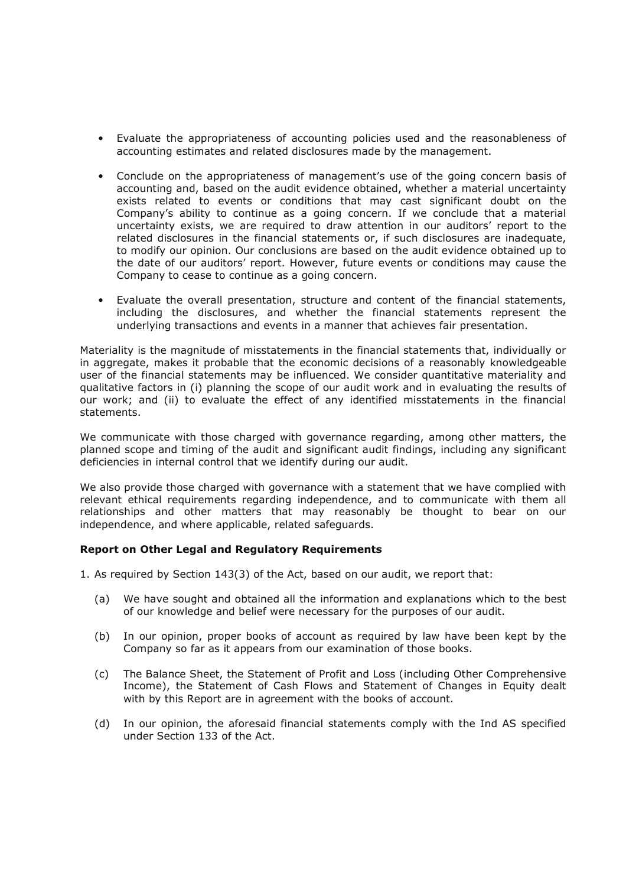- Evaluate the appropriateness of accounting policies used and the reasonableness of accounting estimates and related disclosures made by the management.
- Conclude on the appropriateness of management's use of the going concern basis of accounting and, based on the audit evidence obtained, whether a material uncertainty exists related to events or conditions that may cast significant doubt on the Company's ability to continue as a going concern. If we conclude that a material uncertainty exists, we are required to draw attention in our auditors' report to the related disclosures in the financial statements or, if such disclosures are inadequate, to modify our opinion. Our conclusions are based on the audit evidence obtained up to the date of our auditors' report. However, future events or conditions may cause the Company to cease to continue as a going concern.
- Evaluate the overall presentation, structure and content of the financial statements, including the disclosures, and whether the financial statements represent the underlying transactions and events in a manner that achieves fair presentation.

Materiality is the magnitude of misstatements in the financial statements that, individually or in aggregate, makes it probable that the economic decisions of a reasonably knowledgeable user of the financial statements may be influenced. We consider quantitative materiality and qualitative factors in (i) planning the scope of our audit work and in evaluating the results of our work; and (ii) to evaluate the effect of any identified misstatements in the financial statements.

We communicate with those charged with governance regarding, among other matters, the planned scope and timing of the audit and significant audit findings, including any significant deficiencies in internal control that we identify during our audit.

We also provide those charged with governance with a statement that we have complied with relevant ethical requirements regarding independence, and to communicate with them all relationships and other matters that may reasonably be thought to bear on our independence, and where applicable, related safequards.

#### **Report on Other Legal and Regulatory Requirements**

- 1. As required by Section 143(3) of the Act, based on our audit, we report that:
	- $(a)$ We have sought and obtained all the information and explanations which to the best of our knowledge and belief were necessary for the purposes of our audit.
	- In our opinion, proper books of account as required by law have been kept by the  $(b)$ Company so far as it appears from our examination of those books.
	- The Balance Sheet, the Statement of Profit and Loss (including Other Comprehensive  $(c)$ Income), the Statement of Cash Flows and Statement of Changes in Equity dealt with by this Report are in agreement with the books of account.
	- In our opinion, the aforesaid financial statements comply with the Ind AS specified  $(d)$ under Section 133 of the Act.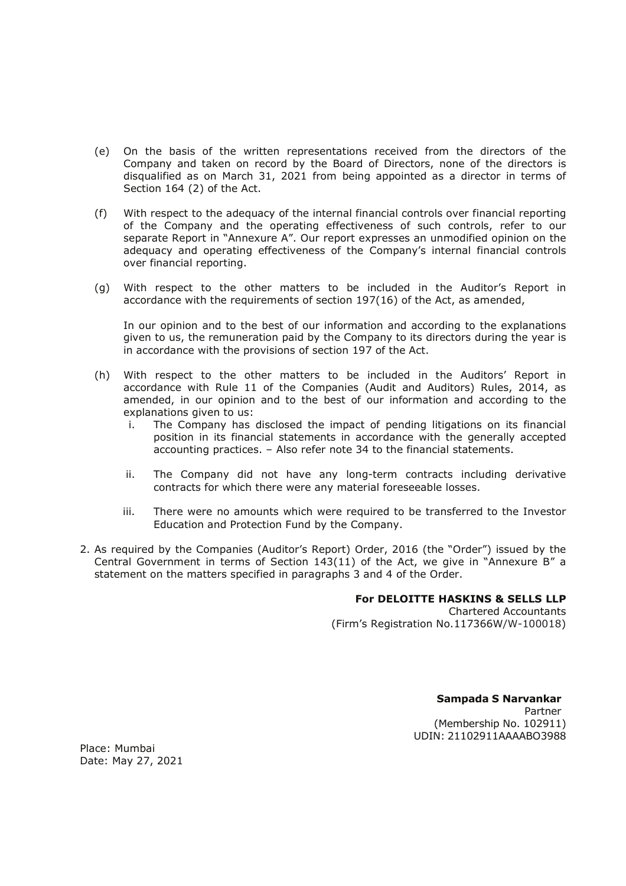- (e) On the basis of the written representations received from the directors of the Company and taken on record by the Board of Directors, none of the directors is disqualified as on March 31, 2021 from being appointed as a director in terms of Section 164 (2) of the Act.
- $(f)$ With respect to the adequacy of the internal financial controls over financial reporting of the Company and the operating effectiveness of such controls, refer to our separate Report in "Annexure A". Our report expresses an unmodified opinion on the adequacy and operating effectiveness of the Company's internal financial controls over financial reporting.
- (g) With respect to the other matters to be included in the Auditor's Report in accordance with the requirements of section 197(16) of the Act, as amended,

In our opinion and to the best of our information and according to the explanations given to us, the remuneration paid by the Company to its directors during the year is in accordance with the provisions of section 197 of the Act.

- (h) With respect to the other matters to be included in the Auditors' Report in accordance with Rule 11 of the Companies (Audit and Auditors) Rules, 2014, as amended, in our opinion and to the best of our information and according to the explanations given to us:
	- The Company has disclosed the impact of pending litigations on its financial j. position in its financial statements in accordance with the generally accepted accounting practices. - Also refer note 34 to the financial statements.
	- ii. The Company did not have any long-term contracts including derivative contracts for which there were any material foreseeable losses.
	- iii. There were no amounts which were required to be transferred to the Investor Education and Protection Fund by the Company.
- 2. As required by the Companies (Auditor's Report) Order, 2016 (the "Order") issued by the Central Government in terms of Section 143(11) of the Act, we give in "Annexure B" a statement on the matters specified in paragraphs 3 and 4 of the Order.

#### For DELOITTE HASKINS & SELLS LLP

**Chartered Accountants** (Firm's Registration No.117366W/W-100018)

> Sampada S Narvankar Partner (Membership No. 102911) UDIN: 21102911AAAABO3988

Place: Mumbai Date: May 27, 2021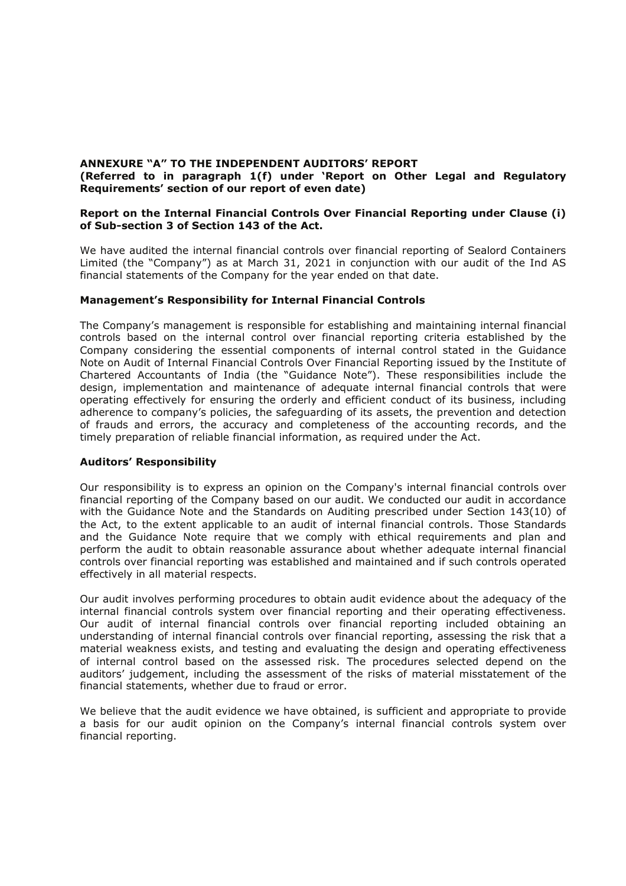#### ANNEXURE "A" TO THE INDEPENDENT AUDITORS' REPORT (Referred to in paragraph 1(f) under 'Report on Other Legal and Regulatory Requirements' section of our report of even date)

#### Report on the Internal Financial Controls Over Financial Reporting under Clause (i) of Sub-section 3 of Section 143 of the Act.

We have audited the internal financial controls over financial reporting of Sealord Containers Limited (the "Company") as at March 31, 2021 in conjunction with our audit of the Ind AS financial statements of the Company for the year ended on that date.

#### Management's Responsibility for Internal Financial Controls

The Company's management is responsible for establishing and maintaining internal financial controls based on the internal control over financial reporting criteria established by the Company considering the essential components of internal control stated in the Guidance Note on Audit of Internal Financial Controls Over Financial Reporting issued by the Institute of Chartered Accountants of India (the "Guidance Note"). These responsibilities include the design, implementation and maintenance of adequate internal financial controls that were operating effectively for ensuring the orderly and efficient conduct of its business, including adherence to company's policies, the safeguarding of its assets, the prevention and detection of frauds and errors, the accuracy and completeness of the accounting records, and the timely preparation of reliable financial information, as required under the Act.

#### **Auditors' Responsibility**

Our responsibility is to express an opinion on the Company's internal financial controls over financial reporting of the Company based on our audit. We conducted our audit in accordance with the Guidance Note and the Standards on Auditing prescribed under Section 143(10) of the Act, to the extent applicable to an audit of internal financial controls. Those Standards and the Guidance Note require that we comply with ethical requirements and plan and perform the audit to obtain reasonable assurance about whether adequate internal financial controls over financial reporting was established and maintained and if such controls operated effectively in all material respects.

Our audit involves performing procedures to obtain audit evidence about the adequacy of the internal financial controls system over financial reporting and their operating effectiveness. Our audit of internal financial controls over financial reporting included obtaining an understanding of internal financial controls over financial reporting, assessing the risk that a material weakness exists, and testing and evaluating the design and operating effectiveness of internal control based on the assessed risk. The procedures selected depend on the auditors' judgement, including the assessment of the risks of material misstatement of the financial statements, whether due to fraud or error.

We believe that the audit evidence we have obtained, is sufficient and appropriate to provide a basis for our audit opinion on the Company's internal financial controls system over financial reporting.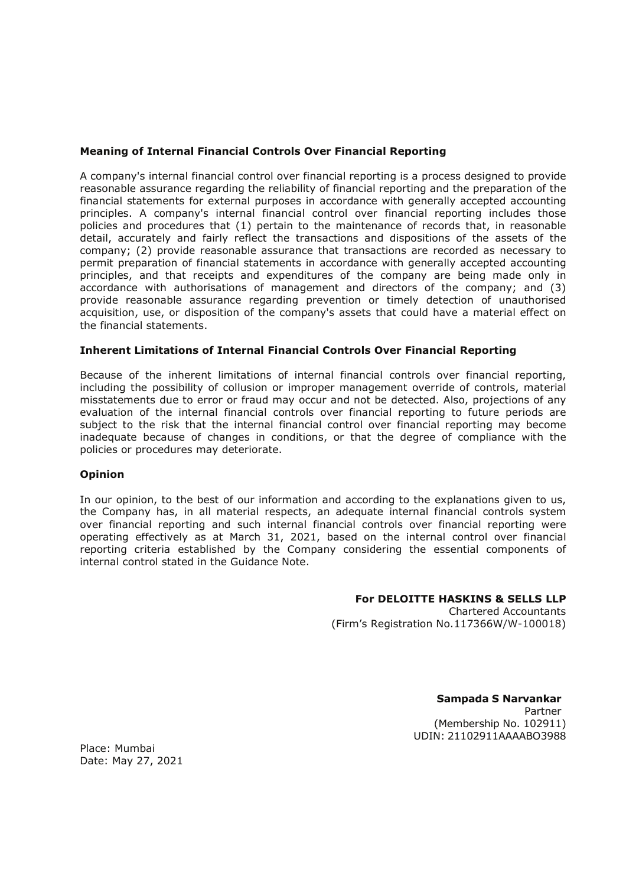#### **Meaning of Internal Financial Controls Over Financial Reporting**

A company's internal financial control over financial reporting is a process designed to provide reasonable assurance regarding the reliability of financial reporting and the preparation of the financial statements for external purposes in accordance with generally accepted accounting principles. A company's internal financial control over financial reporting includes those policies and procedures that (1) pertain to the maintenance of records that, in reasonable detail, accurately and fairly reflect the transactions and dispositions of the assets of the company; (2) provide reasonable assurance that transactions are recorded as necessary to permit preparation of financial statements in accordance with generally accepted accounting principles, and that receipts and expenditures of the company are being made only in accordance with authorisations of management and directors of the company; and (3) provide reasonable assurance regarding prevention or timely detection of unauthorised acquisition, use, or disposition of the company's assets that could have a material effect on the financial statements.

#### **Inherent Limitations of Internal Financial Controls Over Financial Reporting**

Because of the inherent limitations of internal financial controls over financial reporting, including the possibility of collusion or improper management override of controls, material misstatements due to error or fraud may occur and not be detected. Also, projections of any evaluation of the internal financial controls over financial reporting to future periods are subject to the risk that the internal financial control over financial reporting may become inadequate because of changes in conditions, or that the degree of compliance with the policies or procedures may deteriorate.

#### **Opinion**

In our opinion, to the best of our information and according to the explanations given to us, the Company has, in all material respects, an adequate internal financial controls system over financial reporting and such internal financial controls over financial reporting were operating effectively as at March 31, 2021, based on the internal control over financial reporting criteria established by the Company considering the essential components of internal control stated in the Guidance Note.

#### For DELOITTE HASKINS & SELLS LLP

**Chartered Accountants** (Firm's Registration No.117366W/W-100018)

> Sampada S Narvankar Partner (Membership No. 102911) UDIN: 21102911AAAABO3988

Place: Mumbai Date: May 27, 2021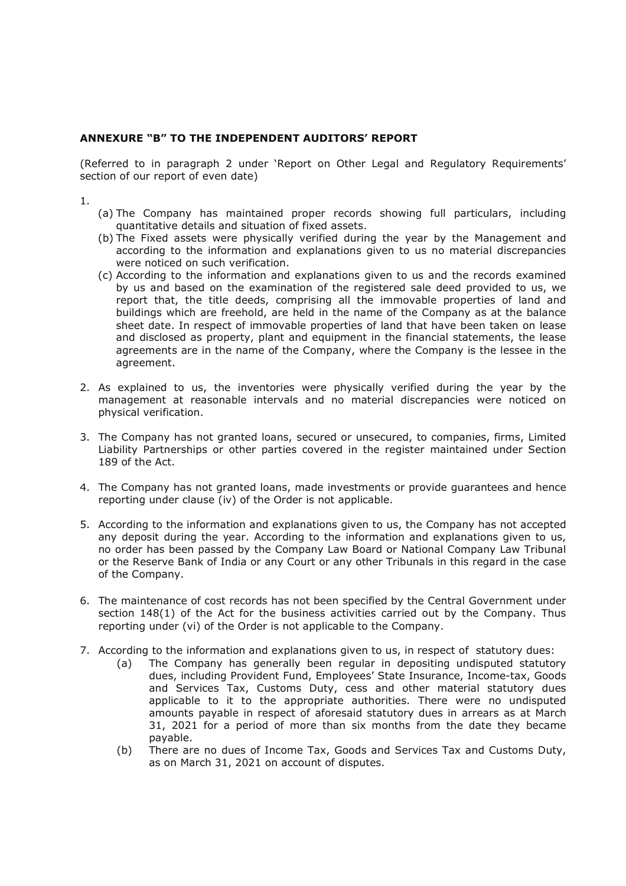#### ANNEXURE "B" TO THE INDEPENDENT AUDITORS' REPORT

(Referred to in paragraph 2 under 'Report on Other Legal and Regulatory Requirements' section of our report of even date)

 $1.$ 

- (a) The Company has maintained proper records showing full particulars, including quantitative details and situation of fixed assets.
- (b) The Fixed assets were physically verified during the year by the Management and according to the information and explanations given to us no material discrepancies were noticed on such verification.
- (c) According to the information and explanations given to us and the records examined by us and based on the examination of the registered sale deed provided to us, we report that, the title deeds, comprising all the immovable properties of land and buildings which are freehold, are held in the name of the Company as at the balance sheet date. In respect of immovable properties of land that have been taken on lease and disclosed as property, plant and equipment in the financial statements, the lease agreements are in the name of the Company, where the Company is the lessee in the agreement.
- 2. As explained to us, the inventories were physically verified during the year by the management at reasonable intervals and no material discrepancies were noticed on physical verification.
- 3. The Company has not granted loans, secured or unsecured, to companies, firms, Limited Liability Partnerships or other parties covered in the register maintained under Section 189 of the Act.
- 4. The Company has not granted loans, made investments or provide quarantees and hence reporting under clause (iv) of the Order is not applicable.
- 5. According to the information and explanations given to us, the Company has not accepted any deposit during the year. According to the information and explanations given to us, no order has been passed by the Company Law Board or National Company Law Tribunal or the Reserve Bank of India or any Court or any other Tribunals in this regard in the case of the Company.
- 6. The maintenance of cost records has not been specified by the Central Government under section 148(1) of the Act for the business activities carried out by the Company. Thus reporting under (vi) of the Order is not applicable to the Company.
- 7. According to the information and explanations given to us, in respect of statutory dues:
	- The Company has generally been regular in depositing undisputed statutory  $(a)$ dues, including Provident Fund, Employees' State Insurance, Income-tax, Goods and Services Tax, Customs Duty, cess and other material statutory dues applicable to it to the appropriate authorities. There were no undisputed amounts payable in respect of aforesaid statutory dues in arrears as at March 31, 2021 for a period of more than six months from the date they became payable.
	- $(b)$ There are no dues of Income Tax, Goods and Services Tax and Customs Duty, as on March 31, 2021 on account of disputes.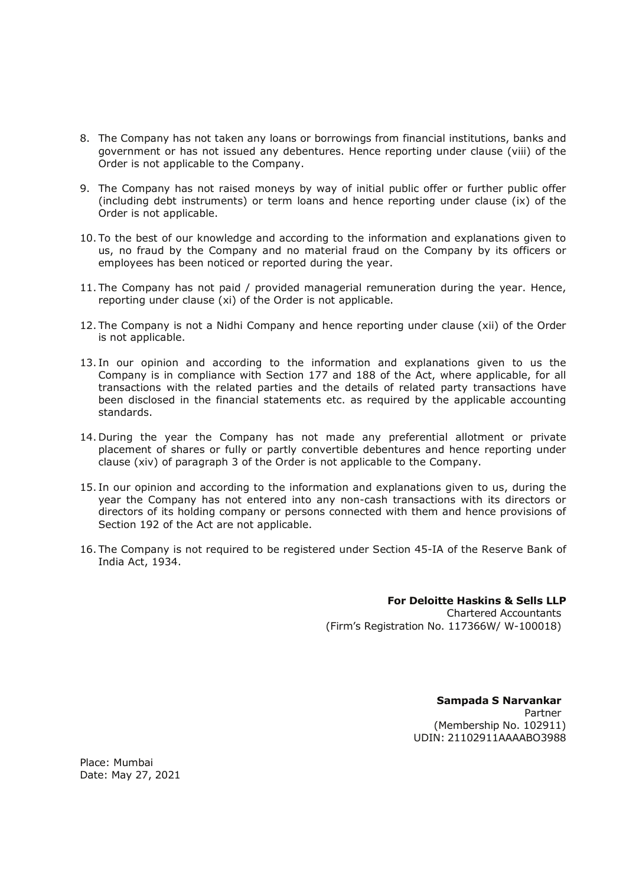- 8. The Company has not taken any loans or borrowings from financial institutions, banks and government or has not issued any debentures. Hence reporting under clause (viii) of the Order is not applicable to the Company.
- 9. The Company has not raised moneys by way of initial public offer or further public offer (including debt instruments) or term loans and hence reporting under clause (ix) of the Order is not applicable.
- 10. To the best of our knowledge and according to the information and explanations given to us, no fraud by the Company and no material fraud on the Company by its officers or employees has been noticed or reported during the year.
- 11. The Company has not paid / provided managerial remuneration during the year. Hence, reporting under clause (xi) of the Order is not applicable.
- 12. The Company is not a Nidhi Company and hence reporting under clause (xii) of the Order is not applicable.
- 13. In our opinion and according to the information and explanations given to us the Company is in compliance with Section 177 and 188 of the Act, where applicable, for all transactions with the related parties and the details of related party transactions have been disclosed in the financial statements etc. as required by the applicable accounting standards.
- 14. During the year the Company has not made any preferential allotment or private placement of shares or fully or partly convertible debentures and hence reporting under clause (xiv) of paragraph 3 of the Order is not applicable to the Company.
- 15. In our opinion and according to the information and explanations given to us, during the year the Company has not entered into any non-cash transactions with its directors or directors of its holding company or persons connected with them and hence provisions of Section 192 of the Act are not applicable.
- 16. The Company is not required to be registered under Section 45-IA of the Reserve Bank of India Act, 1934.

### **For Deloitte Haskins & Sells II P**

**Chartered Accountants** (Firm's Registration No. 117366W/ W-100018)

> Sampada S Narvankar Partner (Membership No. 102911) UDIN: 21102911AAAAB03988

Place: Mumbai Date: May 27, 2021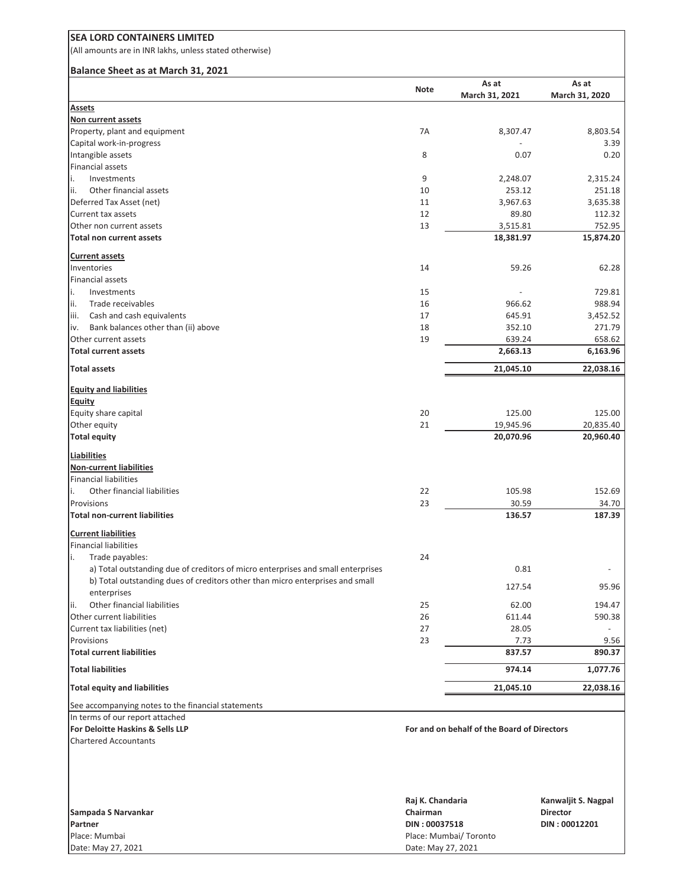(All amounts are in INR lakhs, unless stated otherwise)

#### **Balance Sheet as at March 31, 2021**

|                                                                                  | <b>Note</b> | As at                                       | As at          |
|----------------------------------------------------------------------------------|-------------|---------------------------------------------|----------------|
| Assets                                                                           |             | March 31, 2021                              | March 31, 2020 |
| Non current assets                                                               |             |                                             |                |
| Property, plant and equipment                                                    | 7A          | 8,307.47                                    | 8,803.54       |
| Capital work-in-progress                                                         |             |                                             | 3.39           |
| Intangible assets                                                                | 8           | 0.07                                        | 0.20           |
| <b>Financial assets</b>                                                          |             |                                             |                |
| i.<br>Investments                                                                | 9           | 2,248.07                                    | 2,315.24       |
| ii.<br>Other financial assets                                                    | 10          | 253.12                                      | 251.18         |
| Deferred Tax Asset (net)                                                         | 11          | 3,967.63                                    | 3,635.38       |
| Current tax assets                                                               | 12          | 89.80                                       | 112.32         |
| Other non current assets                                                         | 13          | 3,515.81                                    | 752.95         |
| <b>Total non current assets</b>                                                  |             | 18,381.97                                   | 15,874.20      |
| <b>Current assets</b>                                                            |             |                                             |                |
| Inventories                                                                      | 14          | 59.26                                       | 62.28          |
| Financial assets                                                                 |             |                                             |                |
| i.<br>Investments                                                                | 15          |                                             | 729.81         |
| ii.<br>Trade receivables                                                         | 16          | 966.62                                      | 988.94         |
| Cash and cash equivalents<br>iii.                                                | 17          | 645.91                                      | 3,452.52       |
| Bank balances other than (ii) above<br>iv.                                       | 18          | 352.10                                      | 271.79         |
| Other current assets                                                             | 19          | 639.24                                      | 658.62         |
| <b>Total current assets</b>                                                      |             | 2,663.13                                    | 6,163.96       |
|                                                                                  |             |                                             |                |
| <b>Total assets</b>                                                              |             | 21,045.10                                   | 22,038.16      |
| <b>Equity and liabilities</b>                                                    |             |                                             |                |
| <b>Equity</b>                                                                    |             |                                             |                |
| Equity share capital                                                             | 20          | 125.00                                      | 125.00         |
| Other equity                                                                     | 21          | 19,945.96                                   | 20,835.40      |
| <b>Total equity</b>                                                              |             | 20,070.96                                   | 20,960.40      |
| <b>Liabilities</b>                                                               |             |                                             |                |
| <b>Non-current liabilities</b>                                                   |             |                                             |                |
| <b>Financial liabilities</b>                                                     |             |                                             |                |
| Other financial liabilities<br>i.                                                | 22          | 105.98                                      | 152.69         |
| Provisions                                                                       | 23          | 30.59                                       | 34.70          |
| <b>Total non-current liabilities</b>                                             |             | 136.57                                      | 187.39         |
|                                                                                  |             |                                             |                |
| <b>Current liabilities</b>                                                       |             |                                             |                |
| <b>Financial liabilities</b>                                                     |             |                                             |                |
| Trade payables:<br>i.                                                            | 24          |                                             |                |
| a) Total outstanding due of creditors of micro enterprises and small enterprises |             | 0.81                                        |                |
| b) Total outstanding dues of creditors other than micro enterprises and small    |             | 127.54                                      | 95.96          |
| enterprises                                                                      |             |                                             |                |
| Other financial liabilities<br>ii.                                               | 25          | 62.00                                       | 194.47         |
| Other current liabilities                                                        | 26          | 611.44                                      | 590.38         |
| Current tax liabilities (net)                                                    | 27          | 28.05                                       |                |
| Provisions                                                                       | 23          | 7.73                                        | 9.56           |
| <b>Total current liabilities</b>                                                 |             | 837.57                                      | 890.37         |
| <b>Total liabilities</b>                                                         |             | 974.14                                      | 1,077.76       |
| <b>Total equity and liabilities</b>                                              |             | 21,045.10                                   | 22,038.16      |
| See accompanying notes to the financial statements                               |             |                                             |                |
| In terms of our report attached                                                  |             |                                             |                |
| For Deloitte Haskins & Sells LLP                                                 |             | For and on behalf of the Board of Directors |                |
| <b>Chartered Accountants</b>                                                     |             |                                             |                |

|                     | Raj K. Chandaria       | Kanwaljit S. Nagpal |
|---------------------|------------------------|---------------------|
| Sampada S Narvankar | Chairman               | <b>Director</b>     |
| Partner             | DIN: 00037518          | DIN: 00012201       |
| Place: Mumbai       | Place: Mumbai/ Toronto |                     |
| Date: May 27, 2021  | Date: May 27, 2021     |                     |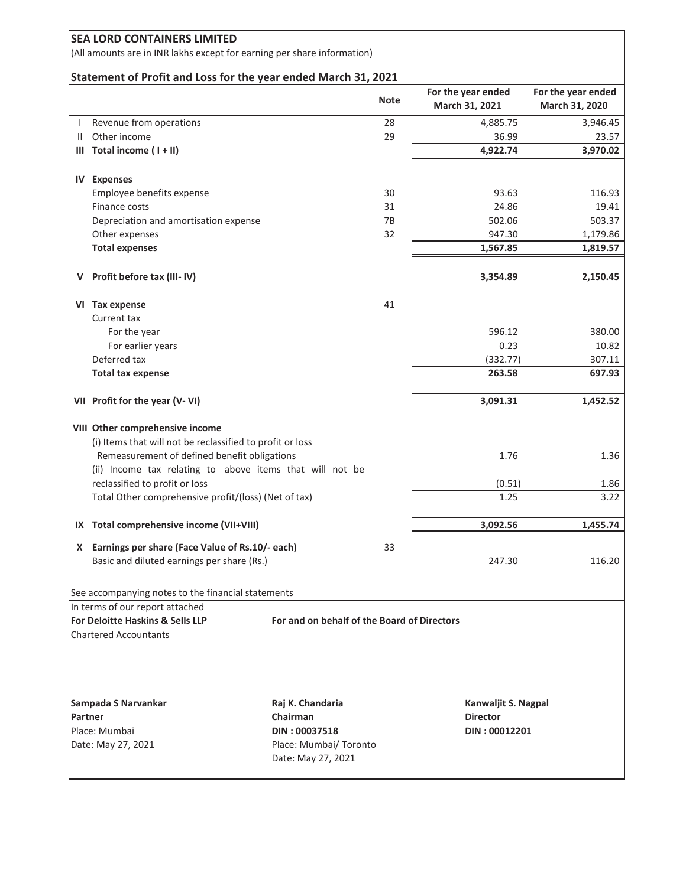(All amounts are in INR lakhs except for earning per share information)

#### **Statement of Profit and Loss for the year ended March 31, 2021**

|                          |                                                                                                                                                                                                                                                                                                                                                                                                                                                                                                                              | <b>Note</b>                                                                                                                                                                                                                                                                                                                                                                                                                     | For the year ended                 | For the year ended<br>March 31, 2020                                                                                                                                               |
|--------------------------|------------------------------------------------------------------------------------------------------------------------------------------------------------------------------------------------------------------------------------------------------------------------------------------------------------------------------------------------------------------------------------------------------------------------------------------------------------------------------------------------------------------------------|---------------------------------------------------------------------------------------------------------------------------------------------------------------------------------------------------------------------------------------------------------------------------------------------------------------------------------------------------------------------------------------------------------------------------------|------------------------------------|------------------------------------------------------------------------------------------------------------------------------------------------------------------------------------|
|                          |                                                                                                                                                                                                                                                                                                                                                                                                                                                                                                                              |                                                                                                                                                                                                                                                                                                                                                                                                                                 |                                    | 3,946.45                                                                                                                                                                           |
|                          |                                                                                                                                                                                                                                                                                                                                                                                                                                                                                                                              |                                                                                                                                                                                                                                                                                                                                                                                                                                 |                                    | 23.57                                                                                                                                                                              |
|                          |                                                                                                                                                                                                                                                                                                                                                                                                                                                                                                                              |                                                                                                                                                                                                                                                                                                                                                                                                                                 |                                    | 3,970.02                                                                                                                                                                           |
|                          |                                                                                                                                                                                                                                                                                                                                                                                                                                                                                                                              |                                                                                                                                                                                                                                                                                                                                                                                                                                 |                                    |                                                                                                                                                                                    |
|                          |                                                                                                                                                                                                                                                                                                                                                                                                                                                                                                                              |                                                                                                                                                                                                                                                                                                                                                                                                                                 |                                    |                                                                                                                                                                                    |
|                          |                                                                                                                                                                                                                                                                                                                                                                                                                                                                                                                              | 30                                                                                                                                                                                                                                                                                                                                                                                                                              | 93.63                              | 116.93                                                                                                                                                                             |
| Finance costs            |                                                                                                                                                                                                                                                                                                                                                                                                                                                                                                                              | 31                                                                                                                                                                                                                                                                                                                                                                                                                              | 24.86                              | 19.41                                                                                                                                                                              |
|                          |                                                                                                                                                                                                                                                                                                                                                                                                                                                                                                                              | 7B                                                                                                                                                                                                                                                                                                                                                                                                                              | 502.06                             | 503.37                                                                                                                                                                             |
|                          |                                                                                                                                                                                                                                                                                                                                                                                                                                                                                                                              | 32                                                                                                                                                                                                                                                                                                                                                                                                                              |                                    | 1,179.86                                                                                                                                                                           |
| <b>Total expenses</b>    |                                                                                                                                                                                                                                                                                                                                                                                                                                                                                                                              |                                                                                                                                                                                                                                                                                                                                                                                                                                 | 1,567.85                           | 1,819.57                                                                                                                                                                           |
|                          |                                                                                                                                                                                                                                                                                                                                                                                                                                                                                                                              |                                                                                                                                                                                                                                                                                                                                                                                                                                 |                                    |                                                                                                                                                                                    |
|                          |                                                                                                                                                                                                                                                                                                                                                                                                                                                                                                                              |                                                                                                                                                                                                                                                                                                                                                                                                                                 |                                    | 2,150.45                                                                                                                                                                           |
|                          |                                                                                                                                                                                                                                                                                                                                                                                                                                                                                                                              | 41                                                                                                                                                                                                                                                                                                                                                                                                                              |                                    |                                                                                                                                                                                    |
| Current tax              |                                                                                                                                                                                                                                                                                                                                                                                                                                                                                                                              |                                                                                                                                                                                                                                                                                                                                                                                                                                 |                                    |                                                                                                                                                                                    |
| For the year             |                                                                                                                                                                                                                                                                                                                                                                                                                                                                                                                              |                                                                                                                                                                                                                                                                                                                                                                                                                                 | 596.12                             | 380.00                                                                                                                                                                             |
| For earlier years        |                                                                                                                                                                                                                                                                                                                                                                                                                                                                                                                              |                                                                                                                                                                                                                                                                                                                                                                                                                                 | 0.23                               | 10.82                                                                                                                                                                              |
| Deferred tax             |                                                                                                                                                                                                                                                                                                                                                                                                                                                                                                                              |                                                                                                                                                                                                                                                                                                                                                                                                                                 | (332.77)                           | 307.11                                                                                                                                                                             |
| <b>Total tax expense</b> |                                                                                                                                                                                                                                                                                                                                                                                                                                                                                                                              |                                                                                                                                                                                                                                                                                                                                                                                                                                 | 263.58                             | 697.93                                                                                                                                                                             |
|                          |                                                                                                                                                                                                                                                                                                                                                                                                                                                                                                                              |                                                                                                                                                                                                                                                                                                                                                                                                                                 | 3,091.31                           | 1,452.52                                                                                                                                                                           |
|                          |                                                                                                                                                                                                                                                                                                                                                                                                                                                                                                                              |                                                                                                                                                                                                                                                                                                                                                                                                                                 | 1.76                               | 1.36                                                                                                                                                                               |
|                          |                                                                                                                                                                                                                                                                                                                                                                                                                                                                                                                              |                                                                                                                                                                                                                                                                                                                                                                                                                                 |                                    | 1.86                                                                                                                                                                               |
|                          |                                                                                                                                                                                                                                                                                                                                                                                                                                                                                                                              |                                                                                                                                                                                                                                                                                                                                                                                                                                 | 1.25                               | 3.22                                                                                                                                                                               |
|                          |                                                                                                                                                                                                                                                                                                                                                                                                                                                                                                                              |                                                                                                                                                                                                                                                                                                                                                                                                                                 |                                    |                                                                                                                                                                                    |
|                          |                                                                                                                                                                                                                                                                                                                                                                                                                                                                                                                              |                                                                                                                                                                                                                                                                                                                                                                                                                                 |                                    | 1,455.74                                                                                                                                                                           |
|                          |                                                                                                                                                                                                                                                                                                                                                                                                                                                                                                                              | 33                                                                                                                                                                                                                                                                                                                                                                                                                              | 247.30                             | 116.20                                                                                                                                                                             |
|                          |                                                                                                                                                                                                                                                                                                                                                                                                                                                                                                                              |                                                                                                                                                                                                                                                                                                                                                                                                                                 |                                    |                                                                                                                                                                                    |
|                          |                                                                                                                                                                                                                                                                                                                                                                                                                                                                                                                              |                                                                                                                                                                                                                                                                                                                                                                                                                                 |                                    |                                                                                                                                                                                    |
|                          |                                                                                                                                                                                                                                                                                                                                                                                                                                                                                                                              |                                                                                                                                                                                                                                                                                                                                                                                                                                 |                                    |                                                                                                                                                                                    |
|                          |                                                                                                                                                                                                                                                                                                                                                                                                                                                                                                                              |                                                                                                                                                                                                                                                                                                                                                                                                                                 |                                    |                                                                                                                                                                                    |
|                          | Raj K. Chandaria                                                                                                                                                                                                                                                                                                                                                                                                                                                                                                             |                                                                                                                                                                                                                                                                                                                                                                                                                                 |                                    |                                                                                                                                                                                    |
|                          | Chairman                                                                                                                                                                                                                                                                                                                                                                                                                                                                                                                     |                                                                                                                                                                                                                                                                                                                                                                                                                                 | <b>Director</b>                    |                                                                                                                                                                                    |
|                          | DIN: 00037518                                                                                                                                                                                                                                                                                                                                                                                                                                                                                                                |                                                                                                                                                                                                                                                                                                                                                                                                                                 |                                    |                                                                                                                                                                                    |
|                          | Date: May 27, 2021                                                                                                                                                                                                                                                                                                                                                                                                                                                                                                           |                                                                                                                                                                                                                                                                                                                                                                                                                                 |                                    |                                                                                                                                                                                    |
| v.                       | Revenue from operations<br>Other income<br>III Total income (I + II)<br><b>IV Expenses</b><br>Employee benefits expense<br>Other expenses<br>Profit before tax (III-IV)<br>VI Tax expense<br>VII Profit for the year (V-VI)<br>VIII Other comprehensive income<br>reclassified to profit or loss<br>IX Total comprehensive income (VII+VIII)<br>In terms of our report attached<br>For Deloitte Haskins & Sells LLP<br><b>Chartered Accountants</b><br>Sampada S Narvankar<br>Partner<br>Place: Mumbai<br>Date: May 27, 2021 | Depreciation and amortisation expense<br>(i) Items that will not be reclassified to profit or loss<br>Remeasurement of defined benefit obligations<br>(ii) Income tax relating to above items that will not be<br>Total Other comprehensive profit/(loss) (Net of tax)<br>X Earnings per share (Face Value of Rs.10/- each)<br>Basic and diluted earnings per share (Rs.)<br>See accompanying notes to the financial statements | 28<br>29<br>Place: Mumbai/ Toronto | March 31, 2021<br>4,885.75<br>36.99<br>4,922.74<br>947.30<br>3,354.89<br>(0.51)<br>3,092.56<br>For and on behalf of the Board of Directors<br>Kanwaljit S. Nagpal<br>DIN: 00012201 |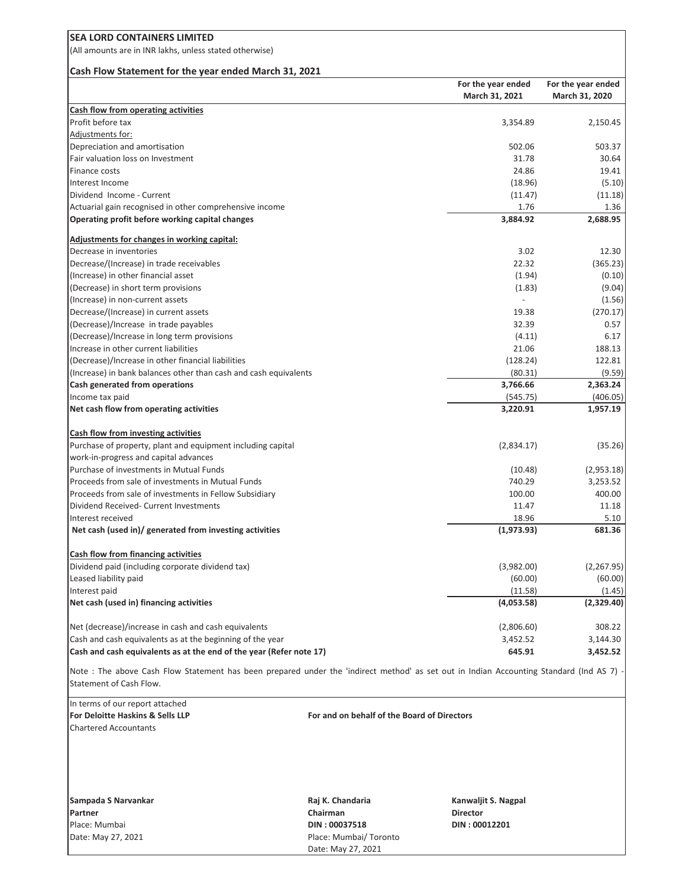(All amounts are in INR lakhs, unless stated otherwise)

#### **Cash Flow Statement for the year ended March 31, 2021**

|                                                                     | For the year ended       | For the year ended |
|---------------------------------------------------------------------|--------------------------|--------------------|
|                                                                     | March 31, 2021           | March 31, 2020     |
| Cash flow from operating activities                                 |                          |                    |
| Profit before tax                                                   | 3,354.89                 | 2,150.45           |
| Adjustments for:                                                    |                          |                    |
| Depreciation and amortisation                                       | 502.06                   | 503.37             |
| Fair valuation loss on Investment                                   | 31.78                    | 30.64              |
| Finance costs                                                       | 24.86                    | 19.41              |
| Interest Income                                                     | (18.96)                  | (5.10)             |
| Dividend Income - Current                                           | (11.47)                  | (11.18)            |
| Actuarial gain recognised in other comprehensive income             | 1.76                     | 1.36               |
| Operating profit before working capital changes                     | 3,884.92                 | 2,688.95           |
| Adjustments for changes in working capital:                         |                          |                    |
| Decrease in inventories                                             | 3.02                     | 12.30              |
| Decrease/(Increase) in trade receivables                            | 22.32                    | (365.23)           |
| (Increase) in other financial asset                                 | (1.94)                   | (0.10)             |
| (Decrease) in short term provisions                                 | (1.83)                   | (9.04)             |
| (Increase) in non-current assets                                    | $\overline{\phantom{a}}$ | (1.56)             |
| Decrease/(Increase) in current assets                               | 19.38                    | (270.17)           |
| (Decrease)/Increase in trade payables                               | 32.39                    | 0.57               |
| (Decrease)/Increase in long term provisions                         | (4.11)                   | 6.17               |
| Increase in other current liabilities                               | 21.06                    | 188.13             |
| (Decrease)/Increase in other financial liabilities                  | (128.24)                 | 122.81             |
| (Increase) in bank balances other than cash and cash equivalents    | (80.31)                  | (9.59)             |
| Cash generated from operations                                      | 3,766.66                 | 2,363.24           |
| Income tax paid                                                     | (545.75)                 | (406.05)           |
| Net cash flow from operating activities                             | 3,220.91                 | 1,957.19           |
| <b>Cash flow from investing activities</b>                          |                          |                    |
| Purchase of property, plant and equipment including capital         | (2,834.17)               | (35.26)            |
| work-in-progress and capital advances                               |                          |                    |
| Purchase of investments in Mutual Funds                             | (10.48)                  | (2,953.18)         |
| Proceeds from sale of investments in Mutual Funds                   | 740.29                   | 3,253.52           |
| Proceeds from sale of investments in Fellow Subsidiary              | 100.00                   | 400.00             |
| Dividend Received- Current Investments                              | 11.47                    | 11.18              |
| Interest received                                                   | 18.96                    | 5.10               |
| Net cash (used in)/ generated from investing activities             | (1,973.93)               | 681.36             |
| <b>Cash flow from financing activities</b>                          |                          |                    |
| Dividend paid (including corporate dividend tax)                    | (3,982.00)               | (2, 267.95)        |
| Leased liability paid                                               | (60.00)                  | (60.00)            |
| Interest paid                                                       | (11.58)                  | (1.45)             |
| Net cash (used in) financing activities                             | (4,053.58)               | (2,329.40)         |
|                                                                     |                          |                    |
| Net (decrease)/increase in cash and cash equivalents                | (2,806.60)               | 308.22             |
| Cash and cash equivalents as at the beginning of the year           | 3,452.52                 | 3,144.30           |
| Cash and cash equivalents as at the end of the year (Refer note 17) | 645.91                   | 3,452.52           |

Note : The above Cash Flow Statement has been prepared under the 'indirect method' as set out in Indian Accounting Standard (Ind AS 7) Statement of Cash Flow.

In terms of our report attached Chartered Accountants

**For Deloitte Haskins & Sells LLP** For and on behalf of the Board of Directors

**Sampada S Narvankar Raj K. Chandaria Kanwaljit S. Nagpal**

**Partner Chairman Director Chairman Director** Place: Mumbai **DIN : 00037518 DIN : 00012201** Date: May 27, 2021 **Place: Mumbai/ Toronto** Date: May 27, 2021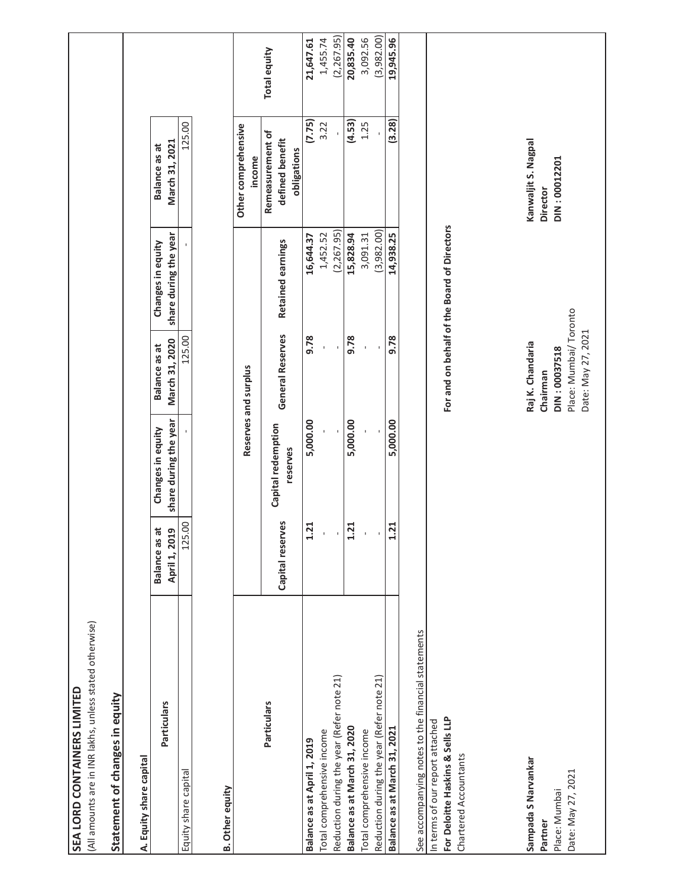| (All amounts are in INR lakhs, unless stated otherwise)<br><b>SEA LORD CONTAINERS LIMITED</b> |                                                 |                                            |                                             |                                             |                                                    |              |
|-----------------------------------------------------------------------------------------------|-------------------------------------------------|--------------------------------------------|---------------------------------------------|---------------------------------------------|----------------------------------------------------|--------------|
| Statement of changes in equity                                                                |                                                 |                                            |                                             |                                             |                                                    |              |
| A. Equity share capital                                                                       |                                                 |                                            |                                             |                                             |                                                    |              |
| Particulars                                                                                   | $\vec{a}$<br>April 1, 2019<br><b>Balance as</b> | share during the year<br>Changes in equity | March 31, 2020<br>Balance as at             | share during the year<br>Changes in equity  | March 31, 2021<br>Balance as at                    |              |
| Equity share capital                                                                          | 125.00                                          |                                            | 125.00                                      |                                             | 125.00                                             |              |
| <b>B.</b> Other equity                                                                        |                                                 |                                            |                                             |                                             |                                                    |              |
|                                                                                               |                                                 |                                            | Reserves and surplus                        |                                             | Other comprehensive<br>income                      |              |
| Particulars                                                                                   | Capital reserves                                | Capital redemption<br>reserves             | General Reserves                            | Retained earnings                           | Remeasurement of<br>defined benefit<br>obligations | Total equity |
| Balance as at April 1, 2019                                                                   | 1.21                                            | 5,000.00                                   | 9.78                                        | 16,644.37                                   | (7.75)                                             | 21,647.61    |
| Total comprehensive income                                                                    |                                                 |                                            |                                             | 1,452.52                                    | 3.22                                               | 1,455.74     |
| Reduction during the year (Refer note 21)                                                     |                                                 |                                            |                                             | (2,267.95)                                  |                                                    | (2,267.95)   |
| Balance as at March 31, 2020                                                                  | $\frac{1}{21}$                                  | 5,000.00                                   | 9.78                                        | 15,828.94                                   | (4.53)                                             | 20,835.40    |
| Total comprehensive income                                                                    |                                                 |                                            |                                             | 3,091.31                                    | 1.25                                               | 3,092.56     |
| Reduction during the year (Refer note 21)                                                     |                                                 |                                            |                                             | (3,982.00)                                  |                                                    | (3,982.00)   |
| Balance as at March 31, 2021                                                                  | $\ddot{z}$<br>1                                 | 5,000.00                                   | 9.78                                        | 14,938.25                                   | (3.28)                                             | 19,945.96    |
| See accompanying notes to the financial statements                                            |                                                 |                                            |                                             |                                             |                                                    |              |
| In terms of our report attached                                                               |                                                 |                                            |                                             |                                             |                                                    |              |
| For Deloitte Haskins & Sells LLP<br>Chartered Accountants                                     |                                                 |                                            |                                             | For and on behalf of the Board of Directors |                                                    |              |
|                                                                                               |                                                 |                                            |                                             |                                             |                                                    |              |
| Sampada S Narvankar                                                                           |                                                 |                                            | Raj K. Chandaria                            |                                             | Kanwaljit S. Nagpal                                |              |
| Partner                                                                                       |                                                 |                                            | Chairman                                    |                                             | <b>Director</b>                                    |              |
| Place: Mumbai                                                                                 |                                                 |                                            | DIN: 00037518                               |                                             | DIN: 00012201                                      |              |
| Date: May 27, 2021                                                                            |                                                 |                                            | Place: Mumbai/Toronto<br>Date: May 27, 2021 |                                             |                                                    |              |
|                                                                                               |                                                 |                                            |                                             |                                             |                                                    |              |
|                                                                                               |                                                 |                                            |                                             |                                             |                                                    |              |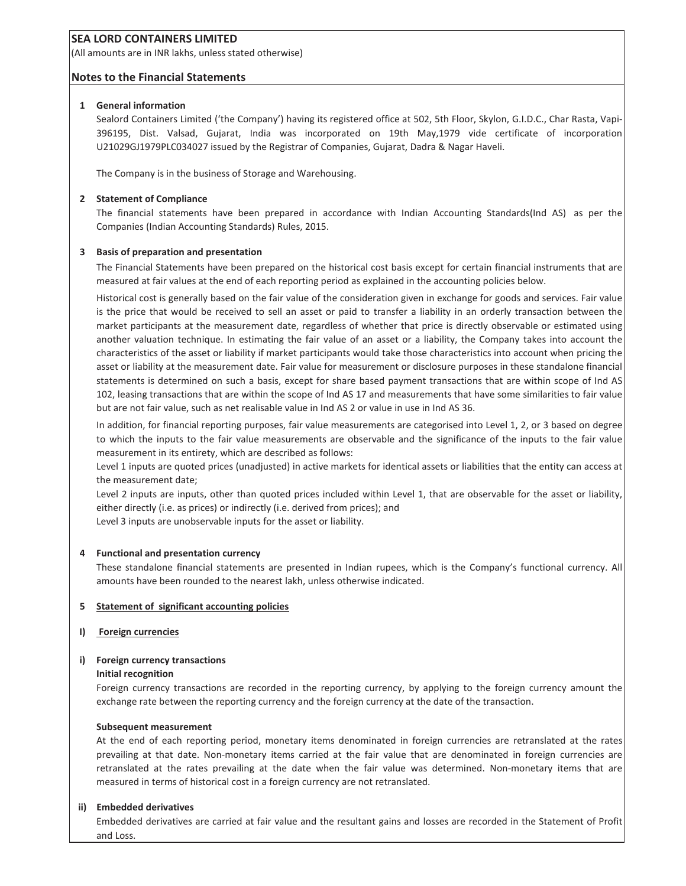(All amounts are in INR lakhs, unless stated otherwise)

#### **Notes to the Financial Statements**

#### **1 General information**

Sealord Containers Limited ('the Company') having its registered office at 502, 5th Floor, Skylon, G.I.D.C., Char Rasta, Vapi-396195, Dist. Valsad, Gujarat, India was incorporated on 19th May,1979 vide certificate of incorporation U21029GJ1979PLC034027 issued by the Registrar of Companies, Gujarat, Dadra & Nagar Haveli.

The Company is in the business of Storage and Warehousing.

#### **2 Statement of Compliance**

The financial statements have been prepared in accordance with Indian Accounting Standards(Ind AS) as per the Companies (Indian Accounting Standards) Rules, 2015.

#### **3 Basis of preparation and presentation**

The Financial Statements have been prepared on the historical cost basis except for certain financial instruments that are measured at fair values at the end of each reporting period as explained in the accounting policies below.

Historical cost is generally based on the fair value of the consideration given in exchange for goods and services. Fair value is the price that would be received to sell an asset or paid to transfer a liability in an orderly transaction between the market participants at the measurement date, regardless of whether that price is directly observable or estimated using another valuation technique. In estimating the fair value of an asset or a liability, the Company takes into account the characteristics of the asset or liability if market participants would take those characteristics into account when pricing the asset or liability at the measurement date. Fair value for measurement or disclosure purposes in these standalone financial statements is determined on such a basis, except for share based payment transactions that are within scope of Ind AS 102, leasing transactions that are within the scope of Ind AS 17 and measurements that have some similarities to fair value but are not fair value, such as net realisable value in Ind AS 2 or value in use in Ind AS 36.

In addition, for financial reporting purposes, fair value measurements are categorised into Level 1, 2, or 3 based on degree to which the inputs to the fair value measurements are observable and the significance of the inputs to the fair value measurement in its entirety, which are described as follows:

Level 1 inputs are quoted prices (unadjusted) in active markets for identical assets or liabilities that the entity can access at the measurement date;

Level 2 inputs are inputs, other than quoted prices included within Level 1, that are observable for the asset or liability, either directly (i.e. as prices) or indirectly (i.e. derived from prices); and

Level 3 inputs are unobservable inputs for the asset or liability.

#### **4 Functional and presentation currency**

These standalone financial statements are presented in Indian rupees, which is the Company's functional currency. All amounts have been rounded to the nearest lakh, unless otherwise indicated.

#### **5 Statement of significant accounting policies**

#### **I) Foreign currencies**

#### **i) Foreign currency transactions**

#### **Initial recognition**

Foreign currency transactions are recorded in the reporting currency, by applying to the foreign currency amount the exchange rate between the reporting currency and the foreign currency at the date of the transaction.

#### **Subsequent measurement**

At the end of each reporting period, monetary items denominated in foreign currencies are retranslated at the rates prevailing at that date. Non-monetary items carried at the fair value that are denominated in foreign currencies are retranslated at the rates prevailing at the date when the fair value was determined. Non-monetary items that are measured in terms of historical cost in a foreign currency are not retranslated.

#### **ii) Embedded derivatives**

Embedded derivatives are carried at fair value and the resultant gains and losses are recorded in the Statement of Profit and Loss.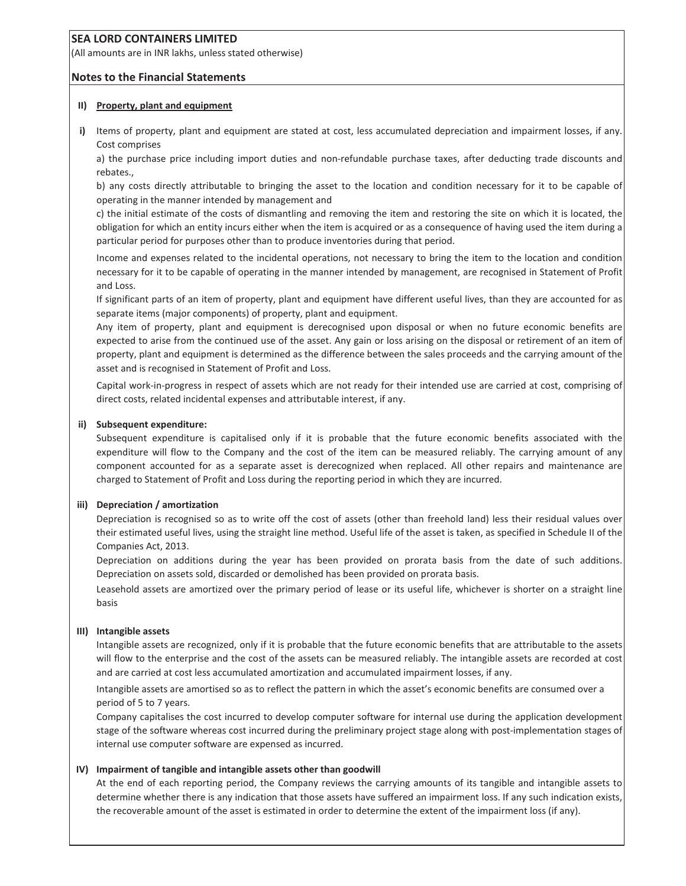(All amounts are in INR lakhs, unless stated otherwise)

#### **Notes to the Financial Statements**

#### **II) Property, plant and equipment**

**i)** Items of property, plant and equipment are stated at cost, less accumulated depreciation and impairment losses, if any. Cost comprises

a) the purchase price including import duties and non-refundable purchase taxes, after deducting trade discounts and rebates.,

b) any costs directly attributable to bringing the asset to the location and condition necessary for it to be capable of operating in the manner intended by management and

c) the initial estimate of the costs of dismantling and removing the item and restoring the site on which it is located, the obligation for which an entity incurs either when the item is acquired or as a consequence of having used the item during a particular period for purposes other than to produce inventories during that period.

Income and expenses related to the incidental operations, not necessary to bring the item to the location and condition necessary for it to be capable of operating in the manner intended by management, are recognised in Statement of Profit and Loss.

If significant parts of an item of property, plant and equipment have different useful lives, than they are accounted for as separate items (major components) of property, plant and equipment.

Any item of property, plant and equipment is derecognised upon disposal or when no future economic benefits are expected to arise from the continued use of the asset. Any gain or loss arising on the disposal or retirement of an item of property, plant and equipment is determined as the difference between the sales proceeds and the carrying amount of the asset and is recognised in Statement of Profit and Loss.

Capital work-in-progress in respect of assets which are not ready for their intended use are carried at cost, comprising of direct costs, related incidental expenses and attributable interest, if any.

#### **ii) Subsequent expenditure:**

Subsequent expenditure is capitalised only if it is probable that the future economic benefits associated with the expenditure will flow to the Company and the cost of the item can be measured reliably. The carrying amount of any component accounted for as a separate asset is derecognized when replaced. All other repairs and maintenance are charged to Statement of Profit and Loss during the reporting period in which they are incurred.

#### **iii) Depreciation / amortization**

Depreciation is recognised so as to write off the cost of assets (other than freehold land) less their residual values over their estimated useful lives, using the straight line method. Useful life of the asset is taken, as specified in Schedule II of the Companies Act, 2013.

Depreciation on additions during the year has been provided on prorata basis from the date of such additions. Depreciation on assets sold, discarded or demolished has been provided on prorata basis.

Leasehold assets are amortized over the primary period of lease or its useful life, whichever is shorter on a straight line basis

#### **III) Intangible assets**

Intangible assets are recognized, only if it is probable that the future economic benefits that are attributable to the assets will flow to the enterprise and the cost of the assets can be measured reliably. The intangible assets are recorded at cost and are carried at cost less accumulated amortization and accumulated impairment losses, if any.

Intangible assets are amortised so as to reflect the pattern in which the asset's economic benefits are consumed over a period of 5 to 7 years.

Company capitalises the cost incurred to develop computer software for internal use during the application development stage of the software whereas cost incurred during the preliminary project stage along with post-implementation stages of internal use computer software are expensed as incurred.

#### **IV) Impairment of tangible and intangible assets other than goodwill**

At the end of each reporting period, the Company reviews the carrying amounts of its tangible and intangible assets to determine whether there is any indication that those assets have suffered an impairment loss. If any such indication exists, the recoverable amount of the asset is estimated in order to determine the extent of the impairment loss (if any).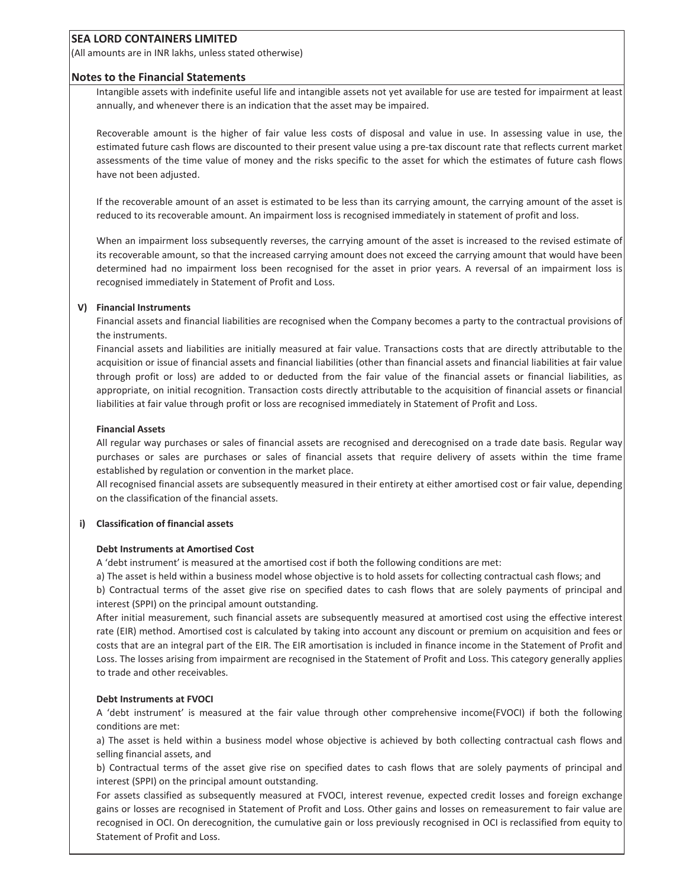(All amounts are in INR lakhs, unless stated otherwise)

#### **Notes to the Financial Statements**

Intangible assets with indefinite useful life and intangible assets not yet available for use are tested for impairment at least annually, and whenever there is an indication that the asset may be impaired.

Recoverable amount is the higher of fair value less costs of disposal and value in use. In assessing value in use, the estimated future cash flows are discounted to their present value using a pre-tax discount rate that reflects current market assessments of the time value of money and the risks specific to the asset for which the estimates of future cash flows have not been adjusted.

If the recoverable amount of an asset is estimated to be less than its carrying amount, the carrying amount of the asset is reduced to its recoverable amount. An impairment loss is recognised immediately in statement of profit and loss.

When an impairment loss subsequently reverses, the carrying amount of the asset is increased to the revised estimate of its recoverable amount, so that the increased carrying amount does not exceed the carrying amount that would have been determined had no impairment loss been recognised for the asset in prior years. A reversal of an impairment loss is recognised immediately in Statement of Profit and Loss.

#### **V) Financial Instruments**

Financial assets and financial liabilities are recognised when the Company becomes a party to the contractual provisions of the instruments.

Financial assets and liabilities are initially measured at fair value. Transactions costs that are directly attributable to the acquisition or issue of financial assets and financial liabilities (other than financial assets and financial liabilities at fair value through profit or loss) are added to or deducted from the fair value of the financial assets or financial liabilities, as appropriate, on initial recognition. Transaction costs directly attributable to the acquisition of financial assets or financial liabilities at fair value through profit or loss are recognised immediately in Statement of Profit and Loss.

#### **Financial Assets**

All regular way purchases or sales of financial assets are recognised and derecognised on a trade date basis. Regular way purchases or sales are purchases or sales of financial assets that require delivery of assets within the time frame established by regulation or convention in the market place.

All recognised financial assets are subsequently measured in their entirety at either amortised cost or fair value, depending on the classification of the financial assets.

#### **i) Classification of financial assets**

#### **Debt Instruments at Amortised Cost**

A 'debt instrument' is measured at the amortised cost if both the following conditions are met:

a) The asset is held within a business model whose objective is to hold assets for collecting contractual cash flows; and

b) Contractual terms of the asset give rise on specified dates to cash flows that are solely payments of principal and interest (SPPI) on the principal amount outstanding.

After initial measurement, such financial assets are subsequently measured at amortised cost using the effective interest rate (EIR) method. Amortised cost is calculated by taking into account any discount or premium on acquisition and fees or costs that are an integral part of the EIR. The EIR amortisation is included in finance income in the Statement of Profit and Loss. The losses arising from impairment are recognised in the Statement of Profit and Loss. This category generally applies to trade and other receivables.

#### **Debt Instruments at FVOCI**

A ëdebt instrumentí is measured at the fair value through other comprehensive income(FVOCI) if both the following conditions are met:

a) The asset is held within a business model whose objective is achieved by both collecting contractual cash flows and selling financial assets, and

b) Contractual terms of the asset give rise on specified dates to cash flows that are solely payments of principal and interest (SPPI) on the principal amount outstanding.

For assets classified as subsequently measured at FVOCI, interest revenue, expected credit losses and foreign exchange gains or losses are recognised in Statement of Profit and Loss. Other gains and losses on remeasurement to fair value are recognised in OCI. On derecognition, the cumulative gain or loss previously recognised in OCI is reclassified from equity to Statement of Profit and Loss.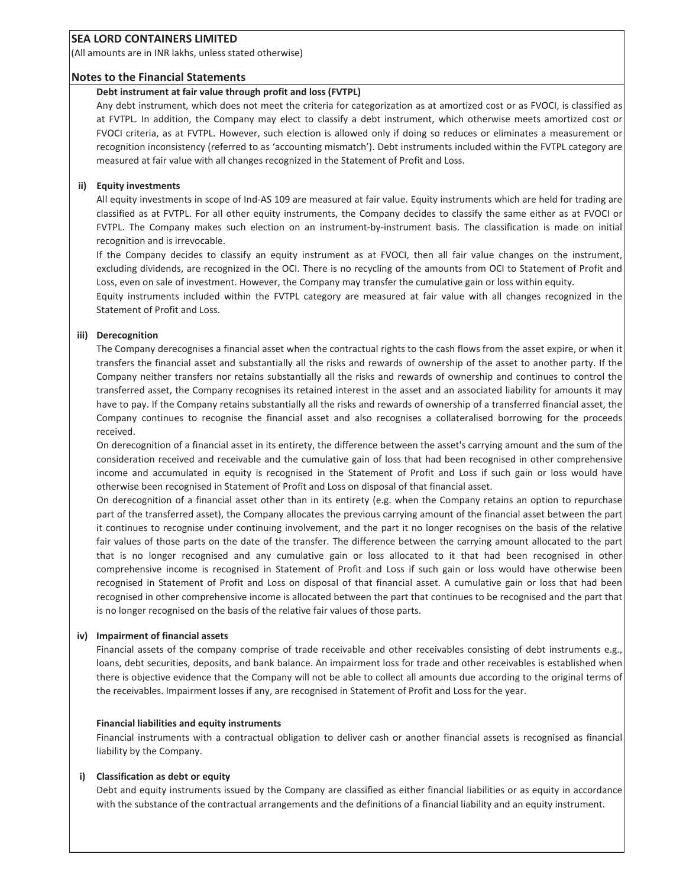(All amounts are in INR lakhs, unless stated otherwise)

#### **Notes to the Financial Statements**

#### **Debt instrument at fair value through profit and loss (FVTPL)**

Any debt instrument, which does not meet the criteria for categorization as at amortized cost or as FVOCI, is classified as at FVTPL. In addition, the Company may elect to classify a debt instrument, which otherwise meets amortized cost or FVOCI criteria, as at FVTPL. However, such election is allowed only if doing so reduces or eliminates a measurement or recognition inconsistency (referred to as 'accounting mismatch'). Debt instruments included within the FVTPL category are measured at fair value with all changes recognized in the Statement of Profit and Loss.

#### **ii) Equity investments**

All equity investments in scope of Ind-AS 109 are measured at fair value. Equity instruments which are held for trading are classified as at FVTPL. For all other equity instruments, the Company decides to classify the same either as at FVOCI or FVTPL. The Company makes such election on an instrument-by-instrument basis. The classification is made on initial recognition and is irrevocable.

If the Company decides to classify an equity instrument as at FVOCI, then all fair value changes on the instrument, excluding dividends, are recognized in the OCI. There is no recycling of the amounts from OCI to Statement of Profit and Loss, even on sale of investment. However, the Company may transfer the cumulative gain or loss within equity.

Equity instruments included within the FVTPL category are measured at fair value with all changes recognized in the Statement of Profit and Loss.

#### **iii) Derecognition**

The Company derecognises a financial asset when the contractual rights to the cash flows from the asset expire, or when it transfers the financial asset and substantially all the risks and rewards of ownership of the asset to another party. If the Company neither transfers nor retains substantially all the risks and rewards of ownership and continues to control the transferred asset, the Company recognises its retained interest in the asset and an associated liability for amounts it may have to pay. If the Company retains substantially all the risks and rewards of ownership of a transferred financial asset, the Company continues to recognise the financial asset and also recognises a collateralised borrowing for the proceeds received.

On derecognition of a financial asset in its entirety, the difference between the asset's carrying amount and the sum of the consideration received and receivable and the cumulative gain of loss that had been recognised in other comprehensive income and accumulated in equity is recognised in the Statement of Profit and Loss if such gain or loss would have otherwise been recognised in Statement of Profit and Loss on disposal of that financial asset.

On derecognition of a financial asset other than in its entirety (e.g. when the Company retains an option to repurchase part of the transferred asset), the Company allocates the previous carrying amount of the financial asset between the part it continues to recognise under continuing involvement, and the part it no longer recognises on the basis of the relative fair values of those parts on the date of the transfer. The difference between the carrying amount allocated to the part that is no longer recognised and any cumulative gain or loss allocated to it that had been recognised in other comprehensive income is recognised in Statement of Profit and Loss if such gain or loss would have otherwise been recognised in Statement of Profit and Loss on disposal of that financial asset. A cumulative gain or loss that had been recognised in other comprehensive income is allocated between the part that continues to be recognised and the part that is no longer recognised on the basis of the relative fair values of those parts.

#### **iv) Impairment of financial assets**

Financial assets of the company comprise of trade receivable and other receivables consisting of debt instruments e.g., loans, debt securities, deposits, and bank balance. An impairment loss for trade and other receivables is established when there is objective evidence that the Company will not be able to collect all amounts due according to the original terms of the receivables. Impairment losses if any, are recognised in Statement of Profit and Loss for the year.

#### **Financial liabilities and equity instruments**

Financial instruments with a contractual obligation to deliver cash or another financial assets is recognised as financial liability by the Company.

#### **i) Classification as debt or equity**

Debt and equity instruments issued by the Company are classified as either financial liabilities or as equity in accordance with the substance of the contractual arrangements and the definitions of a financial liability and an equity instrument.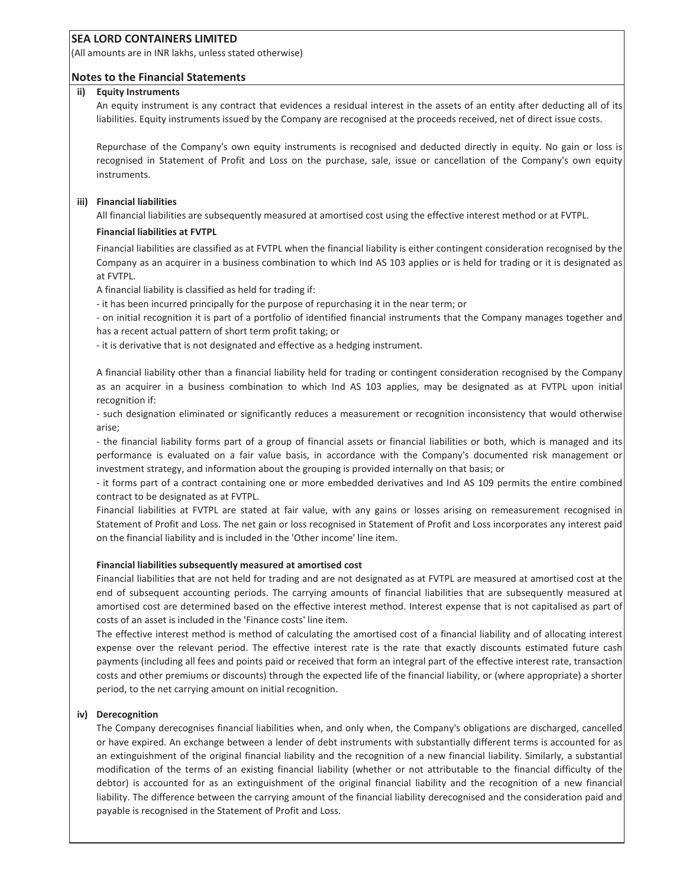(All amounts are in INR lakhs, unless stated otherwise)

#### **Notes to the Financial Statements**

#### **ii) Equity Instruments**

An equity instrument is any contract that evidences a residual interest in the assets of an entity after deducting all of its liabilities. Equity instruments issued by the Company are recognised at the proceeds received, net of direct issue costs.

Repurchase of the Company's own equity instruments is recognised and deducted directly in equity. No gain or loss is recognised in Statement of Profit and Loss on the purchase, sale, issue or cancellation of the Company's own equity instruments.

#### **iii) Financial liabilities**

All financial liabilities are subsequently measured at amortised cost using the effective interest method or at FVTPL.

#### **Financial liabilities at FVTPL**

Financial liabilities are classified as at FVTPL when the financial liability is either contingent consideration recognised by the Company as an acquirer in a business combination to which Ind AS 103 applies or is held for trading or it is designated as at FVTPL.

A financial liability is classified as held for trading if:

- it has been incurred principally for the purpose of repurchasing it in the near term; or

- on initial recognition it is part of a portfolio of identified financial instruments that the Company manages together and has a recent actual pattern of short term profit taking; or

- it is derivative that is not designated and effective as a hedging instrument.

A financial liability other than a financial liability held for trading or contingent consideration recognised by the Company as an acquirer in a business combination to which Ind AS 103 applies, may be designated as at FVTPL upon initial recognition if:

- such designation eliminated or significantly reduces a measurement or recognition inconsistency that would otherwise arise;

- the financial liability forms part of a group of financial assets or financial liabilities or both, which is managed and its performance is evaluated on a fair value basis, in accordance with the Company's documented risk management or investment strategy, and information about the grouping is provided internally on that basis; or

- it forms part of a contract containing one or more embedded derivatives and Ind AS 109 permits the entire combined contract to be designated as at FVTPL.

Financial liabilities at FVTPL are stated at fair value, with any gains or losses arising on remeasurement recognised in Statement of Profit and Loss. The net gain or loss recognised in Statement of Profit and Loss incorporates any interest paid on the financial liability and is included in the 'Other income' line item.

#### **Financial liabilities subsequently measured at amortised cost**

Financial liabilities that are not held for trading and are not designated as at FVTPL are measured at amortised cost at the end of subsequent accounting periods. The carrying amounts of financial liabilities that are subsequently measured at amortised cost are determined based on the effective interest method. Interest expense that is not capitalised as part of costs of an asset is included in the 'Finance costs' line item.

The effective interest method is method of calculating the amortised cost of a financial liability and of allocating interest expense over the relevant period. The effective interest rate is the rate that exactly discounts estimated future cash payments (including all fees and points paid or received that form an integral part of the effective interest rate, transaction costs and other premiums or discounts) through the expected life of the financial liability, or (where appropriate) a shorter period, to the net carrying amount on initial recognition.

#### **iv) Derecognition**

The Company derecognises financial liabilities when, and only when, the Company's obligations are discharged, cancelled or have expired. An exchange between a lender of debt instruments with substantially different terms is accounted for as an extinguishment of the original financial liability and the recognition of a new financial liability. Similarly, a substantial modification of the terms of an existing financial liability (whether or not attributable to the financial difficulty of the debtor) is accounted for as an extinguishment of the original financial liability and the recognition of a new financial liability. The difference between the carrying amount of the financial liability derecognised and the consideration paid and payable is recognised in the Statement of Profit and Loss.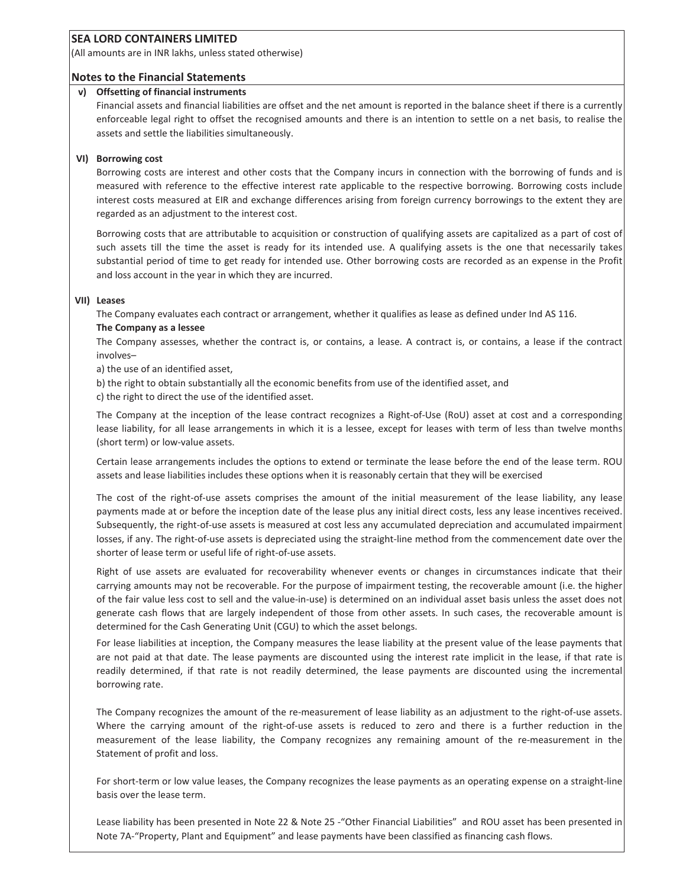(All amounts are in INR lakhs, unless stated otherwise)

#### **Notes to the Financial Statements**

#### **v) Offsetting of financial instruments**

Financial assets and financial liabilities are offset and the net amount is reported in the balance sheet if there is a currently enforceable legal right to offset the recognised amounts and there is an intention to settle on a net basis, to realise the assets and settle the liabilities simultaneously.

#### **VI) Borrowing cost**

Borrowing costs are interest and other costs that the Company incurs in connection with the borrowing of funds and is measured with reference to the effective interest rate applicable to the respective borrowing. Borrowing costs include interest costs measured at EIR and exchange differences arising from foreign currency borrowings to the extent they are regarded as an adjustment to the interest cost.

Borrowing costs that are attributable to acquisition or construction of qualifying assets are capitalized as a part of cost of such assets till the time the asset is ready for its intended use. A qualifying assets is the one that necessarily takes substantial period of time to get ready for intended use. Other borrowing costs are recorded as an expense in the Profit and loss account in the year in which they are incurred.

#### **VII) Leases**

The Company evaluates each contract or arrangement, whether it qualifies as lease as defined under Ind AS 116.

#### **The Company as a lessee**

The Company assesses, whether the contract is, or contains, a lease. A contract is, or contains, a lease if the contract involves-

a) the use of an identified asset,

b) the right to obtain substantially all the economic benefits from use of the identified asset, and

c) the right to direct the use of the identified asset.

The Company at the inception of the lease contract recognizes a Right-of-Use (RoU) asset at cost and a corresponding lease liability, for all lease arrangements in which it is a lessee, except for leases with term of less than twelve months (short term) or low-value assets.

Certain lease arrangements includes the options to extend or terminate the lease before the end of the lease term. ROU assets and lease liabilities includes these options when it is reasonably certain that they will be exercised

The cost of the right-of-use assets comprises the amount of the initial measurement of the lease liability, any lease payments made at or before the inception date of the lease plus any initial direct costs, less any lease incentives received. Subsequently, the right-of-use assets is measured at cost less any accumulated depreciation and accumulated impairment losses, if any. The right-of-use assets is depreciated using the straight-line method from the commencement date over the shorter of lease term or useful life of right-of-use assets.

Right of use assets are evaluated for recoverability whenever events or changes in circumstances indicate that their carrying amounts may not be recoverable. For the purpose of impairment testing, the recoverable amount (i.e. the higher of the fair value less cost to sell and the value-in-use) is determined on an individual asset basis unless the asset does not generate cash flows that are largely independent of those from other assets. In such cases, the recoverable amount is determined for the Cash Generating Unit (CGU) to which the asset belongs.

For lease liabilities at inception, the Company measures the lease liability at the present value of the lease payments that are not paid at that date. The lease payments are discounted using the interest rate implicit in the lease, if that rate is readily determined, if that rate is not readily determined, the lease payments are discounted using the incremental borrowing rate.

The Company recognizes the amount of the re-measurement of lease liability as an adjustment to the right-of-use assets. Where the carrying amount of the right-of-use assets is reduced to zero and there is a further reduction in the measurement of the lease liability, the Company recognizes any remaining amount of the re-measurement in the Statement of profit and loss.

For short-term or low value leases, the Company recognizes the lease payments as an operating expense on a straight-line basis over the lease term.

Lease liability has been presented in Note 22 & Note 25 -"Other Financial Liabilities" and ROU asset has been presented in Note 7A-"Property, Plant and Equipment" and lease payments have been classified as financing cash flows.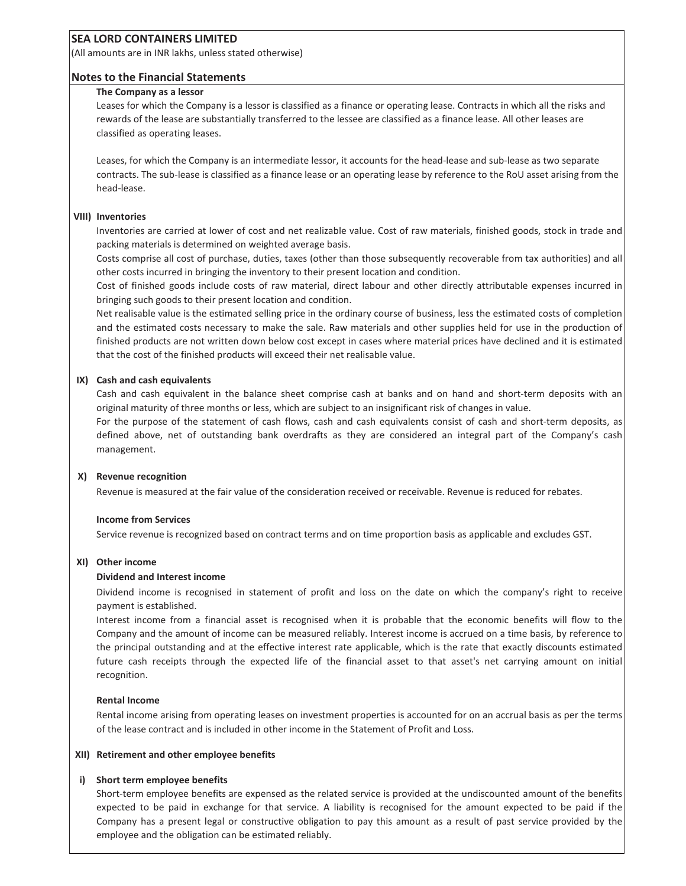(All amounts are in INR lakhs, unless stated otherwise)

#### **Notes to the Financial Statements**

#### **The Company as a lessor**

Leases for which the Company is a lessor is classified as a finance or operating lease. Contracts in which all the risks and rewards of the lease are substantially transferred to the lessee are classified as a finance lease. All other leases are classified as operating leases.

Leases, for which the Company is an intermediate lessor, it accounts for the head-lease and sub-lease as two separate contracts. The sub-lease is classified as a finance lease or an operating lease by reference to the RoU asset arising from the head-lease.

#### **VIII) Inventories**

Inventories are carried at lower of cost and net realizable value. Cost of raw materials, finished goods, stock in trade and packing materials is determined on weighted average basis.

Costs comprise all cost of purchase, duties, taxes (other than those subsequently recoverable from tax authorities) and all other costs incurred in bringing the inventory to their present location and condition.

Cost of finished goods include costs of raw material, direct labour and other directly attributable expenses incurred in bringing such goods to their present location and condition.

Net realisable value is the estimated selling price in the ordinary course of business, less the estimated costs of completion and the estimated costs necessary to make the sale. Raw materials and other supplies held for use in the production of finished products are not written down below cost except in cases where material prices have declined and it is estimated that the cost of the finished products will exceed their net realisable value.

#### **IX) Cash and cash equivalents**

Cash and cash equivalent in the balance sheet comprise cash at banks and on hand and short-term deposits with an original maturity of three months or less, which are subject to an insignificant risk of changes in value.

For the purpose of the statement of cash flows, cash and cash equivalents consist of cash and short-term deposits, as defined above, net of outstanding bank overdrafts as they are considered an integral part of the Companyís cash management.

#### **X) Revenue recognition**

Revenue is measured at the fair value of the consideration received or receivable. Revenue is reduced for rebates.

#### **Income from Services**

Service revenue is recognized based on contract terms and on time proportion basis as applicable and excludes GST.

#### **XI) Other income**

#### **Dividend and Interest income**

Dividend income is recognised in statement of profit and loss on the date on which the company's right to receive payment is established.

Interest income from a financial asset is recognised when it is probable that the economic benefits will flow to the Company and the amount of income can be measured reliably. Interest income is accrued on a time basis, by reference to the principal outstanding and at the effective interest rate applicable, which is the rate that exactly discounts estimated future cash receipts through the expected life of the financial asset to that asset's net carrying amount on initial recognition.

#### **Rental Income**

Rental income arising from operating leases on investment properties is accounted for on an accrual basis as per the terms of the lease contract and is included in other income in the Statement of Profit and Loss.

#### **XII) Retirement and other employee benefits**

#### **i) Short term employee benefits**

Short-term employee benefits are expensed as the related service is provided at the undiscounted amount of the benefits expected to be paid in exchange for that service. A liability is recognised for the amount expected to be paid if the Company has a present legal or constructive obligation to pay this amount as a result of past service provided by the employee and the obligation can be estimated reliably.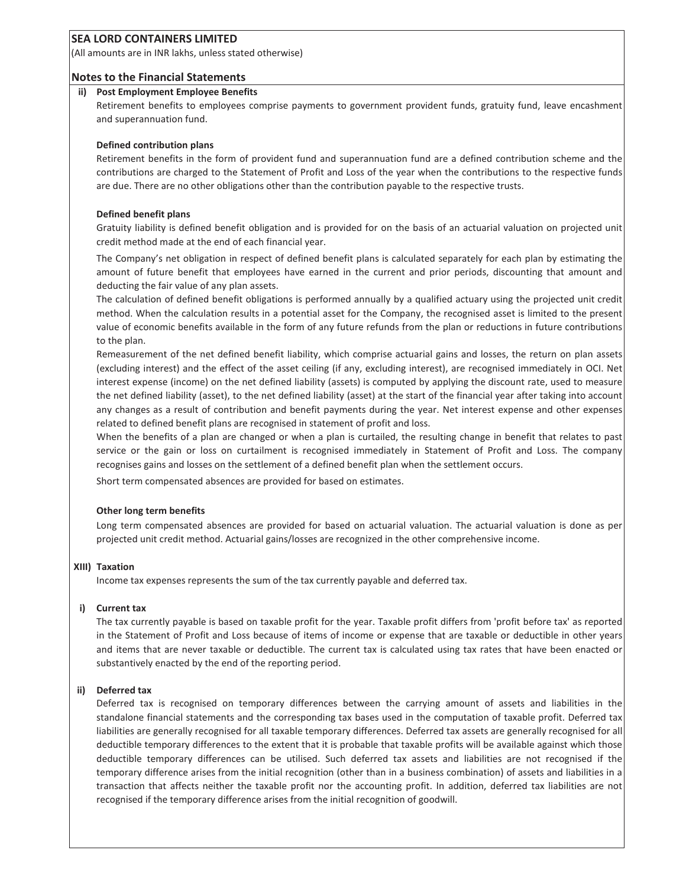(All amounts are in INR lakhs, unless stated otherwise)

#### **Notes to the Financial Statements**

#### **ii) Post Employment Employee Benefits**

Retirement benefits to employees comprise payments to government provident funds, gratuity fund, leave encashment and superannuation fund.

#### **Defined contribution plans**

Retirement benefits in the form of provident fund and superannuation fund are a defined contribution scheme and the contributions are charged to the Statement of Profit and Loss of the year when the contributions to the respective funds are due. There are no other obligations other than the contribution payable to the respective trusts.

#### **Defined benefit plans**

Gratuity liability is defined benefit obligation and is provided for on the basis of an actuarial valuation on projected unit credit method made at the end of each financial year.

The Companyís net obligation in respect of defined benefit plans is calculated separately for each plan by estimating the amount of future benefit that employees have earned in the current and prior periods, discounting that amount and deducting the fair value of any plan assets.

The calculation of defined benefit obligations is performed annually by a qualified actuary using the projected unit credit method. When the calculation results in a potential asset for the Company, the recognised asset is limited to the present value of economic benefits available in the form of any future refunds from the plan or reductions in future contributions to the plan.

Remeasurement of the net defined benefit liability, which comprise actuarial gains and losses, the return on plan assets (excluding interest) and the effect of the asset ceiling (if any, excluding interest), are recognised immediately in OCI. Net interest expense (income) on the net defined liability (assets) is computed by applying the discount rate, used to measure the net defined liability (asset), to the net defined liability (asset) at the start of the financial year after taking into account any changes as a result of contribution and benefit payments during the year. Net interest expense and other expenses related to defined benefit plans are recognised in statement of profit and loss.

When the benefits of a plan are changed or when a plan is curtailed, the resulting change in benefit that relates to past service or the gain or loss on curtailment is recognised immediately in Statement of Profit and Loss. The company recognises gains and losses on the settlement of a defined benefit plan when the settlement occurs.

Short term compensated absences are provided for based on estimates.

#### **Other long term benefits**

Long term compensated absences are provided for based on actuarial valuation. The actuarial valuation is done as per projected unit credit method. Actuarial gains/losses are recognized in the other comprehensive income.

#### **XIII) Taxation**

Income tax expenses represents the sum of the tax currently payable and deferred tax.

#### **i) Current tax**

The tax currently payable is based on taxable profit for the year. Taxable profit differs from 'profit before tax' as reported in the Statement of Profit and Loss because of items of income or expense that are taxable or deductible in other years and items that are never taxable or deductible. The current tax is calculated using tax rates that have been enacted or substantively enacted by the end of the reporting period.

#### **ii) Deferred tax**

Deferred tax is recognised on temporary differences between the carrying amount of assets and liabilities in the standalone financial statements and the corresponding tax bases used in the computation of taxable profit. Deferred tax liabilities are generally recognised for all taxable temporary differences. Deferred tax assets are generally recognised for all deductible temporary differences to the extent that it is probable that taxable profits will be available against which those deductible temporary differences can be utilised. Such deferred tax assets and liabilities are not recognised if the temporary difference arises from the initial recognition (other than in a business combination) of assets and liabilities in a transaction that affects neither the taxable profit nor the accounting profit. In addition, deferred tax liabilities are not recognised if the temporary difference arises from the initial recognition of goodwill.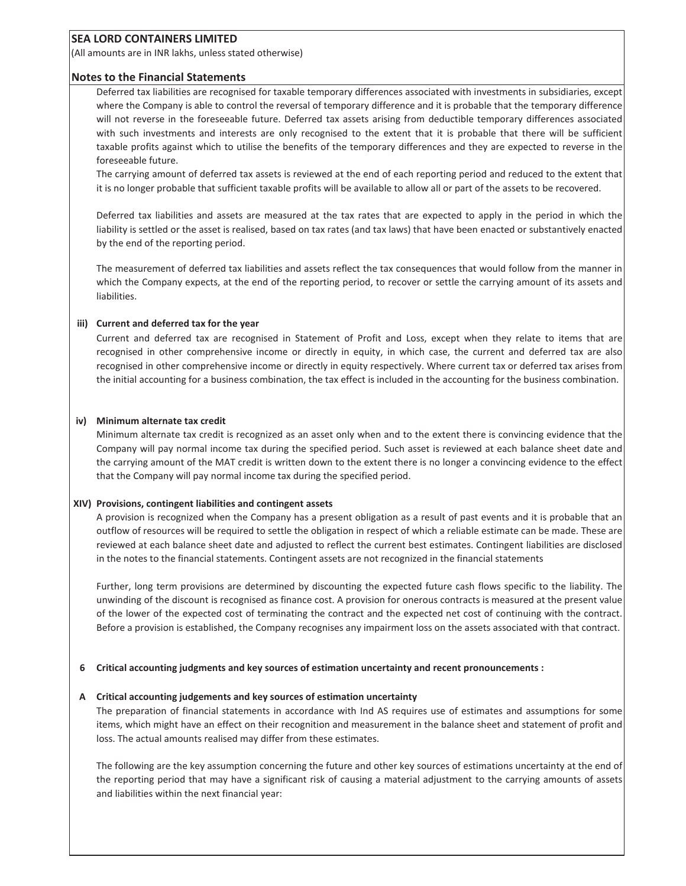(All amounts are in INR lakhs, unless stated otherwise)

#### **Notes to the Financial Statements**

Deferred tax liabilities are recognised for taxable temporary differences associated with investments in subsidiaries, except where the Company is able to control the reversal of temporary difference and it is probable that the temporary difference will not reverse in the foreseeable future. Deferred tax assets arising from deductible temporary differences associated with such investments and interests are only recognised to the extent that it is probable that there will be sufficient taxable profits against which to utilise the benefits of the temporary differences and they are expected to reverse in the foreseeable future.

The carrying amount of deferred tax assets is reviewed at the end of each reporting period and reduced to the extent that it is no longer probable that sufficient taxable profits will be available to allow all or part of the assets to be recovered.

Deferred tax liabilities and assets are measured at the tax rates that are expected to apply in the period in which the liability is settled or the asset is realised, based on tax rates (and tax laws) that have been enacted or substantively enacted by the end of the reporting period.

The measurement of deferred tax liabilities and assets reflect the tax consequences that would follow from the manner in which the Company expects, at the end of the reporting period, to recover or settle the carrying amount of its assets and liabilities.

#### **iii) Current and deferred tax for the year**

Current and deferred tax are recognised in Statement of Profit and Loss, except when they relate to items that are recognised in other comprehensive income or directly in equity, in which case, the current and deferred tax are also recognised in other comprehensive income or directly in equity respectively. Where current tax or deferred tax arises from the initial accounting for a business combination, the tax effect is included in the accounting for the business combination.

#### **iv) Minimum alternate tax credit**

Minimum alternate tax credit is recognized as an asset only when and to the extent there is convincing evidence that the Company will pay normal income tax during the specified period. Such asset is reviewed at each balance sheet date and the carrying amount of the MAT credit is written down to the extent there is no longer a convincing evidence to the effect that the Company will pay normal income tax during the specified period.

#### **XIV) Provisions, contingent liabilities and contingent assets**

A provision is recognized when the Company has a present obligation as a result of past events and it is probable that an outflow of resources will be required to settle the obligation in respect of which a reliable estimate can be made. These are reviewed at each balance sheet date and adjusted to reflect the current best estimates. Contingent liabilities are disclosed in the notes to the financial statements. Contingent assets are not recognized in the financial statements

Further, long term provisions are determined by discounting the expected future cash flows specific to the liability. The unwinding of the discount is recognised as finance cost. A provision for onerous contracts is measured at the present value of the lower of the expected cost of terminating the contract and the expected net cost of continuing with the contract. Before a provision is established, the Company recognises any impairment loss on the assets associated with that contract.

#### **6 Critical accounting judgments and key sources of estimation uncertainty and recent pronouncements :**

#### **A Critical accounting judgements and key sources of estimation uncertainty**

The preparation of financial statements in accordance with Ind AS requires use of estimates and assumptions for some items, which might have an effect on their recognition and measurement in the balance sheet and statement of profit and loss. The actual amounts realised may differ from these estimates.

The following are the key assumption concerning the future and other key sources of estimations uncertainty at the end of the reporting period that may have a significant risk of causing a material adjustment to the carrying amounts of assets and liabilities within the next financial year: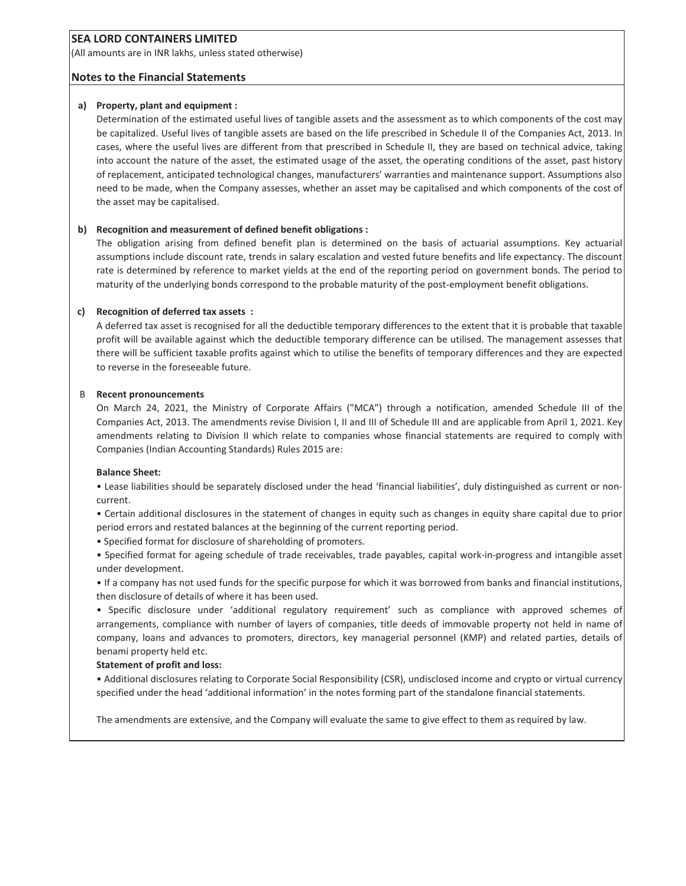(All amounts are in INR lakhs, unless stated otherwise)

#### **Notes to the Financial Statements**

#### **a) Property, plant and equipment :**

Determination of the estimated useful lives of tangible assets and the assessment as to which components of the cost may be capitalized. Useful lives of tangible assets are based on the life prescribed in Schedule II of the Companies Act, 2013. In cases, where the useful lives are different from that prescribed in Schedule II, they are based on technical advice, taking into account the nature of the asset, the estimated usage of the asset, the operating conditions of the asset, past history of replacement, anticipated technological changes, manufacturersí warranties and maintenance support. Assumptions also need to be made, when the Company assesses, whether an asset may be capitalised and which components of the cost of the asset may be capitalised.

#### **b) Recognition and measurement of defined benefit obligations :**

The obligation arising from defined benefit plan is determined on the basis of actuarial assumptions. Key actuarial assumptions include discount rate, trends in salary escalation and vested future benefits and life expectancy. The discount rate is determined by reference to market yields at the end of the reporting period on government bonds. The period to maturity of the underlying bonds correspond to the probable maturity of the post-employment benefit obligations.

#### **c) Recognition of deferred tax assets :**

A deferred tax asset is recognised for all the deductible temporary differences to the extent that it is probable that taxable profit will be available against which the deductible temporary difference can be utilised. The management assesses that there will be sufficient taxable profits against which to utilise the benefits of temporary differences and they are expected to reverse in the foreseeable future.

#### B **Recent pronouncements**

On March 24, 2021, the Ministry of Corporate Affairs ("MCA") through a notification, amended Schedule III of the Companies Act, 2013. The amendments revise Division I, II and III of Schedule III and are applicable from April 1, 2021. Key amendments relating to Division II which relate to companies whose financial statements are required to comply with Companies (Indian Accounting Standards) Rules 2015 are:

#### **Balance Sheet:**

• Lease liabilities should be separately disclosed under the head 'financial liabilities', duly distinguished as current or noncurrent.

ï Certain additional disclosures in the statement of changes in equity such as changes in equity share capital due to prior period errors and restated balances at the beginning of the current reporting period.

• Specified format for disclosure of shareholding of promoters.

ï Specified format for ageing schedule of trade receivables, trade payables, capital work-in-progress and intangible asset under development.

• If a company has not used funds for the specific purpose for which it was borrowed from banks and financial institutions, then disclosure of details of where it has been used.

• Specific disclosure under 'additional regulatory requirement' such as compliance with approved schemes of arrangements, compliance with number of layers of companies, title deeds of immovable property not held in name of company, loans and advances to promoters, directors, key managerial personnel (KMP) and related parties, details of benami property held etc.

#### **Statement of profit and loss:**

ï Additional disclosures relating to Corporate Social Responsibility (CSR), undisclosed income and crypto or virtual currency specified under the head 'additional information' in the notes forming part of the standalone financial statements.

The amendments are extensive, and the Company will evaluate the same to give effect to them as required by law.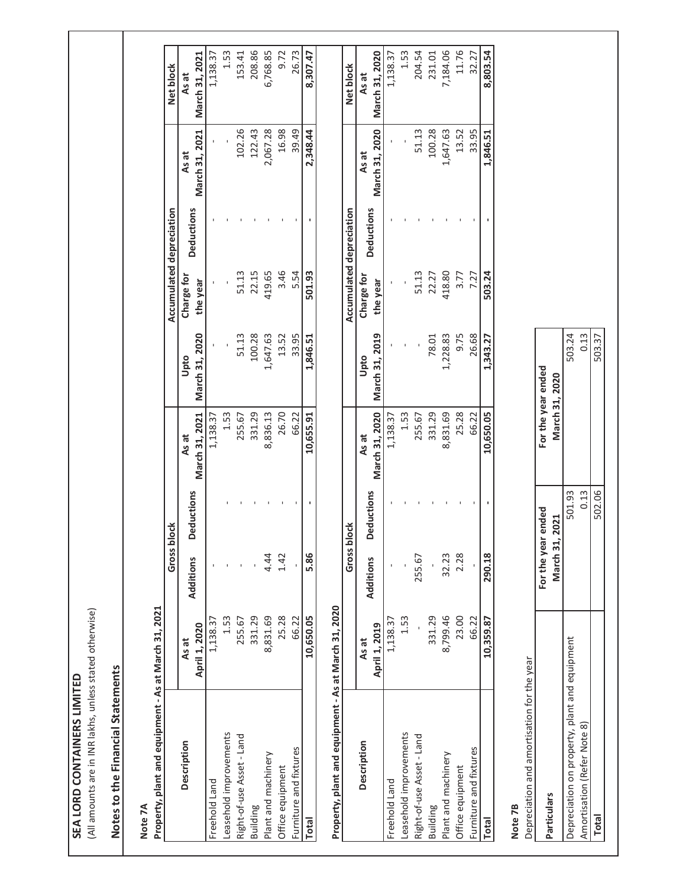| ı      |  |
|--------|--|
| ŀ      |  |
| ē      |  |
|        |  |
|        |  |
|        |  |
|        |  |
|        |  |
|        |  |
| ļ<br>ī |  |
|        |  |
| ï      |  |
| ē      |  |
|        |  |
| į      |  |
|        |  |
|        |  |
|        |  |
| C      |  |
|        |  |
|        |  |
|        |  |
|        |  |
|        |  |
|        |  |
| ٩      |  |
| Í.     |  |
| t      |  |
|        |  |

(All amounts are in INR lakhs, unless stated otherwise) (All amounts are in INR lakhs, unless stated otherwise)

# Notes to the Financial Statements **Notes to the Financial Statements**

Note 7A<br>Property, plant and equipment - As at March 31, 2021 **Property, plant and equipment - As at March 31, 2021**

|                                                                                                                                                                                                                               |               | Gross block      |                   |                |                | Accumulated depreciation |                   |                | Net block      |
|-------------------------------------------------------------------------------------------------------------------------------------------------------------------------------------------------------------------------------|---------------|------------------|-------------------|----------------|----------------|--------------------------|-------------------|----------------|----------------|
| <b>Description</b>                                                                                                                                                                                                            | As at         |                  | <b>Deductions</b> | As at          | Upto           | Charge for               | <b>Deductions</b> | As at          | As at          |
|                                                                                                                                                                                                                               | April 1, 2020 | <b>Additions</b> |                   | March 31, 2021 | March 31, 2020 | the year                 |                   | March 31, 2021 | March 31, 2021 |
| Freehold Land                                                                                                                                                                                                                 | 1,138.37      |                  |                   | 1,138.37       |                |                          |                   |                | 1,138.37       |
| easehold improvements                                                                                                                                                                                                         | 1.53          |                  |                   | 1.53           |                |                          |                   |                | 1.53           |
| Right-of-use Asset - Land                                                                                                                                                                                                     | 255.67        |                  |                   | 255.67         | 51.13          | 51.13                    |                   | 102.26         | 153.41         |
| Building                                                                                                                                                                                                                      | 331.29        |                  |                   | 331.29         | 100.28         | 22.15                    |                   | 122.43         | 208.86         |
| Plant and machinery                                                                                                                                                                                                           | 8,831.69      | 4.44             |                   | 8,836.13       | 1,647.63       | 419.65                   |                   | 2,067.28       | 6,768.85       |
| Office equipment                                                                                                                                                                                                              | 25.28         | 1.42             |                   | 26.70          | 13.52          | 3.46                     |                   | 16.98          | 9.72           |
| Furniture and fixtures                                                                                                                                                                                                        | 66.22         |                  |                   | 66.22          | 33.95          | 5.54                     |                   | 39.49          | 26.73          |
| <b>Total</b>                                                                                                                                                                                                                  | 10,650.05     | 5.86             |                   | 10,655.91      | 1,846.51       | 501.93                   |                   | 2,348.44       | 8,307.47       |
| Uuniversity of the form the original to the second dealer in the second of the second of the second of the second of the second of the second of the second of the second of the second of the second of the second of the se |               |                  |                   |                |                |                          |                   |                |                |

# $0.06$   $0.24$  March 31  $20.20$ mina hart tarla vtra **Prop**

| Property, plant and equipment - As at March 31, 2020 |               |                  |                   |                |                |                          |                   |                |                |
|------------------------------------------------------|---------------|------------------|-------------------|----------------|----------------|--------------------------|-------------------|----------------|----------------|
|                                                      |               | Gross block      |                   |                |                | Accumulated depreciation |                   |                | Net block      |
| <b>Description</b>                                   | As at         |                  |                   | As at          | Upto           | Charge for               |                   | As at          | As at          |
|                                                      | April 1, 2019 | <b>Additions</b> | <b>Deductions</b> | March 31, 2020 | March 31, 2019 | the year                 | <b>Deductions</b> | March 31, 2020 | March 31, 2020 |
| Freehold Land                                        | 1,138.37      |                  |                   | 1,138.37       |                |                          |                   |                | ,138.37        |
| easehold improvements                                | 1.53          |                  |                   | 1.53           |                |                          |                   |                | 1.53           |
| Right-of-use Asset - Land                            |               | 255.67           |                   | 255.67         |                | 51.13                    |                   | 51.13          | 204.54         |
| Building                                             | 331.29        |                  |                   | 331.29         | 78.01          | 22.27                    |                   | 100.28         | 231.01         |
| Plant and machinery                                  | 8,799.46      | 32.23            |                   | 8,831.69       | ,228.83        | 118.80                   |                   | 1,647.63       | ,184.06        |
| Office equipment                                     | 23.00         | 2.28             |                   | 25.28          | 9.75           | 3.77                     |                   | 13.52          | 11.76          |
| Furniture and fixtures                               | 66.22         |                  |                   | 66.22          | 26.68          | 7.27                     |                   | 33.95          | 32.27          |
| Total                                                | 10,359.87     | 290.18           |                   | 10,650.05      | 1,343.27       | 503.24                   |                   | 1,846.51       | 8,803.54       |
|                                                      |               |                  |                   |                |                |                          |                   |                |                |

**Note 7B**<br>
Pepreciation and amortisation for the year Depreciation and amortisation for the year

|                                              | For the year ended<br><b>March 31, 2021</b> | For the year ended<br>March 31, 2020 |
|----------------------------------------------|---------------------------------------------|--------------------------------------|
| epreciation on property, plant and equipment | 501.93                                      | 503.24                               |
| Amortisation (Refer Note 8)                  | 0.13                                        | 0.13                                 |
| <b>Total</b>                                 | 502.06                                      | 503.37                               |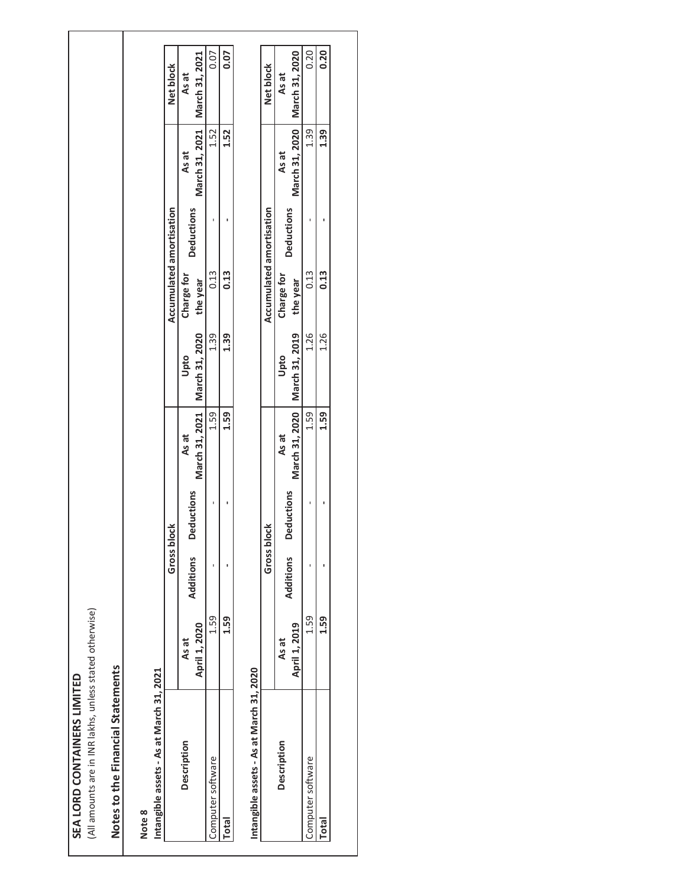| ī                  |                                                                                     |
|--------------------|-------------------------------------------------------------------------------------|
|                    |                                                                                     |
|                    |                                                                                     |
|                    |                                                                                     |
| $\frac{c}{1}$<br>í |                                                                                     |
|                    |                                                                                     |
|                    |                                                                                     |
|                    | $\ddot{\phantom{a}}$                                                                |
|                    |                                                                                     |
|                    |                                                                                     |
|                    |                                                                                     |
|                    |                                                                                     |
| <b>ities</b>       |                                                                                     |
|                    |                                                                                     |
| ር<br>C             |                                                                                     |
|                    |                                                                                     |
|                    |                                                                                     |
| ١<br>ï             |                                                                                     |
| ζEΙ                | ֖֖֖֖֖֖֧ׅ֖֧֪֪ׅ֖֧֧֪֪֪֪֧֪֪֪ׅ֖֧֪֧֪֧֪֪֪֪֪֪֪֪֪֪֪֪֧֚֚֚֚֚֚֚֚֚֚֚֚֚֚֚֚֚֚֚֚֚֚֚֚֚֡֝֝֓֝֓֞֝֬֝֝֬֝֬ |
|                    |                                                                                     |

(All amounts are in INR lakhs, unless stated otherwise) (All amounts are in INR lakhs, unless stated otherwise)

# Notes to the Financial Statements **Notes to the Financial Statements**

# **Note 8**

| המ         |  |
|------------|--|
| 31,        |  |
| larch<br>ŗ |  |
| As at      |  |
| ï          |  |
| assets     |  |
|            |  |

|                       |               | Gross blo | $\breve{\sigma}$  |                                 |      | Accumulated amortisation |                   |                                 | Net block        |
|-----------------------|---------------|-----------|-------------------|---------------------------------|------|--------------------------|-------------------|---------------------------------|------------------|
| escription            | As at         | dditions  |                   | As at                           | Upto | Charge for               | <b>Deductions</b> | As at                           | As at            |
|                       | April 1, 2020 |           | <b>Jeductions</b> | March 31, 2021   March 31, 2020 |      | the year                 |                   | March 31, 2021   March 31, 2021 |                  |
| omputer software      | י<br>ר        |           |                   | 1.59                            | 1.39 | 0.13                     |                   | 1.52                            | $\frac{0.07}{2}$ |
| $\overline{\text{a}}$ | ທຸ            |           |                   | 1.59                            | 1.39 | 0.13                     |                   | 1.52                            | 0.07             |
|                       |               |           |                   |                                 |      |                          |                   |                                 |                  |

# Intangible assets - As at March 31, 2020 **Intangible assets - As at March 31, 2020**

|                    |               | Gross blo | さ                 |       |                                 | Accumulated amortisation |                   |                                 | Net block |
|--------------------|---------------|-----------|-------------------|-------|---------------------------------|--------------------------|-------------------|---------------------------------|-----------|
| <b>Description</b> | As at         | dditions  |                   | As at | Upto                            | Charge for               | <b>Deductions</b> | As at                           | As at     |
|                    | April 1, 2019 |           | <b>Peductions</b> |       | March 31, 2020   March 31, 2019 | the year                 |                   | March 31, 2020   March 31, 2020 |           |
| uter software      | cg            |           |                   | 1.59  | 1.26                            | 0.13                     |                   | 1.39                            | 0.20      |
| otal               | <b>9ST</b>    |           |                   | 1.59  | 1.26                            | 0.13                     |                   | 1.39                            | 0.20      |
|                    |               |           |                   |       |                                 |                          |                   |                                 |           |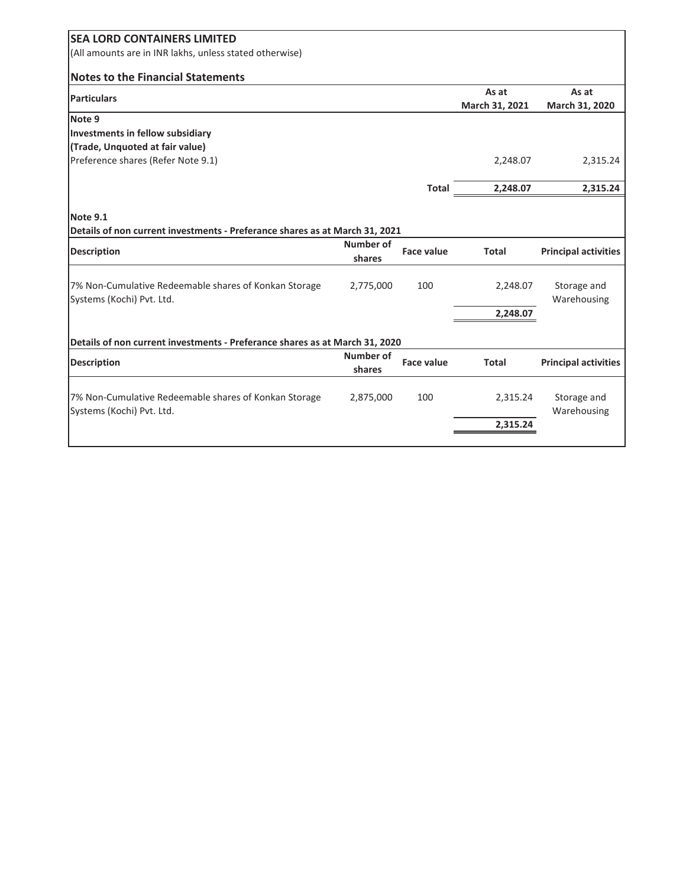| <b>SEA LORD CONTAINERS LIMITED</b>                                          |           |                   |                |                             |
|-----------------------------------------------------------------------------|-----------|-------------------|----------------|-----------------------------|
| (All amounts are in INR lakhs, unless stated otherwise)                     |           |                   |                |                             |
| <b>Notes to the Financial Statements</b>                                    |           |                   |                |                             |
| Particulars                                                                 |           |                   | As at          | As at                       |
|                                                                             |           |                   | March 31, 2021 | March 31, 2020              |
| Note 9                                                                      |           |                   |                |                             |
| Investments in fellow subsidiary                                            |           |                   |                |                             |
| (Trade, Unquoted at fair value)                                             |           |                   |                |                             |
| Preference shares (Refer Note 9.1)                                          |           |                   | 2,248.07       | 2,315.24                    |
|                                                                             |           |                   |                |                             |
|                                                                             |           | <b>Total</b>      | 2,248.07       | 2,315.24                    |
|                                                                             |           |                   |                |                             |
| Note 9.1                                                                    |           |                   |                |                             |
| Details of non current investments - Preferance shares as at March 31, 2021 |           |                   |                |                             |
| <b>Description</b>                                                          | Number of | <b>Face value</b> | <b>Total</b>   | <b>Principal activities</b> |
|                                                                             | shares    |                   |                |                             |
|                                                                             |           |                   |                |                             |
| 7% Non-Cumulative Redeemable shares of Konkan Storage                       | 2,775,000 | 100               | 2,248.07       | Storage and                 |
|                                                                             |           |                   |                |                             |
| Systems (Kochi) Pvt. Ltd.                                                   |           |                   |                | Warehousing                 |
|                                                                             |           |                   | 2,248.07       |                             |
|                                                                             |           |                   |                |                             |
| Details of non current investments - Preferance shares as at March 31, 2020 |           |                   |                |                             |
|                                                                             | Number of | <b>Face value</b> | <b>Total</b>   |                             |
| <b>Description</b>                                                          | shares    |                   |                | <b>Principal activities</b> |
|                                                                             |           |                   |                |                             |
| 7% Non-Cumulative Redeemable shares of Konkan Storage                       | 2,875,000 | 100               | 2,315.24       | Storage and                 |
| Systems (Kochi) Pvt. Ltd.                                                   |           |                   |                | Warehousing                 |
|                                                                             |           |                   | 2,315.24       |                             |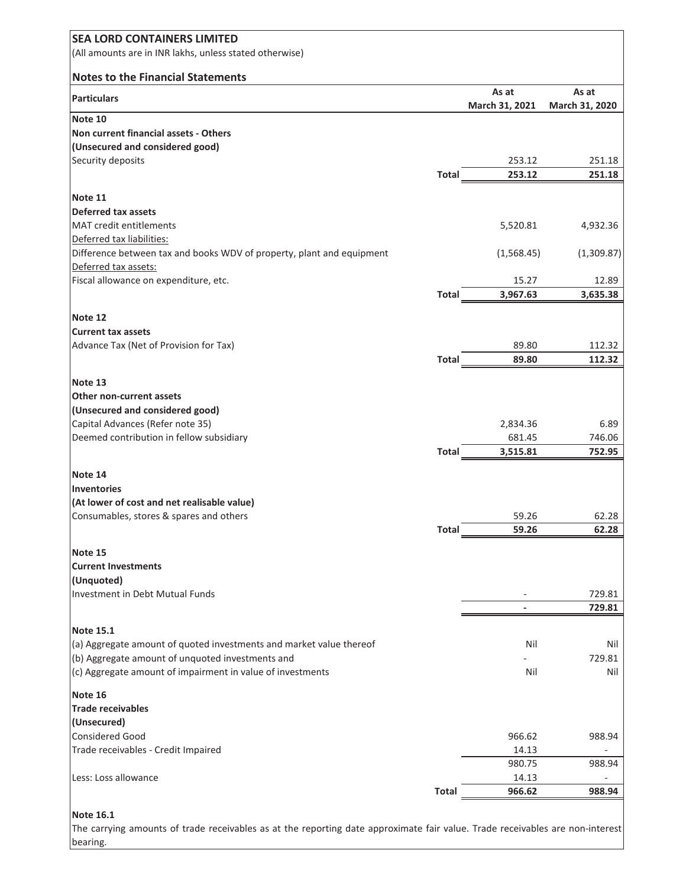| <b>SEA LORD CONTAINERS LIMITED</b>                                                                                            |              |                          |                |
|-------------------------------------------------------------------------------------------------------------------------------|--------------|--------------------------|----------------|
| (All amounts are in INR lakhs, unless stated otherwise)                                                                       |              |                          |                |
| <b>Notes to the Financial Statements</b>                                                                                      |              |                          |                |
|                                                                                                                               |              | As at                    | As at          |
| <b>Particulars</b>                                                                                                            |              | March 31, 2021           | March 31, 2020 |
| Note 10                                                                                                                       |              |                          |                |
| Non current financial assets - Others                                                                                         |              |                          |                |
| (Unsecured and considered good)                                                                                               |              |                          |                |
| Security deposits                                                                                                             |              | 253.12<br>253.12         | 251.18         |
|                                                                                                                               | Total        |                          | 251.18         |
| Note 11                                                                                                                       |              |                          |                |
| Deferred tax assets                                                                                                           |              |                          |                |
| <b>MAT</b> credit entitlements                                                                                                |              | 5,520.81                 | 4,932.36       |
| Deferred tax liabilities:                                                                                                     |              |                          |                |
| Difference between tax and books WDV of property, plant and equipment                                                         |              | (1,568.45)               | (1,309.87)     |
| Deferred tax assets:                                                                                                          |              |                          |                |
| Fiscal allowance on expenditure, etc.                                                                                         |              | 15.27                    | 12.89          |
|                                                                                                                               | Total        | 3,967.63                 | 3,635.38       |
| Note 12                                                                                                                       |              |                          |                |
| <b>Current tax assets</b>                                                                                                     |              |                          |                |
| Advance Tax (Net of Provision for Tax)                                                                                        |              | 89.80                    | 112.32         |
|                                                                                                                               | <b>Total</b> | 89.80                    | 112.32         |
|                                                                                                                               |              |                          |                |
| Note 13                                                                                                                       |              |                          |                |
| Other non-current assets                                                                                                      |              |                          |                |
| (Unsecured and considered good)                                                                                               |              |                          |                |
| Capital Advances (Refer note 35)                                                                                              |              | 2,834.36                 | 6.89           |
| Deemed contribution in fellow subsidiary                                                                                      |              | 681.45                   | 746.06         |
|                                                                                                                               | Total        | 3,515.81                 | 752.95         |
| Note 14                                                                                                                       |              |                          |                |
| Inventories                                                                                                                   |              |                          |                |
| (At lower of cost and net realisable value)                                                                                   |              |                          |                |
| Consumables, stores & spares and others                                                                                       |              | 59.26                    | 62.28          |
|                                                                                                                               | <b>Total</b> | 59.26                    | 62.28          |
| Note 15                                                                                                                       |              |                          |                |
| <b>Current Investments</b>                                                                                                    |              |                          |                |
| (Unquoted)                                                                                                                    |              |                          |                |
| Investment in Debt Mutual Funds                                                                                               |              |                          | 729.81         |
|                                                                                                                               |              | $\overline{\phantom{a}}$ | 729.81         |
|                                                                                                                               |              |                          |                |
| <b>Note 15.1</b>                                                                                                              |              |                          |                |
| (a) Aggregate amount of quoted investments and market value thereof                                                           |              | Nil                      | Nil            |
| (b) Aggregate amount of unquoted investments and                                                                              |              |                          | 729.81         |
| (c) Aggregate amount of impairment in value of investments                                                                    |              | Nil                      | Nil            |
| Note 16                                                                                                                       |              |                          |                |
| <b>Trade receivables</b>                                                                                                      |              |                          |                |
| (Unsecured)                                                                                                                   |              |                          |                |
| Considered Good                                                                                                               |              | 966.62                   | 988.94         |
| Trade receivables - Credit Impaired                                                                                           |              | 14.13                    |                |
|                                                                                                                               |              | 980.75                   | 988.94         |
| Less: Loss allowance                                                                                                          |              | 14.13                    |                |
|                                                                                                                               | <b>Total</b> | 966.62                   | 988.94         |
| <b>Note 16.1</b>                                                                                                              |              |                          |                |
| The carrying amounts of trade receivables as at the reporting date approximate fair value. Trade receivables are non-interest |              |                          |                |
| bearing.                                                                                                                      |              |                          |                |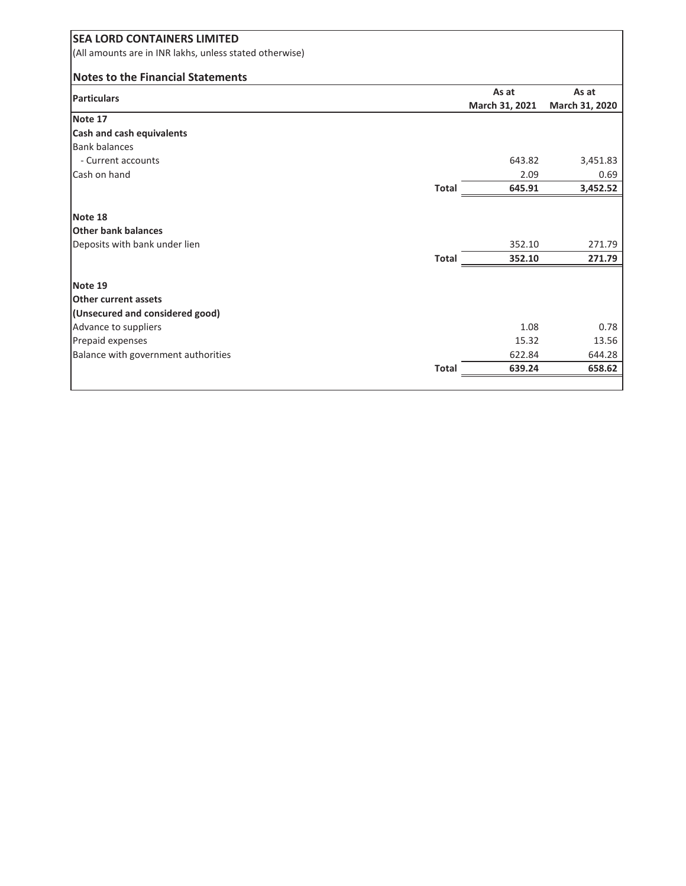| <b>SEA LORD CONTAINERS LIMITED</b>                      |              |                |                |
|---------------------------------------------------------|--------------|----------------|----------------|
| (All amounts are in INR lakhs, unless stated otherwise) |              |                |                |
| <b>Notes to the Financial Statements</b>                |              |                |                |
| <b>Particulars</b>                                      |              | As at          | As at          |
|                                                         |              | March 31, 2021 | March 31, 2020 |
| Note 17                                                 |              |                |                |
| Cash and cash equivalents                               |              |                |                |
| <b>Bank balances</b>                                    |              |                |                |
| - Current accounts                                      |              | 643.82         | 3,451.83       |
| Cash on hand                                            |              | 2.09           | 0.69           |
|                                                         | <b>Total</b> | 645.91         | 3,452.52       |
| Note 18                                                 |              |                |                |
| <b>Other bank balances</b>                              |              |                |                |
| Deposits with bank under lien                           |              | 352.10         | 271.79         |
|                                                         | <b>Total</b> | 352.10         | 271.79         |
| Note 19                                                 |              |                |                |
| Other current assets                                    |              |                |                |
| (Unsecured and considered good)                         |              |                |                |
| Advance to suppliers                                    |              | 1.08           | 0.78           |
| Prepaid expenses                                        |              | 15.32          | 13.56          |
| Balance with government authorities                     |              | 622.84         | 644.28         |
|                                                         | <b>Total</b> | 639.24         | 658.62         |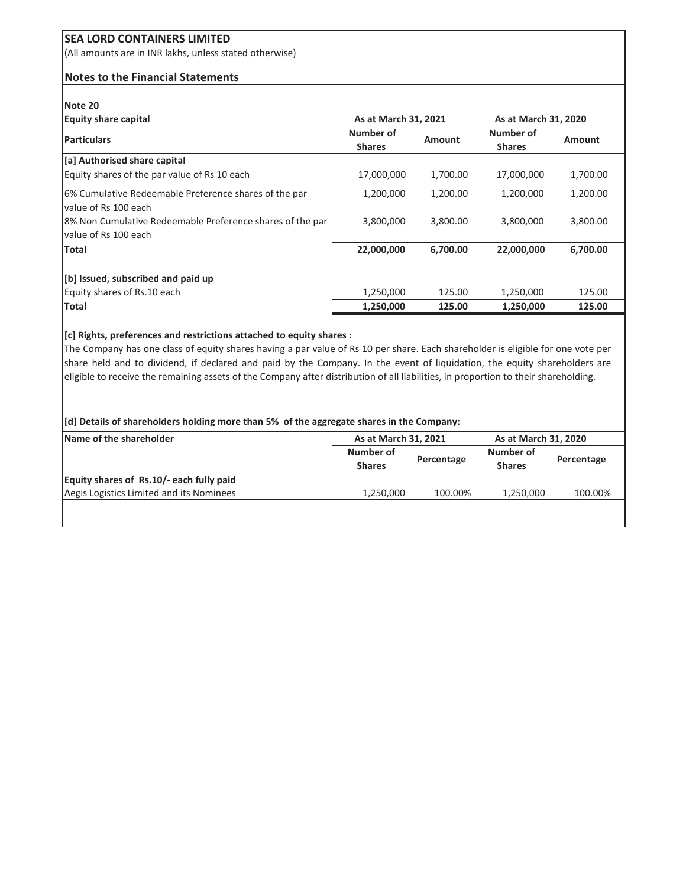(All amounts are in INR lakhs, unless stated otherwise)

#### **Notes to the Financial Statements**

#### **Note 20**

| <b>Equity share capital</b>                                                       | As at March 31, 2021       |               | As at March 31, 2020       |               |
|-----------------------------------------------------------------------------------|----------------------------|---------------|----------------------------|---------------|
| <b>Particulars</b>                                                                | Number of<br><b>Shares</b> | <b>Amount</b> | Number of<br><b>Shares</b> | <b>Amount</b> |
| [a] Authorised share capital                                                      |                            |               |                            |               |
| Equity shares of the par value of Rs 10 each                                      | 17,000,000                 | 1,700.00      | 17,000,000                 | 1,700.00      |
| 6% Cumulative Redeemable Preference shares of the par<br>value of Rs 100 each     | 1,200,000                  | 1,200.00      | 1,200,000                  | 1,200.00      |
| 8% Non Cumulative Redeemable Preference shares of the par<br>value of Rs 100 each | 3,800,000                  | 3,800.00      | 3,800,000                  | 3,800.00      |
| <b>Total</b>                                                                      | 22,000,000                 | 6,700.00      | 22,000,000                 | 6,700.00      |
| [b] Issued, subscribed and paid up                                                |                            |               |                            |               |
| Equity shares of Rs.10 each                                                       | 1,250,000                  | 125.00        | 1,250,000                  | 125.00        |
| <b>Total</b>                                                                      | 1,250,000                  | 125.00        | 1,250,000                  | 125.00        |

#### **[c] Rights, preferences and restrictions attached to equity shares :**

The Company has one class of equity shares having a par value of Rs 10 per share. Each shareholder is eligible for one vote per share held and to dividend, if declared and paid by the Company. In the event of liquidation, the equity shareholders are eligible to receive the remaining assets of the Company after distribution of all liabilities, in proportion to their shareholding.

#### **[d] Details of shareholders holding more than 5% of the aggregate shares in the Company:**

| Name of the shareholder                  | As at March 31, 2021       |            | As at March 31, 2020       |            |
|------------------------------------------|----------------------------|------------|----------------------------|------------|
|                                          | Number of<br><b>Shares</b> | Percentage | Number of<br><b>Shares</b> | Percentage |
| Equity shares of Rs.10/- each fully paid |                            |            |                            |            |
| Aegis Logistics Limited and its Nominees | 1,250,000                  | 100.00%    | 1.250.000                  | 100.00%    |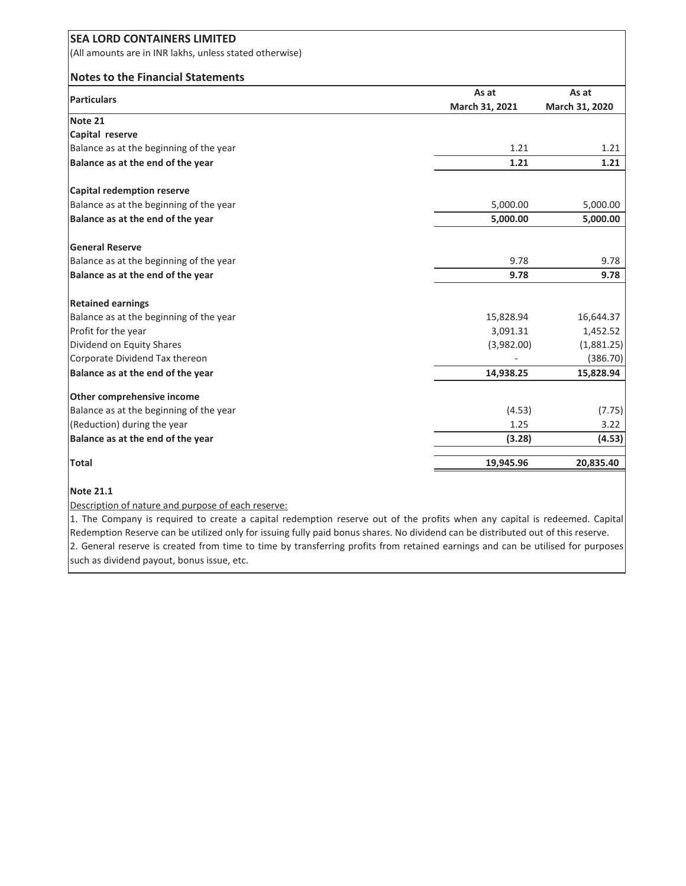| <b>SEA LORD CONTAINERS LIMITED</b>                      |                |                |
|---------------------------------------------------------|----------------|----------------|
| (All amounts are in INR lakhs, unless stated otherwise) |                |                |
| <b>Notes to the Financial Statements</b>                |                |                |
| <b>Particulars</b>                                      | As at          | As at          |
|                                                         | March 31, 2021 | March 31, 2020 |
| Note 21                                                 |                |                |
| Capital reserve                                         |                |                |
| Balance as at the beginning of the year                 | 1.21           | 1.21           |
| Balance as at the end of the year                       | 1.21           | 1.21           |
| <b>Capital redemption reserve</b>                       |                |                |
| Balance as at the beginning of the year                 | 5,000.00       | 5,000.00       |
| Balance as at the end of the year                       | 5,000.00       | 5,000.00       |
| <b>General Reserve</b>                                  |                |                |
| Balance as at the beginning of the year                 | 9.78           | 9.78           |
| Balance as at the end of the year                       | 9.78           | 9.78           |
| <b>Retained earnings</b>                                |                |                |
| Balance as at the beginning of the year                 | 15,828.94      | 16,644.37      |
| Profit for the year                                     | 3,091.31       | 1,452.52       |
| Dividend on Equity Shares                               | (3,982.00)     | (1,881.25)     |
| Corporate Dividend Tax thereon                          |                | (386.70)       |
| Balance as at the end of the year                       | 14,938.25      | 15,828.94      |
| Other comprehensive income                              |                |                |
| Balance as at the beginning of the year                 | (4.53)         | (7.75)         |
| (Reduction) during the year                             | 1.25           | 3.22           |
| Balance as at the end of the year                       | (3.28)         | (4.53)         |
| <b>Total</b>                                            | 19,945.96      | 20,835.40      |

#### **Note 21.1**

Description of nature and purpose of each reserve:

1. The Company is required to create a capital redemption reserve out of the profits when any capital is redeemed. Capital Redemption Reserve can be utilized only for issuing fully paid bonus shares. No dividend can be distributed out of this reserve. 2. General reserve is created from time to time by transferring profits from retained earnings and can be utilised for purposes such as dividend payout, bonus issue, etc.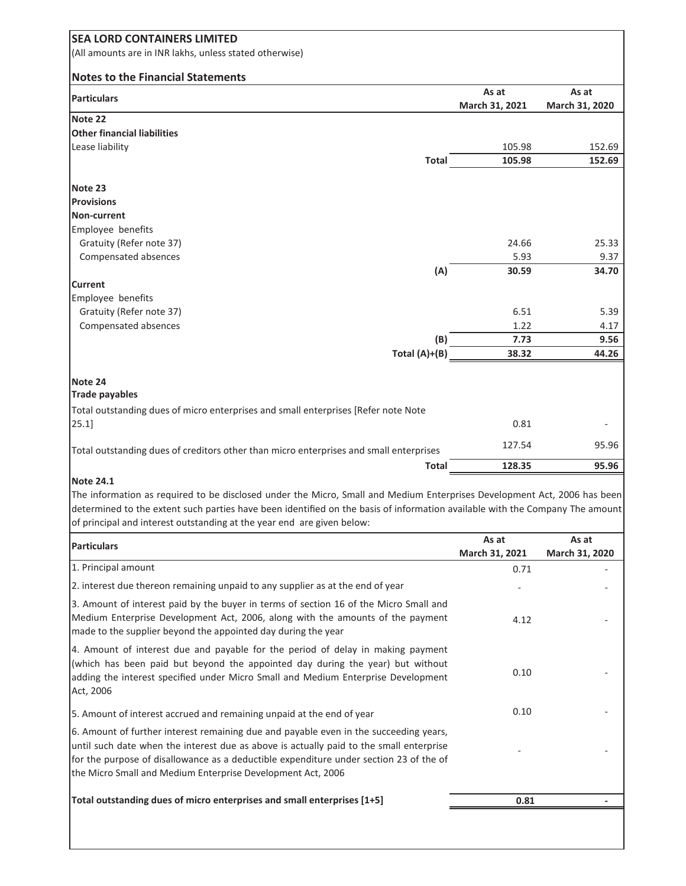| <b>SEA LORD CONTAINERS LIMITED</b>                                                                                                                                                                                                                                                                                                 |                         |                         |
|------------------------------------------------------------------------------------------------------------------------------------------------------------------------------------------------------------------------------------------------------------------------------------------------------------------------------------|-------------------------|-------------------------|
| (All amounts are in INR lakhs, unless stated otherwise)                                                                                                                                                                                                                                                                            |                         |                         |
|                                                                                                                                                                                                                                                                                                                                    |                         |                         |
| <b>Notes to the Financial Statements</b>                                                                                                                                                                                                                                                                                           |                         |                         |
| <b>Particulars</b>                                                                                                                                                                                                                                                                                                                 | As at<br>March 31, 2021 | As at<br>March 31, 2020 |
| Note 22                                                                                                                                                                                                                                                                                                                            |                         |                         |
| <b>Other financial liabilities</b>                                                                                                                                                                                                                                                                                                 |                         |                         |
| Lease liability                                                                                                                                                                                                                                                                                                                    | 105.98                  | 152.69                  |
| <b>Total</b>                                                                                                                                                                                                                                                                                                                       | 105.98                  | 152.69                  |
|                                                                                                                                                                                                                                                                                                                                    |                         |                         |
| Note 23                                                                                                                                                                                                                                                                                                                            |                         |                         |
| <b>Provisions</b><br><b>Non-current</b>                                                                                                                                                                                                                                                                                            |                         |                         |
| Employee benefits                                                                                                                                                                                                                                                                                                                  |                         |                         |
| Gratuity (Refer note 37)                                                                                                                                                                                                                                                                                                           | 24.66                   | 25.33                   |
| Compensated absences                                                                                                                                                                                                                                                                                                               | 5.93                    | 9.37                    |
| (A)                                                                                                                                                                                                                                                                                                                                | 30.59                   | 34.70                   |
| <b>Current</b>                                                                                                                                                                                                                                                                                                                     |                         |                         |
| Employee benefits                                                                                                                                                                                                                                                                                                                  |                         |                         |
| Gratuity (Refer note 37)                                                                                                                                                                                                                                                                                                           | 6.51                    | 5.39                    |
| Compensated absences                                                                                                                                                                                                                                                                                                               | 1.22                    | 4.17                    |
| (B)                                                                                                                                                                                                                                                                                                                                | 7.73                    | 9.56                    |
| Total (A)+(B)                                                                                                                                                                                                                                                                                                                      | 38.32                   | 44.26                   |
| Note 24                                                                                                                                                                                                                                                                                                                            |                         |                         |
| <b>Trade payables</b>                                                                                                                                                                                                                                                                                                              |                         |                         |
| Total outstanding dues of micro enterprises and small enterprises [Refer note Note                                                                                                                                                                                                                                                 |                         |                         |
| [25.1]                                                                                                                                                                                                                                                                                                                             | 0.81                    |                         |
|                                                                                                                                                                                                                                                                                                                                    | 127.54                  | 95.96                   |
| Total outstanding dues of creditors other than micro enterprises and small enterprises<br>Total                                                                                                                                                                                                                                    | 128.35                  | 95.96                   |
| <b>Note 24.1</b>                                                                                                                                                                                                                                                                                                                   |                         |                         |
| The information as required to be disclosed under the Micro, Small and Medium Enterprises Development Act, 2006 has been<br>determined to the extent such parties have been identified on the basis of information available with the Company The amount<br>of principal and interest outstanding at the year end are given below: |                         |                         |
|                                                                                                                                                                                                                                                                                                                                    | As at                   | As at                   |
| <b>Particulars</b>                                                                                                                                                                                                                                                                                                                 | March 31, 2021          | March 31, 2020          |
| 1. Principal amount                                                                                                                                                                                                                                                                                                                | 0.71                    |                         |
| 2. interest due thereon remaining unpaid to any supplier as at the end of year                                                                                                                                                                                                                                                     |                         |                         |
| 3. Amount of interest paid by the buyer in terms of section 16 of the Micro Small and<br>Medium Enterprise Development Act, 2006, along with the amounts of the payment<br>made to the supplier beyond the appointed day during the year                                                                                           | 4.12                    |                         |
| 4. Amount of interest due and payable for the period of delay in making payment<br>(which has been paid but beyond the appointed day during the year) but without<br>adding the interest specified under Micro Small and Medium Enterprise Development<br>Act, 2006                                                                | 0.10                    |                         |
| 5. Amount of interest accrued and remaining unpaid at the end of year                                                                                                                                                                                                                                                              | 0.10                    |                         |
| 6. Amount of further interest remaining due and payable even in the succeeding years,                                                                                                                                                                                                                                              |                         |                         |
| until such date when the interest due as above is actually paid to the small enterprise<br>for the purpose of disallowance as a deductible expenditure under section 23 of the of<br>the Micro Small and Medium Enterprise Development Act, 2006                                                                                   |                         |                         |
| Total outstanding dues of micro enterprises and small enterprises [1+5]                                                                                                                                                                                                                                                            | 0.81                    |                         |
|                                                                                                                                                                                                                                                                                                                                    |                         |                         |
|                                                                                                                                                                                                                                                                                                                                    |                         |                         |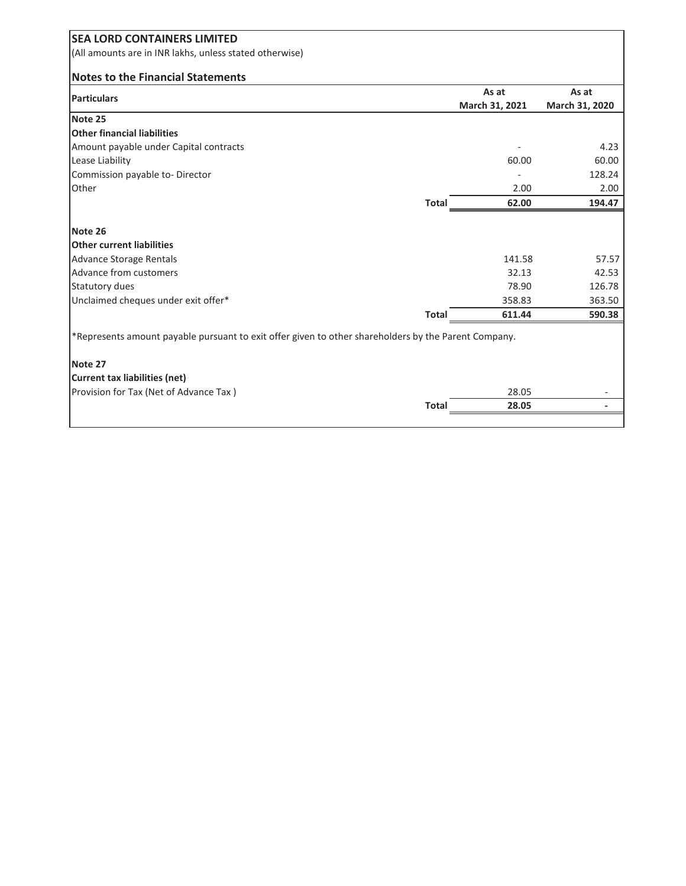| <b>SEA LORD CONTAINERS LIMITED</b>                                                                   |                |                |
|------------------------------------------------------------------------------------------------------|----------------|----------------|
| (All amounts are in INR lakhs, unless stated otherwise)                                              |                |                |
| <b>Notes to the Financial Statements</b>                                                             |                |                |
| <b>Particulars</b>                                                                                   | As at          | As at          |
|                                                                                                      | March 31, 2021 | March 31, 2020 |
| Note 25                                                                                              |                |                |
| <b>Other financial liabilities</b>                                                                   |                |                |
| Amount payable under Capital contracts                                                               |                | 4.23           |
| Lease Liability                                                                                      | 60.00          | 60.00          |
| Commission payable to-Director                                                                       |                | 128.24         |
| Other                                                                                                | 2.00           | 2.00           |
| <b>Total</b>                                                                                         | 62.00          | 194.47         |
|                                                                                                      |                |                |
| Note 26                                                                                              |                |                |
| <b>Other current liabilities</b>                                                                     |                |                |
| Advance Storage Rentals                                                                              | 141.58         | 57.57          |
| Advance from customers                                                                               | 32.13          | 42.53          |
| Statutory dues                                                                                       | 78.90          | 126.78         |
| Unclaimed cheques under exit offer*                                                                  | 358.83         | 363.50         |
| <b>Total</b>                                                                                         | 611.44         | 590.38         |
| *Represents amount payable pursuant to exit offer given to other shareholders by the Parent Company. |                |                |
| Note 27                                                                                              |                |                |
| Current tax liabilities (net)                                                                        |                |                |
| Provision for Tax (Net of Advance Tax)                                                               | 28.05          |                |
| <b>Total</b>                                                                                         | 28.05          |                |
|                                                                                                      |                |                |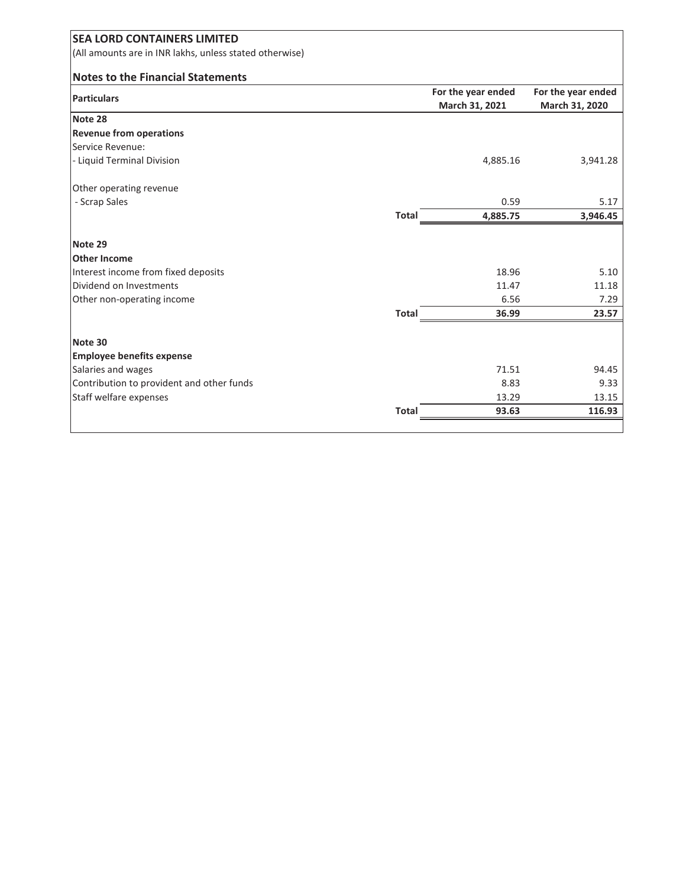| <b>SEA LORD CONTAINERS LIMITED</b>                      |              |                                      |                                      |
|---------------------------------------------------------|--------------|--------------------------------------|--------------------------------------|
| (All amounts are in INR lakhs, unless stated otherwise) |              |                                      |                                      |
| <b>Notes to the Financial Statements</b>                |              |                                      |                                      |
| <b>Particulars</b>                                      |              | For the year ended<br>March 31, 2021 | For the year ended<br>March 31, 2020 |
| Note 28                                                 |              |                                      |                                      |
| <b>Revenue from operations</b>                          |              |                                      |                                      |
| Service Revenue:                                        |              |                                      |                                      |
| - Liquid Terminal Division                              |              | 4,885.16                             | 3,941.28                             |
| Other operating revenue                                 |              |                                      |                                      |
| - Scrap Sales                                           |              | 0.59                                 | 5.17                                 |
|                                                         | <b>Total</b> | 4,885.75                             | 3,946.45                             |
| Note 29                                                 |              |                                      |                                      |
| <b>Other Income</b>                                     |              |                                      |                                      |
| Interest income from fixed deposits                     |              | 18.96                                | 5.10                                 |
| Dividend on Investments                                 |              | 11.47                                | 11.18                                |
| Other non-operating income                              |              | 6.56                                 | 7.29                                 |
|                                                         | <b>Total</b> | 36.99                                | 23.57                                |
| Note 30                                                 |              |                                      |                                      |
| <b>Employee benefits expense</b>                        |              |                                      |                                      |
| Salaries and wages                                      |              | 71.51                                | 94.45                                |
| Contribution to provident and other funds               |              | 8.83                                 | 9.33                                 |
| Staff welfare expenses                                  |              | 13.29                                | 13.15                                |
|                                                         | <b>Total</b> | 93.63                                | 116.93                               |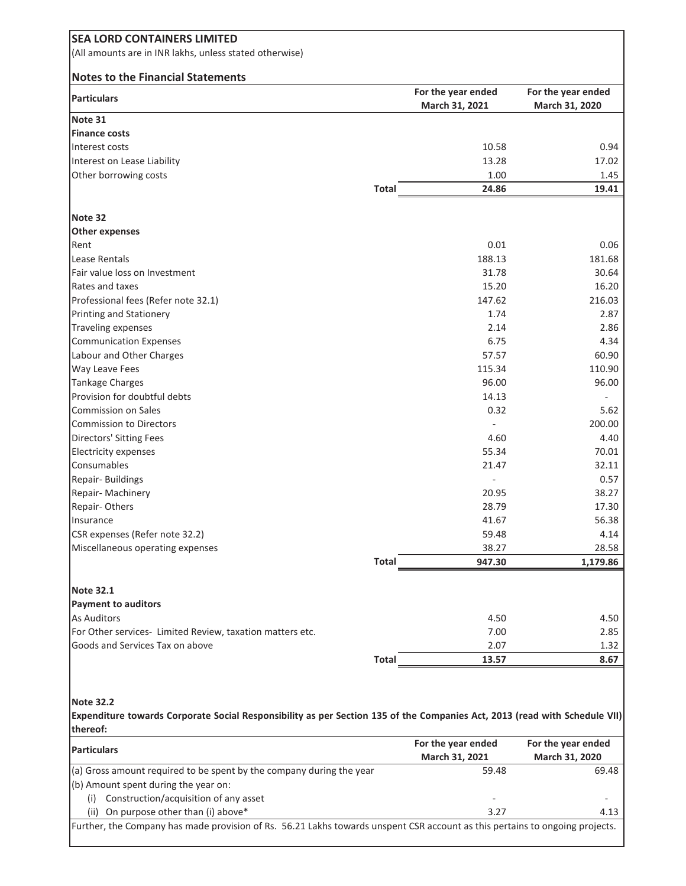| <b>SEA LORD CONTAINERS LIMITED</b>                                                                                                     |              |                                      |                                      |
|----------------------------------------------------------------------------------------------------------------------------------------|--------------|--------------------------------------|--------------------------------------|
| (All amounts are in INR lakhs, unless stated otherwise)                                                                                |              |                                      |                                      |
|                                                                                                                                        |              |                                      |                                      |
| <b>Notes to the Financial Statements</b>                                                                                               |              |                                      |                                      |
| <b>Particulars</b>                                                                                                                     |              | For the year ended<br>March 31, 2021 | For the year ended<br>March 31, 2020 |
| Note 31                                                                                                                                |              |                                      |                                      |
| <b>Finance costs</b>                                                                                                                   |              |                                      |                                      |
| Interest costs                                                                                                                         |              | 10.58                                | 0.94                                 |
| Interest on Lease Liability                                                                                                            |              | 13.28                                | 17.02                                |
| Other borrowing costs                                                                                                                  |              | 1.00                                 | 1.45                                 |
|                                                                                                                                        | <b>Total</b> | 24.86                                | 19.41                                |
|                                                                                                                                        |              |                                      |                                      |
| Note 32                                                                                                                                |              |                                      |                                      |
| <b>Other expenses</b>                                                                                                                  |              |                                      |                                      |
| Rent                                                                                                                                   |              | 0.01                                 | 0.06                                 |
| Lease Rentals<br>Fair value loss on Investment                                                                                         |              | 188.13                               | 181.68                               |
| Rates and taxes                                                                                                                        |              | 31.78                                | 30.64                                |
|                                                                                                                                        |              | 15.20                                | 16.20                                |
| Professional fees (Refer note 32.1)                                                                                                    |              | 147.62                               | 216.03                               |
| Printing and Stationery                                                                                                                |              | 1.74                                 | 2.87                                 |
| <b>Traveling expenses</b>                                                                                                              |              | 2.14<br>6.75                         | 2.86                                 |
| <b>Communication Expenses</b>                                                                                                          |              | 57.57                                | 4.34                                 |
| Labour and Other Charges                                                                                                               |              |                                      | 60.90                                |
| Way Leave Fees                                                                                                                         |              | 115.34                               | 110.90                               |
| <b>Tankage Charges</b><br>Provision for doubtful debts                                                                                 |              | 96.00                                | 96.00                                |
| <b>Commission on Sales</b>                                                                                                             |              | 14.13<br>0.32                        | 5.62                                 |
|                                                                                                                                        |              |                                      | 200.00                               |
| <b>Commission to Directors</b>                                                                                                         |              | 4.60                                 | 4.40                                 |
| <b>Directors' Sitting Fees</b><br><b>Electricity expenses</b>                                                                          |              | 55.34                                | 70.01                                |
| Consumables                                                                                                                            |              | 21.47                                | 32.11                                |
| Repair- Buildings                                                                                                                      |              |                                      | 0.57                                 |
| Repair- Machinery                                                                                                                      |              | 20.95                                | 38.27                                |
| Repair-Others                                                                                                                          |              | 28.79                                | 17.30                                |
| Insurance                                                                                                                              |              | 41.67                                | 56.38                                |
| CSR expenses (Refer note 32.2)                                                                                                         |              | 59.48                                | 4.14                                 |
| Miscellaneous operating expenses                                                                                                       |              | 38.27                                | 28.58                                |
|                                                                                                                                        | <b>Total</b> | 947.30                               | 1,179.86                             |
|                                                                                                                                        |              |                                      |                                      |
| <b>Note 32.1</b>                                                                                                                       |              |                                      |                                      |
| <b>Payment to auditors</b>                                                                                                             |              |                                      |                                      |
| <b>As Auditors</b>                                                                                                                     |              | 4.50                                 | 4.50                                 |
| For Other services- Limited Review, taxation matters etc.                                                                              |              | 7.00                                 | 2.85                                 |
| Goods and Services Tax on above                                                                                                        |              | 2.07                                 | 1.32                                 |
|                                                                                                                                        | Total        | 13.57                                | 8.67                                 |
|                                                                                                                                        |              |                                      |                                      |
| <b>Note 32.2</b>                                                                                                                       |              |                                      |                                      |
| Expenditure towards Corporate Social Responsibility as per Section 135 of the Companies Act, 2013 (read with Schedule VII)<br>thereof: |              |                                      |                                      |
|                                                                                                                                        |              | For the year ended                   | For the year ended                   |
| <b>Particulars</b>                                                                                                                     |              | March 31, 2021                       | March 31, 2020                       |
| (a) Gross amount required to be spent by the company during the year                                                                   |              | 59.48                                | 69.48                                |
| (b) Amount spent during the year on:                                                                                                   |              |                                      |                                      |
| Construction/acquisition of any asset<br>(i)                                                                                           |              |                                      |                                      |
| On purpose other than (i) above*<br>(ii)                                                                                               |              | 3.27                                 | 4.13                                 |

Further, the Company has made provision of Rs. 56.21 Lakhs towards unspent CSR account as this pertains to ongoing projects.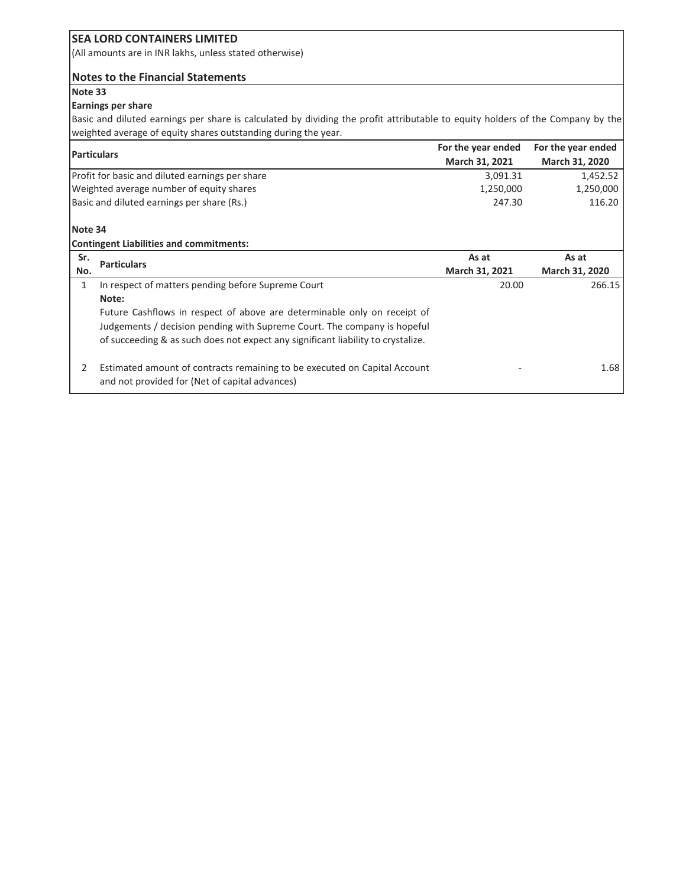(All amounts are in INR lakhs, unless stated otherwise)

#### **Notes to the Financial Statements**

#### **Note 33**

#### **Earnings per share**

Basic and diluted earnings per share is calculated by dividing the profit attributable to equity holders of the Company by the weighted average of equity shares outstanding during the year.

| <b>Particulars</b> |                                                                                  | For the year ended | For the year ended |
|--------------------|----------------------------------------------------------------------------------|--------------------|--------------------|
|                    |                                                                                  | March 31, 2021     | March 31, 2020     |
|                    | Profit for basic and diluted earnings per share                                  | 3,091.31           | 1,452.52           |
|                    | Weighted average number of equity shares                                         | 1,250,000          | 1,250,000          |
|                    | Basic and diluted earnings per share (Rs.)                                       |                    | 116.20             |
| Note 34            |                                                                                  |                    |                    |
|                    | <b>Contingent Liabilities and commitments:</b>                                   |                    |                    |
| Sr.                | <b>Particulars</b>                                                               | As at              | As at              |
| No.                |                                                                                  | March 31, 2021     | March 31, 2020     |
| 1                  | In respect of matters pending before Supreme Court                               | 20.00              | 266.15             |
|                    | Note:                                                                            |                    |                    |
|                    | Future Cashflows in respect of above are determinable only on receipt of         |                    |                    |
|                    | Judgements / decision pending with Supreme Court. The company is hopeful         |                    |                    |
|                    | of succeeding & as such does not expect any significant liability to crystalize. |                    |                    |
| 2                  | Estimated amount of contracts remaining to be executed on Capital Account        |                    | 1.68               |
|                    | and not provided for (Net of capital advances)                                   |                    |                    |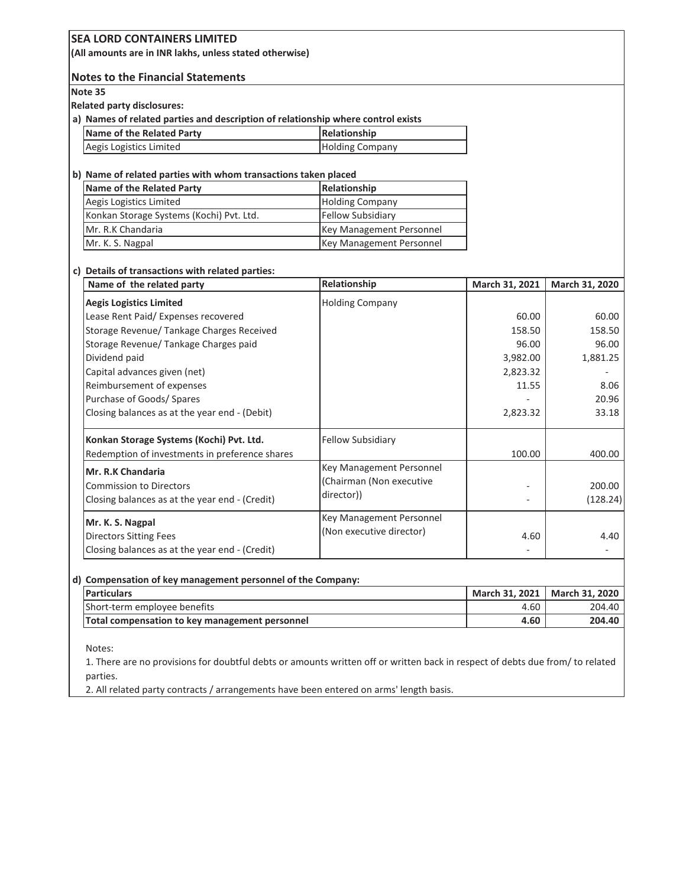| SEA LURD CONTAINERS LIMITED<br>(All amounts are in INR lakhs, unless stated otherwise) |                          |                |                |
|----------------------------------------------------------------------------------------|--------------------------|----------------|----------------|
| <b>Notes to the Financial Statements</b>                                               |                          |                |                |
| Note 35                                                                                |                          |                |                |
| <b>Related party disclosures:</b>                                                      |                          |                |                |
| a) Names of related parties and description of relationship where control exists       |                          |                |                |
| <b>Name of the Related Party</b>                                                       | Relationship             |                |                |
| Aegis Logistics Limited                                                                | <b>Holding Company</b>   |                |                |
| b) Name of related parties with whom transactions taken placed                         |                          |                |                |
| <b>Name of the Related Party</b>                                                       | Relationship             |                |                |
| Aegis Logistics Limited                                                                | <b>Holding Company</b>   |                |                |
| Konkan Storage Systems (Kochi) Pvt. Ltd.                                               | <b>Fellow Subsidiary</b> |                |                |
| Mr. R.K Chandaria                                                                      | Key Management Personnel |                |                |
| Mr. K. S. Nagpal                                                                       | Key Management Personnel |                |                |
| c) Details of transactions with related parties:                                       |                          |                |                |
| Name of the related party                                                              | Relationship             | March 31, 2021 | March 31, 2020 |
| <b>Aegis Logistics Limited</b>                                                         | <b>Holding Company</b>   |                |                |
| Lease Rent Paid/ Expenses recovered                                                    |                          | 60.00          | 60.00          |
| Storage Revenue/ Tankage Charges Received                                              |                          | 158.50         | 158.50         |
| Storage Revenue/ Tankage Charges paid                                                  |                          | 96.00          | 96.00          |
| Dividend paid                                                                          |                          | 3,982.00       | 1,881.25       |
| Capital advances given (net)                                                           |                          | 2,823.32       |                |
| Reimbursement of expenses                                                              |                          | 11.55          | 8.06           |
| Purchase of Goods/ Spares                                                              |                          |                | 20.96          |
| Closing balances as at the year end - (Debit)                                          |                          | 2,823.32       | 33.18          |
| Konkan Storage Systems (Kochi) Pvt. Ltd.                                               | <b>Fellow Subsidiary</b> |                |                |
| Redemption of investments in preference shares                                         |                          | 100.00         | 400.00         |
| Mr. R.K Chandaria                                                                      | Key Management Personnel |                |                |
| <b>Commission to Directors</b>                                                         | (Chairman (Non executive |                | 200.00         |
| Closing balances as at the year end - (Credit)                                         | director))               |                | (128.24)       |
|                                                                                        |                          |                |                |
| Mr. K. S. Nagpal                                                                       | Key Management Personnel |                |                |
| <b>Directors Sitting Fees</b>                                                          | (Non executive director) | 4.60           | 4.40           |
| Closing balances as at the year end - (Credit)                                         |                          |                |                |
| d) Compensation of key management personnel of the Company:                            |                          |                |                |
| <b>Particulars</b>                                                                     |                          | March 31, 2021 | March 31, 2020 |
| Short-term employee benefits                                                           |                          | 4.60           | 204.40         |
| Total compensation to key management personnel                                         |                          | 4.60           | 204.40         |
|                                                                                        |                          |                |                |

Notes:

1. There are no provisions for doubtful debts or amounts written off or written back in respect of debts due from/ to related parties.

2. All related party contracts / arrangements have been entered on arms' length basis.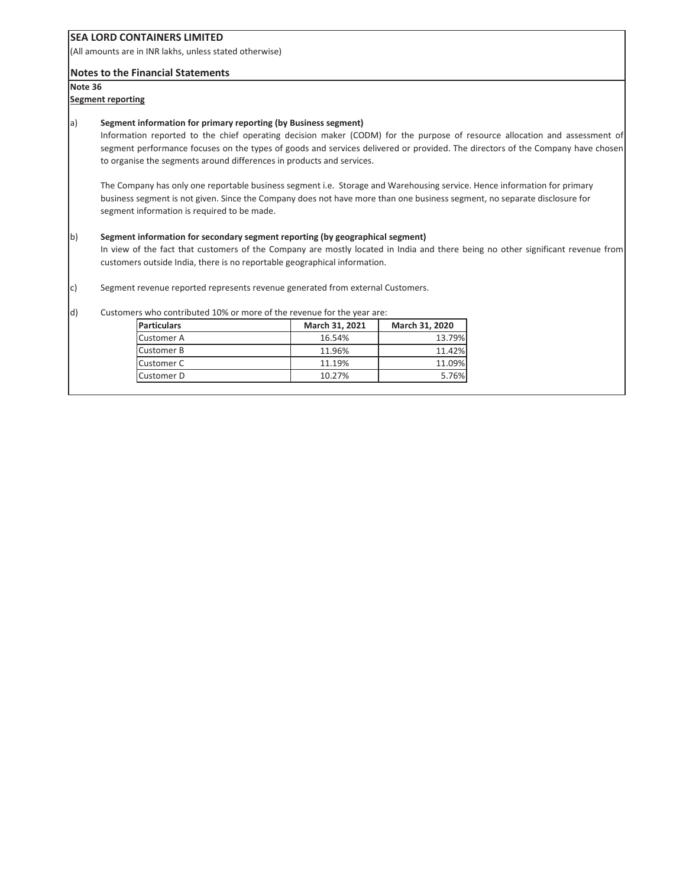(All amounts are in INR lakhs, unless stated otherwise)

#### **Notes to the Financial Statements**

**Note 36**

#### **Segment reporting**

#### a) **Segment information for primary reporting (by Business segment)**

Information reported to the chief operating decision maker (CODM) for the purpose of resource allocation and assessment of segment performance focuses on the types of goods and services delivered or provided. The directors of the Company have chosen to organise the segments around differences in products and services.

The Company has only one reportable business segment i.e. Storage and Warehousing service. Hence information for primary business segment is not given. Since the Company does not have more than one business segment, no separate disclosure for segment information is required to be made.

#### b) **Segment information for secondary segment reporting (by geographical segment)**

In view of the fact that customers of the Company are mostly located in India and there being no other significant revenue from customers outside India, there is no reportable geographical information.

c) Segment revenue reported represents revenue generated from external Customers.

#### d) Customers who contributed 10% or more of the revenue for the year are:

| <b>Particulars</b> | March 31, 2021 | March 31, 2020 |
|--------------------|----------------|----------------|
| <b>Customer A</b>  | 16.54%         | 13.79%         |
| <b>Customer B</b>  | 11.96%         | 11.42%         |
| Customer C         | 11.19%         | 11.09%         |
| Customer D         | 10.27%         | 5.76%          |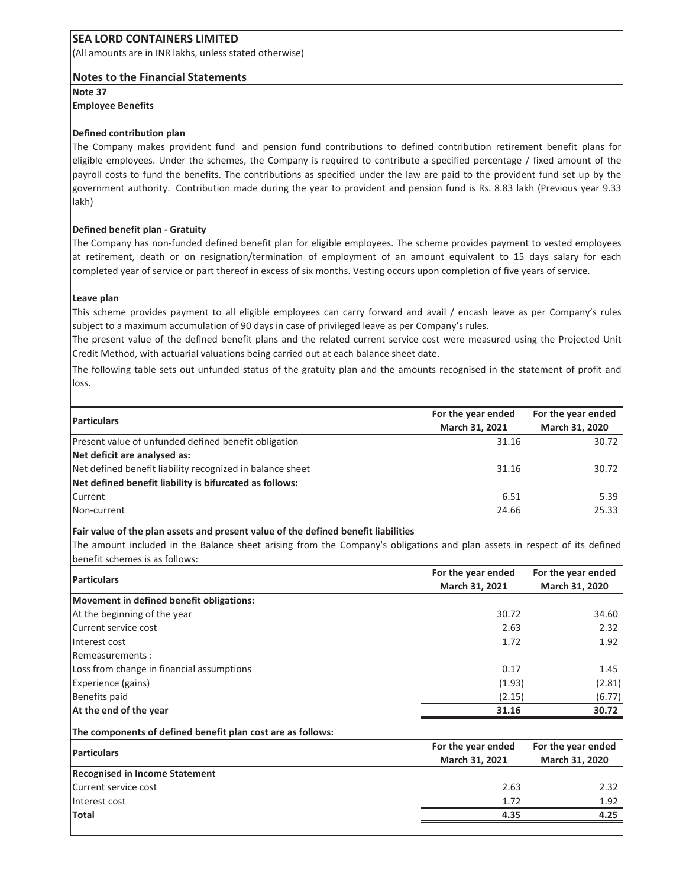(All amounts are in INR lakhs, unless stated otherwise)

#### **Notes to the Financial Statements**

**Note 37 Employee Benefits**

#### **Defined contribution plan**

The Company makes provident fund and pension fund contributions to defined contribution retirement benefit plans for eligible employees. Under the schemes, the Company is required to contribute a specified percentage / fixed amount of the payroll costs to fund the benefits. The contributions as specified under the law are paid to the provident fund set up by the government authority. Contribution made during the year to provident and pension fund is Rs. 8.83 lakh (Previous year 9.33 lakh)

#### **Defined benefit plan - Gratuity**

The Company has non-funded defined benefit plan for eligible employees. The scheme provides payment to vested employees at retirement, death or on resignation/termination of employment of an amount equivalent to 15 days salary for each completed year of service or part thereof in excess of six months. Vesting occurs upon completion of five years of service.

#### **Leave plan**

This scheme provides payment to all eligible employees can carry forward and avail / encash leave as per Companyís rules subject to a maximum accumulation of 90 days in case of privileged leave as per Company's rules.

The present value of the defined benefit plans and the related current service cost were measured using the Projected Unit Credit Method, with actuarial valuations being carried out at each balance sheet date.

The following table sets out unfunded status of the gratuity plan and the amounts recognised in the statement of profit and loss.

| <b>Particulars</b>                                        | For the year ended | For the year ended |
|-----------------------------------------------------------|--------------------|--------------------|
|                                                           | March 31, 2021     | March 31, 2020     |
| Present value of unfunded defined benefit obligation      | 31.16              | 30.72              |
| Net deficit are analysed as:                              |                    |                    |
| Net defined benefit liability recognized in balance sheet | 31.16              | 30.72              |
| Net defined benefit liability is bifurcated as follows:   |                    |                    |
| Current                                                   | 6.51               | 5.39               |
| Non-current                                               | 24.66              | 25.33              |
|                                                           |                    |                    |

#### **Fair value of the plan assets and present value of the defined benefit liabilities**

The amount included in the Balance sheet arising from the Company's obligations and plan assets in respect of its defined benefit schemes is as follows:

|                                                             | For the year ended | For the year ended |  |
|-------------------------------------------------------------|--------------------|--------------------|--|
| <b>Particulars</b>                                          | March 31, 2021     | March 31, 2020     |  |
| Movement in defined benefit obligations:                    |                    |                    |  |
| At the beginning of the year                                | 30.72              | 34.60              |  |
| Current service cost                                        | 2.63               | 2.32               |  |
| Interest cost                                               | 1.72               | 1.92               |  |
| Remeasurements:                                             |                    |                    |  |
| Loss from change in financial assumptions                   | 0.17               | 1.45               |  |
| Experience (gains)                                          | (1.93)             | (2.81)             |  |
| Benefits paid                                               | (2.15)             | (6.77)             |  |
| At the end of the year                                      | 31.16              | 30.72              |  |
| The components of defined benefit plan cost are as follows: |                    |                    |  |
|                                                             | For the year ended | For the year ended |  |
| <b>Particulars</b>                                          | March 31, 2021     | March 31, 2020     |  |
| <b>Recognised in Income Statement</b>                       |                    |                    |  |
| Current service cost                                        | 2.63               | 2.32               |  |
| Interest cost                                               | 1.72               | 1.92               |  |
| Total                                                       | 4.35               | 4.25               |  |
|                                                             |                    |                    |  |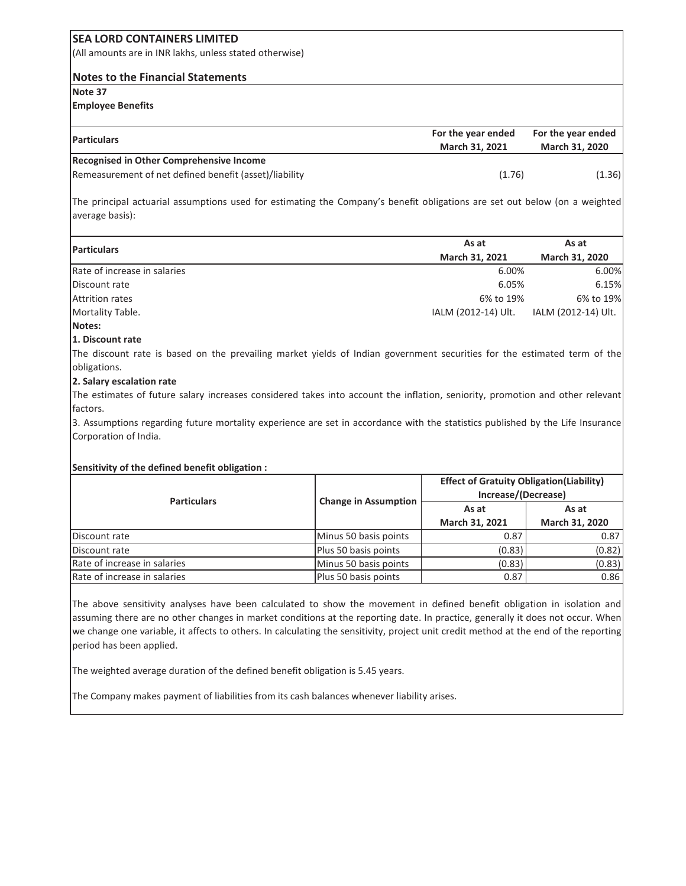#### **SEA LORD CONTAINERS LIMITED** (All amounts are in INR lakhs, unless stated otherwise) **Notes to the Financial Statements Note 37 Employee Benefits Particulars For the year ended March 31, 2021 For the year ended March 31, 2020 Recognised in Other Comprehensive Income** Remeasurement of net defined benefit (asset)/liability (1.36) (1.76)

The principal actuarial assumptions used for estimating the Companyís benefit obligations are set out below (on a weighted average basis):

|                              | As at               | As at               |  |
|------------------------------|---------------------|---------------------|--|
| <b>Particulars</b>           |                     |                     |  |
|                              | March 31, 2021      | March 31, 2020      |  |
| Rate of increase in salaries | 6.00%               | 6.00%               |  |
| Discount rate                | 6.05%               | 6.15%               |  |
| <b>Attrition rates</b>       | 6% to 19%           | 6% to 19%           |  |
| Mortality Table.             | IALM (2012-14) Ult. | IALM (2012-14) Ult. |  |
| Notes:                       |                     |                     |  |

#### **1. Discount rate**

The discount rate is based on the prevailing market yields of Indian government securities for the estimated term of the obligations.

#### **2. Salary escalation rate**

The estimates of future salary increases considered takes into account the inflation, seniority, promotion and other relevant factors.

3. Assumptions regarding future mortality experience are set in accordance with the statistics published by the Life Insurance Corporation of India.

#### **Sensitivity of the defined benefit obligation :**

| <b>Particulars</b>           | <b>Change in Assumption</b> | <b>Effect of Gratuity Obligation (Liability)</b><br>Increase/(Decrease) |                |  |
|------------------------------|-----------------------------|-------------------------------------------------------------------------|----------------|--|
|                              |                             | As at                                                                   | As at          |  |
|                              |                             | March 31, 2021                                                          | March 31, 2020 |  |
| Discount rate                | Minus 50 basis points       | 0.87                                                                    | 0.87           |  |
| Discount rate                | Plus 50 basis points        | (0.83)                                                                  | (0.82)         |  |
| Rate of increase in salaries | Minus 50 basis points       | (0.83)                                                                  | (0.83)         |  |
| Rate of increase in salaries | Plus 50 basis points        | 0.87                                                                    | 0.86           |  |

The above sensitivity analyses have been calculated to show the movement in defined benefit obligation in isolation and assuming there are no other changes in market conditions at the reporting date. In practice, generally it does not occur. When we change one variable, it affects to others. In calculating the sensitivity, project unit credit method at the end of the reporting period has been applied.

The weighted average duration of the defined benefit obligation is 5.45 years.

The Company makes payment of liabilities from its cash balances whenever liability arises.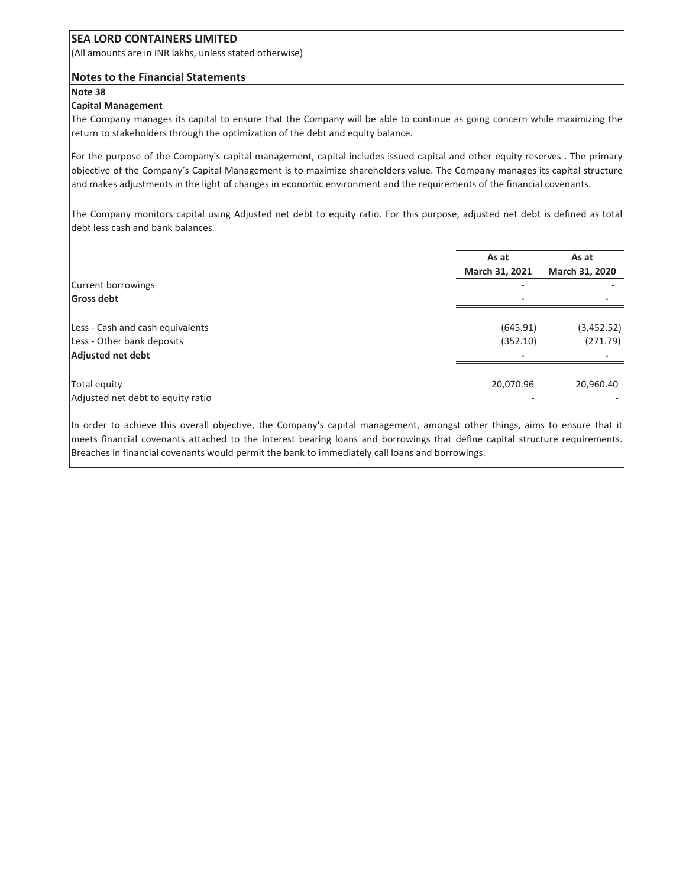(All amounts are in INR lakhs, unless stated otherwise)

#### **Notes to the Financial Statements**

#### **Note 38**

#### **Capital Management**

The Company manages its capital to ensure that the Company will be able to continue as going concern while maximizing the return to stakeholders through the optimization of the debt and equity balance.

For the purpose of the Company's capital management, capital includes issued capital and other equity reserves . The primary objective of the Companyís Capital Management is to maximize shareholders value. The Company manages its capital structure and makes adjustments in the light of changes in economic environment and the requirements of the financial covenants.

The Company monitors capital using Adjusted net debt to equity ratio. For this purpose, adjusted net debt is defined as total debt less cash and bank balances.

|                                                                | As at<br>March 31, 2021 | As at<br>March 31, 2020 |
|----------------------------------------------------------------|-------------------------|-------------------------|
| Current borrowings                                             |                         |                         |
| <b>Gross debt</b>                                              |                         |                         |
| Less - Cash and cash equivalents<br>Less - Other bank deposits | (645.91)<br>(352.10)    | (3,452.52)<br>(271.79)  |
| Adjusted net debt                                              |                         |                         |
| Total equity<br>Adjusted net debt to equity ratio              | 20,070.96               | 20,960.40               |

In order to achieve this overall objective, the Company's capital management, amongst other things, aims to ensure that it meets financial covenants attached to the interest bearing loans and borrowings that define capital structure requirements. Breaches in financial covenants would permit the bank to immediately call loans and borrowings.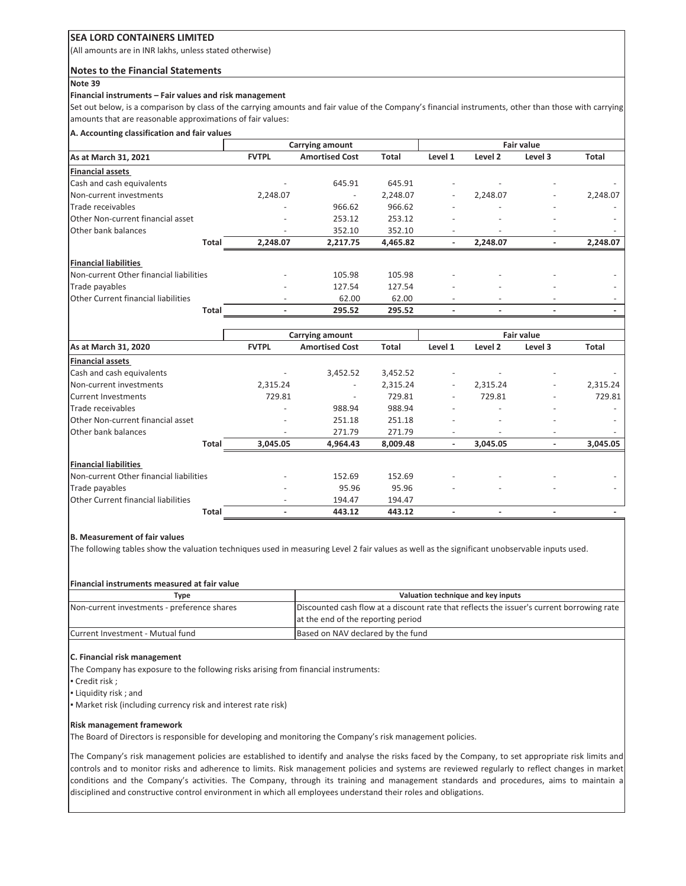(All amounts are in INR lakhs, unless stated otherwise)

#### **Notes to the Financial Statements**

#### **Note 39**

#### **Financial instruments - Fair values and risk management**

Set out below, is a comparison by class of the carrying amounts and fair value of the Company's financial instruments, other than those with carrying amounts that are reasonable approximations of fair values:

#### **A. Accounting classification and fair values**

|                                         | Carrying amount          |                          | <b>Fair value</b> |                          |                          |                          |          |
|-----------------------------------------|--------------------------|--------------------------|-------------------|--------------------------|--------------------------|--------------------------|----------|
| As at March 31, 2021                    | <b>FVTPL</b>             | <b>Amortised Cost</b>    | <b>Total</b>      | Level 1                  | Level 2                  | Level 3                  | Total    |
| <b>Financial assets</b>                 |                          |                          |                   |                          |                          |                          |          |
| Cash and cash equivalents               |                          | 645.91                   | 645.91            | $\overline{\phantom{a}}$ |                          | $\overline{\phantom{a}}$ |          |
| Non-current investments                 | 2,248.07                 | $\overline{\phantom{a}}$ | 2,248.07          |                          | 2,248.07                 | -                        | 2,248.07 |
| Trade receivables                       |                          | 966.62                   | 966.62            |                          | $\overline{\phantom{a}}$ | -                        |          |
| Other Non-current financial asset       |                          | 253.12                   | 253.12            | ٠                        | $\overline{\phantom{a}}$ | $\overline{\phantom{a}}$ |          |
| <b>Other bank balances</b>              | $\overline{\phantom{a}}$ | 352.10                   | 352.10            | $\overline{\phantom{a}}$ | $\overline{\phantom{a}}$ | $\overline{\phantom{a}}$ |          |
| Total                                   | 2,248.07                 | 2,217.75                 | 4,465.82          | ٠                        | 2,248.07                 | -                        | 2,248.07 |
| <b>Financial liabilities</b>            |                          |                          |                   |                          |                          |                          |          |
| Non-current Other financial liabilities |                          | 105.98                   | 105.98            |                          |                          |                          |          |
| Trade payables                          |                          | 127.54                   | 127.54            | -                        | $\overline{\phantom{a}}$ | $\overline{\phantom{0}}$ |          |
| Other Current financial liabilities     |                          | 62.00                    | 62.00             |                          | ٠                        | -                        |          |
| Total                                   |                          | 295.52                   | 295.52            |                          |                          | -                        |          |

|                                         |              | Carrying amount          |              |                          |                          | <b>Fair value</b>        |              |
|-----------------------------------------|--------------|--------------------------|--------------|--------------------------|--------------------------|--------------------------|--------------|
| As at March 31, 2020                    | <b>FVTPL</b> | <b>Amortised Cost</b>    | <b>Total</b> | Level 1                  | Level 2                  | Level 3                  | <b>Total</b> |
| <b>Financial assets</b>                 |              |                          |              |                          |                          |                          |              |
| Cash and cash equivalents               |              | 3,452.52                 | 3,452.52     |                          |                          |                          |              |
| Non-current investments                 | 2,315.24     | $\overline{\phantom{a}}$ | 2,315.24     | $\overline{\phantom{0}}$ | 2,315.24                 | $\overline{\phantom{a}}$ | 2,315.24     |
| Current Investments                     | 729.81       | $\overline{\phantom{a}}$ | 729.81       | ٠                        | 729.81                   |                          | 729.81       |
| Trade receivables                       |              | 988.94                   | 988.94       |                          |                          |                          |              |
| Other Non-current financial asset       |              | 251.18                   | 251.18       |                          |                          |                          |              |
| Other bank balances                     | ٠            | 271.79                   | 271.79       |                          | $\overline{\phantom{0}}$ | $\overline{\phantom{a}}$ | -            |
| Total                                   | 3,045.05     | 4,964.43                 | 8,009.48     |                          | 3,045.05                 |                          | 3,045.05     |
| <b>Financial liabilities</b>            |              |                          |              |                          |                          |                          |              |
| Non-current Other financial liabilities |              | 152.69                   | 152.69       |                          |                          |                          |              |
| Trade payables                          |              | 95.96                    | 95.96        |                          |                          |                          |              |
| Other Current financial liabilities     |              | 194.47                   | 194.47       |                          |                          |                          |              |
| <b>Total</b>                            |              | 443.12                   | 443.12       |                          |                          |                          |              |

#### **B. Measurement of fair values**

The following tables show the valuation techniques used in measuring Level 2 fair values as well as the significant unobservable inputs used.

#### **Financial instruments measured at fair value**

| Type                                        | Valuation technique and key inputs                                                        |
|---------------------------------------------|-------------------------------------------------------------------------------------------|
| Non-current investments - preference shares | Discounted cash flow at a discount rate that reflects the issuer's current borrowing rate |
|                                             | at the end of the reporting period                                                        |
| Current Investment - Mutual fund            | Based on NAV declared by the fund                                                         |

#### **C. Financial risk management**

The Company has exposure to the following risks arising from financial instruments:

- " Credit risk ;
- " Liquidity risk ; and

" Market risk (including currency risk and interest rate risk)

#### **Risk management framework**

The Board of Directors is responsible for developing and monitoring the Company's risk management policies.

The Company's risk management policies are established to identify and analyse the risks faced by the Company, to set appropriate risk limits and controls and to monitor risks and adherence to limits. Risk management policies and systems are reviewed regularly to reflect changes in market conditions and the Companyís activities. The Company, through its training and management standards and procedures, aims to maintain a disciplined and constructive control environment in which all employees understand their roles and obligations.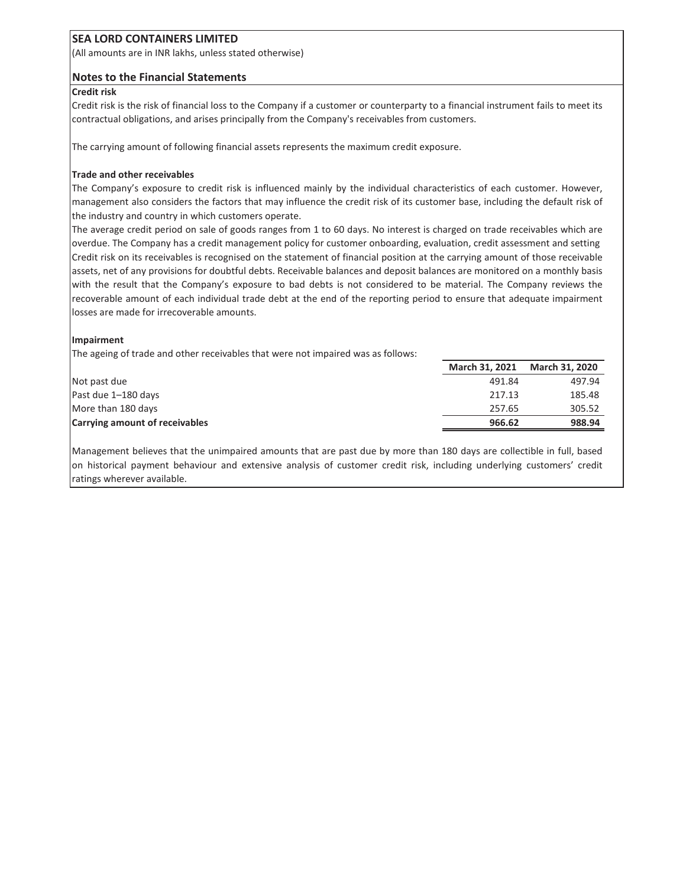(All amounts are in INR lakhs, unless stated otherwise)

#### **Notes to the Financial Statements**

#### **Credit risk**

Credit risk is the risk of financial loss to the Company if a customer or counterparty to a financial instrument fails to meet its contractual obligations, and arises principally from the Company's receivables from customers.

The carrying amount of following financial assets represents the maximum credit exposure.

#### **Trade and other receivables**

The Companyís exposure to credit risk is influenced mainly by the individual characteristics of each customer. However, management also considers the factors that may influence the credit risk of its customer base, including the default risk of the industry and country in which customers operate.

The average credit period on sale of goods ranges from 1 to 60 days. No interest is charged on trade receivables which are overdue. The Company has a credit management policy for customer onboarding, evaluation, credit assessment and setting Credit risk on its receivables is recognised on the statement of financial position at the carrying amount of those receivable assets, net of any provisions for doubtful debts. Receivable balances and deposit balances are monitored on a monthly basis with the result that the Companyís exposure to bad debts is not considered to be material. The Company reviews the recoverable amount of each individual trade debt at the end of the reporting period to ensure that adequate impairment losses are made for irrecoverable amounts.

#### **Impairment**

The ageing of trade and other receivables that were not impaired was as follows:

|                                       | March 31, 2021 | <b>March 31, 2020</b> |
|---------------------------------------|----------------|-----------------------|
| Not past due                          | 491.84         | 497.94                |
| Past due 1-180 days                   | 217.13         | 185.48                |
| More than 180 days                    | 257.65         | 305.52                |
| <b>Carrying amount of receivables</b> | 966.62         | 988.94                |

Management believes that the unimpaired amounts that are past due by more than 180 days are collectible in full, based on historical payment behaviour and extensive analysis of customer credit risk, including underlying customersí credit ratings wherever available.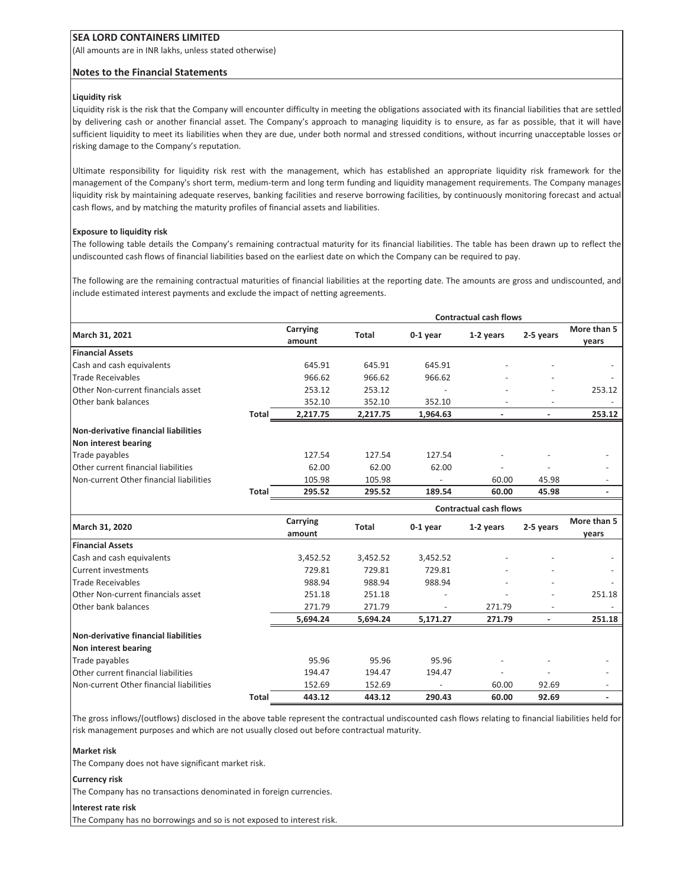(All amounts are in INR lakhs, unless stated otherwise)

#### **Notes to the Financial Statements**

#### **Liquidity risk**

Liquidity risk is the risk that the Company will encounter difficulty in meeting the obligations associated with its financial liabilities that are settled by delivering cash or another financial asset. The Companyís approach to managing liquidity is to ensure, as far as possible, that it will have sufficient liquidity to meet its liabilities when they are due, under both normal and stressed conditions, without incurring unacceptable losses or risking damage to the Company's reputation.

Ultimate responsibility for liquidity risk rest with the management, which has established an appropriate liquidity risk framework for the management of the Company's short term, medium-term and long term funding and liquidity management requirements. The Company manages liquidity risk by maintaining adequate reserves, banking facilities and reserve borrowing facilities, by continuously monitoring forecast and actual cash flows, and by matching the maturity profiles of financial assets and liabilities.

#### **Exposure to liquidity risk**

The following table details the Company's remaining contractual maturity for its financial liabilities. The table has been drawn up to reflect the undiscounted cash flows of financial liabilities based on the earliest date on which the Company can be required to pay.

The following are the remaining contractual maturities of financial liabilities at the reporting date. The amounts are gross and undiscounted, and include estimated interest payments and exclude the impact of netting agreements.

|                                         |              |                    |              |            | <b>Contractual cash flows</b> |           |                      |
|-----------------------------------------|--------------|--------------------|--------------|------------|-------------------------------|-----------|----------------------|
| March 31, 2021                          |              | Carrying<br>amount | <b>Total</b> | 0-1 year   | 1-2 years                     | 2-5 years | More than 5<br>years |
| <b>Financial Assets</b>                 |              |                    |              |            |                               |           |                      |
| Cash and cash equivalents               |              | 645.91             | 645.91       | 645.91     |                               |           |                      |
| <b>Trade Receivables</b>                |              | 966.62             | 966.62       | 966.62     |                               |           |                      |
| Other Non-current financials asset      |              | 253.12             | 253.12       |            |                               |           | 253.12               |
| Other bank balances                     |              | 352.10             | 352.10       | 352.10     |                               |           |                      |
|                                         | Total        | 2,217.75           | 2,217.75     | 1,964.63   |                               |           | 253.12               |
| Non-derivative financial liabilities    |              |                    |              |            |                               |           |                      |
| Non interest bearing                    |              |                    |              |            |                               |           |                      |
| Trade payables                          |              | 127.54             | 127.54       | 127.54     |                               |           |                      |
| Other current financial liabilities     |              | 62.00              | 62.00        | 62.00      |                               |           |                      |
| Non-current Other financial liabilities |              | 105.98             | 105.98       |            | 60.00                         | 45.98     |                      |
|                                         | <b>Total</b> | 295.52             | 295.52       | 189.54     | 60.00                         | 45.98     |                      |
|                                         |              |                    |              |            | <b>Contractual cash flows</b> |           |                      |
| March 31, 2020                          |              | Carrying<br>amount | <b>Total</b> | $0-1$ year | 1-2 years                     | 2-5 years | More than 5<br>years |
| <b>Financial Assets</b>                 |              |                    |              |            |                               |           |                      |
| Cash and cash equivalents               |              | 3,452.52           | 3,452.52     | 3,452.52   |                               |           |                      |
| <b>Current investments</b>              |              | 729.81             | 729.81       | 729.81     |                               |           |                      |
| <b>Trade Receivables</b>                |              | 988.94             | 988.94       | 988.94     |                               |           |                      |
| Other Non-current financials asset      |              | 251.18             | 251.18       |            |                               |           | 251.18               |
| Other bank balances                     |              | 271.79             | 271.79       |            | 271.79                        |           |                      |
|                                         |              | 5.694.24           | 5.694.24     | 5.171.27   | 271.79                        |           | 251.18               |

### **Non-derivative financial liabilities**

| Non interest bearing                    |       |        |        |                          |                          |       |  |
|-----------------------------------------|-------|--------|--------|--------------------------|--------------------------|-------|--|
| Trade payables                          |       | 95.96  | 95.96  | 95.96                    | $\overline{\phantom{0}}$ | -     |  |
| Other current financial liabilities     |       | 194.47 | 194.47 | 194.47                   | -                        |       |  |
| Non-current Other financial liabilities |       | 152.69 | 152.69 | $\overline{\phantom{0}}$ | 60.00                    | 92.69 |  |
|                                         | Total | 443.12 | 443.12 | 290.43                   | 60.00                    | 92.69 |  |

The gross inflows/(outflows) disclosed in the above table represent the contractual undiscounted cash flows relating to financial liabilities held for risk management purposes and which are not usually closed out before contractual maturity.

#### **Market risk**

The Company does not have significant market risk.

#### **Currency risk**

The Company has no transactions denominated in foreign currencies.

#### **Interest rate risk**

The Company has no borrowings and so is not exposed to interest risk.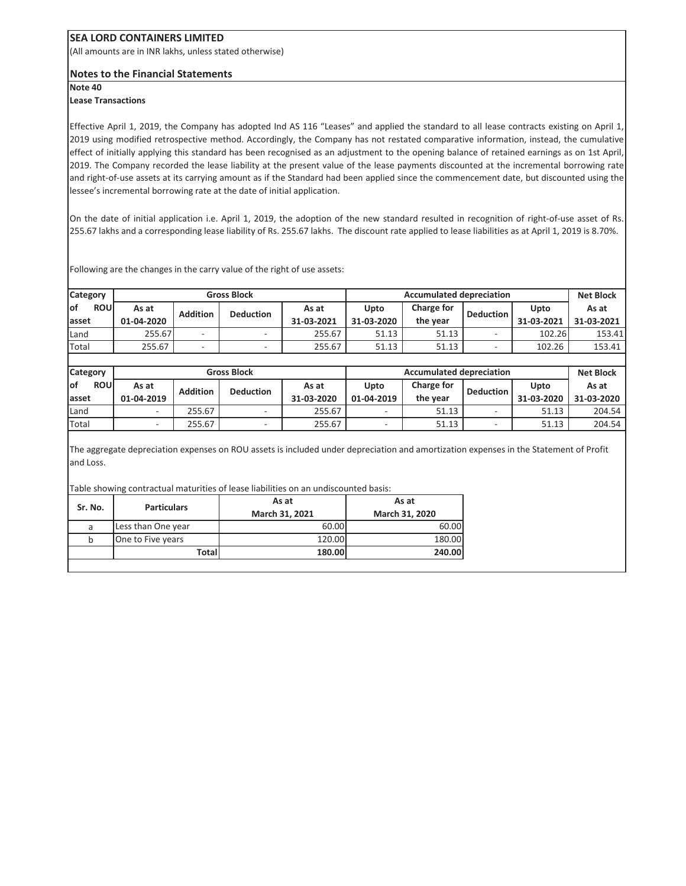(All amounts are in INR lakhs, unless stated otherwise)

#### **Notes to the Financial Statements**

**Note 40**

#### **Lease Transactions**

Effective April 1, 2019, the Company has adopted Ind AS 116 "Leases" and applied the standard to all lease contracts existing on April 1, 2019 using modified retrospective method. Accordingly, the Company has not restated comparative information, instead, the cumulative effect of initially applying this standard has been recognised as an adjustment to the opening balance of retained earnings as on 1st April, 2019. The Company recorded the lease liability at the present value of the lease payments discounted at the incremental borrowing rate and right-of-use assets at its carrying amount as if the Standard had been applied since the commencement date, but discounted using the lessee's incremental borrowing rate at the date of initial application.

On the date of initial application i.e. April 1, 2019, the adoption of the new standard resulted in recognition of right-of-use asset of Rs. 255.67 lakhs and a corresponding lease liability of Rs. 255.67 lakhs. The discount rate applied to lease liabilities as at April 1, 2019 is 8.70%.

| <b>Category</b>                  |                     | <b>Gross Block</b> |                                                       |                     |                    | <b>Accumulated depreciation</b> |                  |                    |                     |  |  |
|----------------------------------|---------------------|--------------------|-------------------------------------------------------|---------------------|--------------------|---------------------------------|------------------|--------------------|---------------------|--|--|
| <b>of</b><br><b>ROU</b><br>asset | As at<br>01-04-2020 | <b>Addition</b>    | <b>Deduction</b>                                      | As at<br>31-03-2021 | Upto<br>31-03-2020 | Charge for<br>the year          | <b>Deduction</b> | Upto<br>31-03-2021 | As at<br>31-03-2021 |  |  |
| Land                             | 255.67              |                    | ۰                                                     | 255.67              | 51.13              | 51.13                           |                  | 102.26             | 153.41              |  |  |
| Total                            | 255.67              |                    | ۰.                                                    | 255.67              | 51.13              | 51.13                           | ۰                | 102.26             | 153.41              |  |  |
|                                  |                     |                    |                                                       |                     |                    |                                 |                  |                    |                     |  |  |
| <b>Category</b>                  |                     |                    | <b>Accumulated depreciation</b><br><b>Gross Block</b> |                     |                    |                                 | <b>Net Block</b> |                    |                     |  |  |
|                                  |                     |                    |                                                       |                     |                    |                                 |                  |                    |                     |  |  |
| οf<br><b>ROU</b>                 | As at               |                    |                                                       | As at               | Upto               | Charge for                      |                  | Upto               | As at               |  |  |
|                                  | 01-04-2019          | <b>Addition</b>    | <b>Deduction</b>                                      | 31-03-2020          | 01-04-2019         | the year                        | <b>Deduction</b> | 31-03-2020         | 31-03-2020          |  |  |
|                                  |                     | 255.67             | ۰                                                     | 255.67              |                    | 51.13                           |                  | 51.13              | 204.54              |  |  |
| lasset<br>Land<br>Total          |                     | 255.67             | ۰                                                     | 255.67              |                    | 51.13                           |                  | 51.13              | 204.54              |  |  |

Following are the changes in the carry value of the right of use assets:

he aggregate depreciation expenses on ROU assets is included under depreciation and amortization expens and Loss.

Table showing contractual maturities of lease liabilities on an undiscounted basis:

| Sr. No. | <b>Particulars</b> | As at<br>March 31, 2021 | As at<br>March 31, 2020 |
|---------|--------------------|-------------------------|-------------------------|
|         |                    |                         |                         |
| a       | Less than One year | 60.00                   | 60.00                   |
|         | One to Five years  | 120.00                  | 180.00                  |
|         | Total              | 180.00                  | 240.00                  |
|         |                    |                         |                         |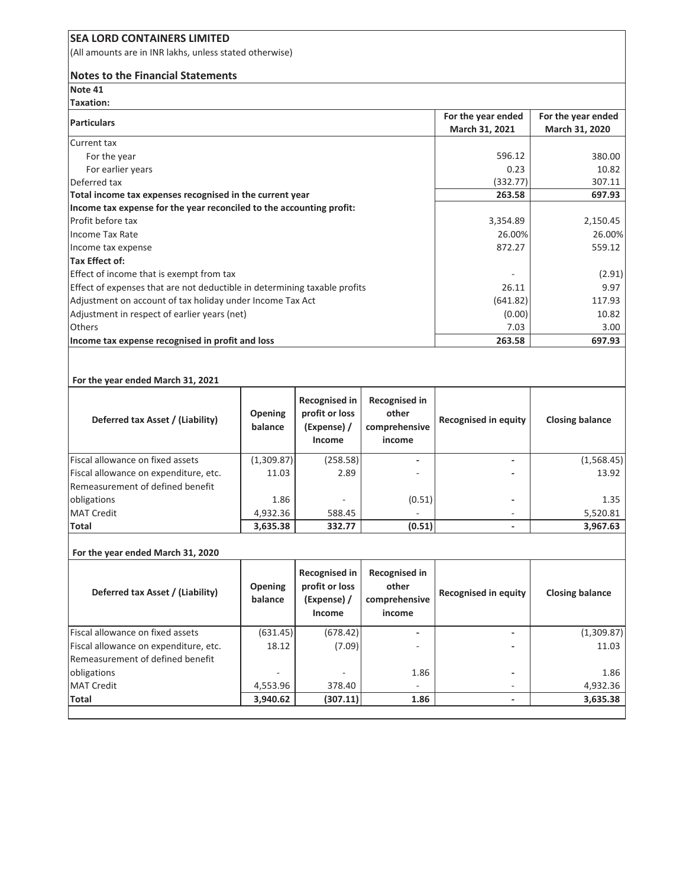(All amounts are in INR lakhs, unless stated otherwise)

#### **Notes to the Financial Statements**

**Note 41 Taxation:**

| Taxation.                                                                 |                    |                    |
|---------------------------------------------------------------------------|--------------------|--------------------|
| <b>Particulars</b>                                                        | For the year ended | For the year ended |
|                                                                           | March 31, 2021     | March 31, 2020     |
| Current tax                                                               |                    |                    |
| For the year                                                              | 596.12             | 380.00             |
| For earlier years                                                         | 0.23               | 10.82              |
| Deferred tax                                                              | (332.77)           | 307.11             |
| Total income tax expenses recognised in the current year                  | 263.58             | 697.93             |
| Income tax expense for the year reconciled to the accounting profit:      |                    |                    |
| <b>Profit before tax</b>                                                  | 3,354.89           | 2,150.45           |
| Income Tax Rate                                                           | 26.00%             | 26.00%             |
| Income tax expense                                                        | 872.27             | 559.12             |
| Tax Effect of:                                                            |                    |                    |
| Effect of income that is exempt from tax                                  |                    | (2.91)             |
| Effect of expenses that are not deductible in determining taxable profits | 26.11              | 9.97               |
| Adjustment on account of tax holiday under Income Tax Act                 | (641.82)           | 117.93             |
| Adjustment in respect of earlier years (net)                              | (0.00)             | 10.82              |
| <b>Others</b>                                                             | 7.03               | 3.00 <sub>1</sub>  |
| Income tax expense recognised in profit and loss                          | 263.58             | 697.93             |

#### **For the year ended March 31, 2021**

| Deferred tax Asset / (Liability)      | <b>Opening</b><br>balance | <b>Recognised in</b><br>profit or loss<br>(Expense) /<br>Income | Recognised in<br>other<br>comprehensive<br>income | Recognised in equity     | <b>Closing balance</b> |
|---------------------------------------|---------------------------|-----------------------------------------------------------------|---------------------------------------------------|--------------------------|------------------------|
| Fiscal allowance on fixed assets      | (1,309.87)                | (258.58)                                                        |                                                   |                          | (1,568.45)             |
| Fiscal allowance on expenditure, etc. | 11.03                     | 2.89                                                            |                                                   |                          | 13.92                  |
| Remeasurement of defined benefit      |                           |                                                                 |                                                   |                          |                        |
| obligations                           | 1.86                      |                                                                 | (0.51)                                            | -                        | 1.35                   |
| <b>MAT Credit</b>                     | 4,932.36                  | 588.45                                                          |                                                   | ۰                        | 5,520.81               |
| Total                                 | 3,635.38                  | 332.77                                                          | (0.51)                                            | $\overline{\phantom{a}}$ | 3,967.63               |

#### **For the year ended March 31, 2020**

| Deferred tax Asset / (Liability)        | <b>Opening</b><br>balance | <b>Recognised in</b><br>profit or loss<br>(Expense) /<br>Income | Recognised in<br>other<br>comprehensive<br>income | Recognised in equity     | <b>Closing balance</b> |
|-----------------------------------------|---------------------------|-----------------------------------------------------------------|---------------------------------------------------|--------------------------|------------------------|
| <b>Fiscal allowance on fixed assets</b> | (631.45)                  | (678.42)                                                        |                                                   |                          | (1,309.87)             |
| Fiscal allowance on expenditure, etc.   | 18.12                     | (7.09)                                                          |                                                   |                          | 11.03                  |
| Remeasurement of defined benefit        |                           |                                                                 |                                                   |                          |                        |
| obligations                             |                           |                                                                 | 1.86                                              | $\overline{\phantom{a}}$ | 1.86                   |
| <b>MAT Credit</b>                       | 4,553.96                  | 378.40                                                          |                                                   |                          | 4,932.36               |
| Total                                   | 3,940.62                  | (307.11)                                                        | 1.86                                              |                          | 3,635.38               |
|                                         |                           |                                                                 |                                                   |                          |                        |